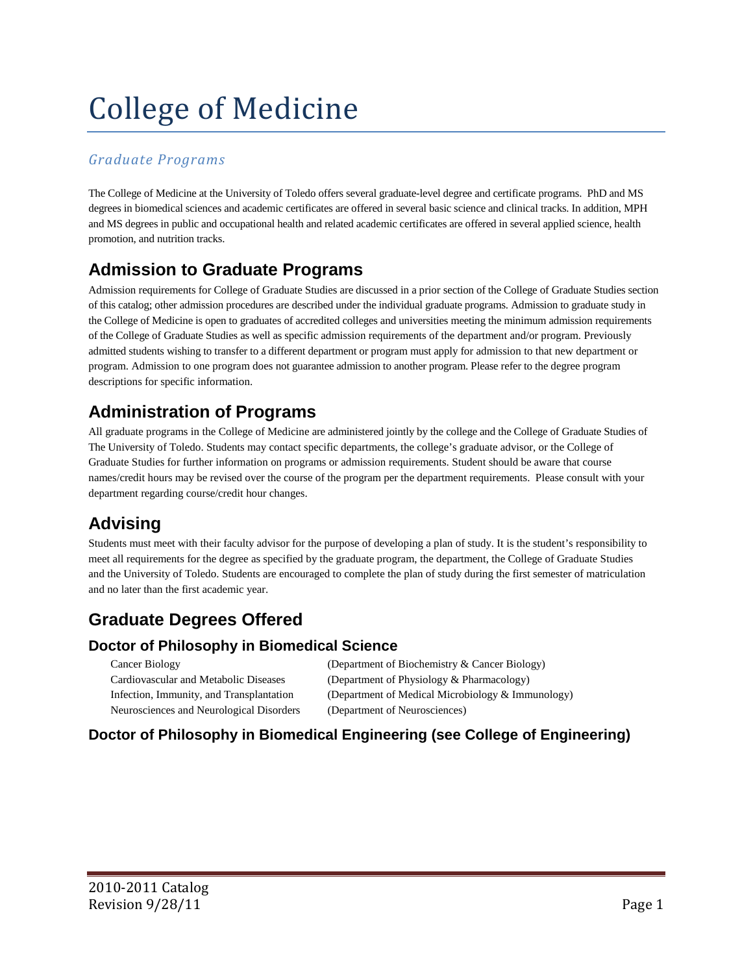# College of Medicine

### *Graduate Programs*

The College of Medicine at the University of Toledo offers several graduate-level degree and certificate programs. PhD and MS degrees in biomedical sciences and academic certificates are offered in several basic science and clinical tracks. In addition, MPH and MS degrees in public and occupational health and related academic certificates are offered in several applied science, health promotion, and nutrition tracks.

# **Admission to Graduate Programs**

Admission requirements for College of Graduate Studies are discussed in a prior section of the College of Graduate Studies section of this catalog; other admission procedures are described under the individual graduate programs. Admission to graduate study in the College of Medicine is open to graduates of accredited colleges and universities meeting the minimum admission requirements of the College of Graduate Studies as well as specific admission requirements of the department and/or program. Previously admitted students wishing to transfer to a different department or program must apply for admission to that new department or program. Admission to one program does not guarantee admission to another program. Please refer to the degree program descriptions for specific information.

# **Administration of Programs**

All graduate programs in the College of Medicine are administered jointly by the college and the College of Graduate Studies of The University of Toledo. Students may contact specific departments, the college's graduate advisor, or the College of Graduate Studies for further information on programs or admission requirements. Student should be aware that course names/credit hours may be revised over the course of the program per the department requirements. Please consult with your department regarding course/credit hour changes.

# **Advising**

Students must meet with their faculty advisor for the purpose of developing a plan of study. It is the student's responsibility to meet all requirements for the degree as specified by the graduate program, the department, the College of Graduate Studies and the University of Toledo. Students are encouraged to complete the plan of study during the first semester of matriculation and no later than the first academic year.

# **Graduate Degrees Offered**

### **Doctor of Philosophy in Biomedical Science**

| Cancer Biology                           |
|------------------------------------------|
| Cardiovascular and Metabolic Diseases    |
| Infection, Immunity, and Transplantation |
| Neurosciences and Neurological Disorders |

(Department of Biochemistry & Cancer Biology) (Department of Physiology & Pharmacology) (Department of Medical Microbiology & Immunology) (Department of Neurosciences)

### **Doctor of Philosophy in Biomedical Engineering (see College of Engineering)**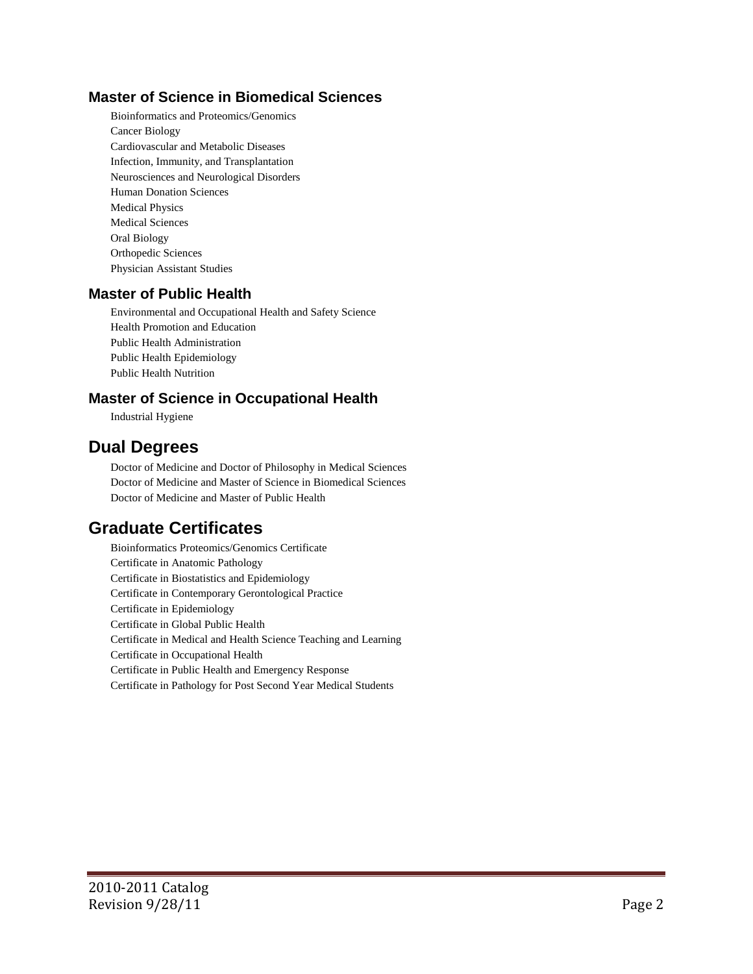### **Master of Science in Biomedical Sciences**

Bioinformatics and Proteomics/Genomics Cancer Biology Cardiovascular and Metabolic Diseases Infection, Immunity, and Transplantation Neurosciences and Neurological Disorders Human Donation Sciences Medical Physics Medical Sciences Oral Biology Orthopedic Sciences Physician Assistant Studies

### **Master of Public Health**

Environmental and Occupational Health and Safety Science Health Promotion and Education Public Health Administration Public Health Epidemiology Public Health Nutrition

### **Master of Science in Occupational Health**

Industrial Hygiene

### **Dual Degrees**

Doctor of Medicine and Doctor of Philosophy in Medical Sciences Doctor of Medicine and Master of Science in Biomedical Sciences Doctor of Medicine and Master of Public Health

### **Graduate Certificates**

Bioinformatics Proteomics/Genomics Certificate Certificate in Anatomic Pathology Certificate in Biostatistics and Epidemiology Certificate in Contemporary Gerontological Practice Certificate in Epidemiology Certificate in Global Public Health Certificate in Medical and Health Science Teaching and Learning Certificate in Occupational Health Certificate in Public Health and Emergency Response Certificate in Pathology for Post Second Year Medical Students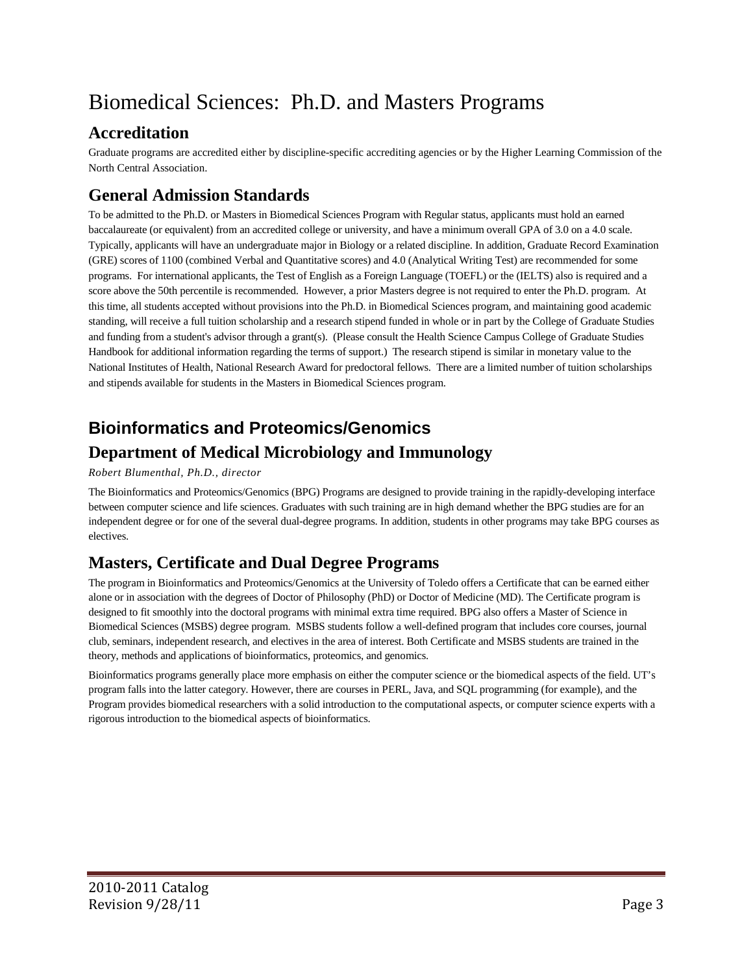# Biomedical Sciences: Ph.D. and Masters Programs

# **Accreditation**

Graduate programs are accredited either by discipline-specific accrediting agencies or by the Higher Learning Commission of the North Central Association.

# **General Admission Standards**

To be admitted to the Ph.D. or Masters in Biomedical Sciences Program with Regular status, applicants must hold an earned baccalaureate (or equivalent) from an accredited college or university, and have a minimum overall GPA of 3.0 on a 4.0 scale. Typically, applicants will have an undergraduate major in Biology or a related discipline. In addition, Graduate Record Examination (GRE) scores of 1100 (combined Verbal and Quantitative scores) and 4.0 (Analytical Writing Test) are recommended for some programs. For international applicants, the Test of English as a Foreign Language (TOEFL) or the (IELTS) also is required and a score above the 50th percentile is recommended. However, a prior Masters degree is not required to enter the Ph.D. program. At this time, all students accepted without provisions into the Ph.D. in Biomedical Sciences program, and maintaining good academic standing, will receive a full tuition scholarship and a research stipend funded in whole or in part by the College of Graduate Studies and funding from a student's advisor through a grant(s). (Please consult the Health Science Campus College of Graduate Studies Handbook for additional information regarding the terms of support.) The research stipend is similar in monetary value to the National Institutes of Health, National Research Award for predoctoral fellows. There are a limited number of tuition scholarships and stipends available for students in the Masters in Biomedical Sciences program.

# **Bioinformatics and Proteomics/Genomics**

### **Department of Medical Microbiology and Immunology**

### *Robert Blumenthal, Ph.D., director*

The Bioinformatics and Proteomics/Genomics (BPG) Programs are designed to provide training in the rapidly-developing interface between computer science and life sciences. Graduates with such training are in high demand whether the BPG studies are for an independent degree or for one of the several dual-degree programs. In addition, students in other programs may take BPG courses as electives.

# **Masters, Certificate and Dual Degree Programs**

The program in Bioinformatics and Proteomics/Genomics at the University of Toledo offers a Certificate that can be earned either alone or in association with the degrees of Doctor of Philosophy (PhD) or Doctor of Medicine (MD). The Certificate program is designed to fit smoothly into the doctoral programs with minimal extra time required. BPG also offers a Master of Science in Biomedical Sciences (MSBS) degree program. MSBS students follow a well-defined program that includes core courses, journal club, seminars, independent research, and electives in the area of interest. Both Certificate and MSBS students are trained in the theory, methods and applications of bioinformatics, proteomics, and genomics.

Bioinformatics programs generally place more emphasis on either the computer science or the biomedical aspects of the field. UT's program falls into the latter category. However, there are courses in PERL, Java, and SQL programming (for example), and the Program provides biomedical researchers with a solid introduction to the computational aspects, or computer science experts with a rigorous introduction to the biomedical aspects of bioinformatics.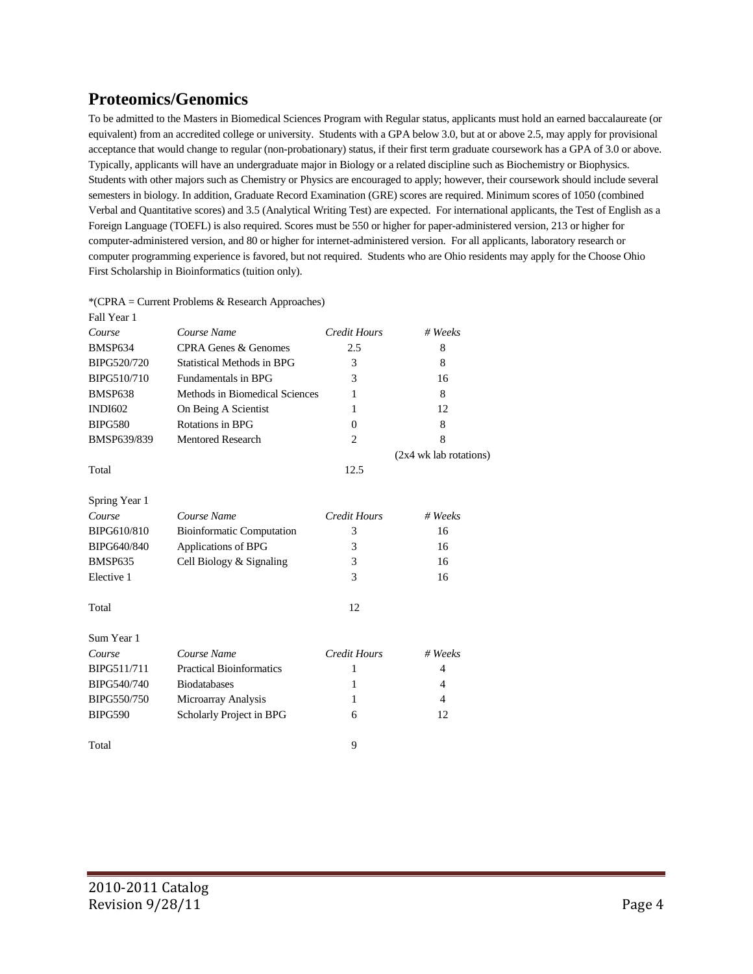# **Proteomics/Genomics**

To be admitted to the Masters in Biomedical Sciences Program with Regular status, applicants must hold an earned baccalaureate (or equivalent) from an accredited college or university. Students with a GPA below 3.0, but at or above 2.5, may apply for provisional acceptance that would change to regular (non-probationary) status, if their first term graduate coursework has a GPA of 3.0 or above. Typically, applicants will have an undergraduate major in Biology or a related discipline such as Biochemistry or Biophysics. Students with other majors such as Chemistry or Physics are encouraged to apply; however, their coursework should include several semesters in biology. In addition, Graduate Record Examination (GRE) scores are required. Minimum scores of 1050 (combined Verbal and Quantitative scores) and 3.5 (Analytical Writing Test) are expected. For international applicants, the Test of English as a Foreign Language (TOEFL) is also required. Scores must be 550 or higher for paper-administered version, 213 or higher for computer-administered version, and 80 or higher for internet-administered version. For all applicants, laboratory research or computer programming experience is favored, but not required. Students who are Ohio residents may apply for the Choose Ohio First Scholarship in Bioinformatics (tuition only).

|                              | *(CPRA = Current Problems & Research Approaches) |  |
|------------------------------|--------------------------------------------------|--|
| $\mathbf{r}$ 11 $\mathbf{r}$ |                                                  |  |

| Fall Year I    |                                   |                     |                        |
|----------------|-----------------------------------|---------------------|------------------------|
| Course         | Course Name                       | <b>Credit Hours</b> | # Weeks                |
| BMSP634        | <b>CPRA Genes &amp; Genomes</b>   | 2.5                 | 8                      |
| BIPG520/720    | <b>Statistical Methods in BPG</b> | 3                   | 8                      |
| BIPG510/710    | Fundamentals in BPG               | 3                   | 16                     |
| <b>BMSP638</b> | Methods in Biomedical Sciences    | 1                   | 8                      |
| <b>INDI602</b> | On Being A Scientist              | 1                   | 12                     |
| <b>BIPG580</b> | Rotations in BPG                  | $\Omega$            | 8                      |
| BMSP639/839    | <b>Mentored Research</b>          | 2                   | 8                      |
|                |                                   |                     | (2x4 wk lab rotations) |
| Total          |                                   | 12.5                |                        |
| Spring Year 1  |                                   |                     |                        |
| Course         | Course Name                       | <b>Credit Hours</b> | $# \nWeeks$            |
| BIPG610/810    | <b>Bioinformatic Computation</b>  | 3                   | 16                     |
| BIPG640/840    | Applications of BPG               | 3                   | 16                     |
| <b>BMSP635</b> | Cell Biology & Signaling          | 3                   | 16                     |
| Elective 1     |                                   | 3                   | 16                     |
| Total          |                                   | 12                  |                        |
| Sum Year 1     |                                   |                     |                        |
| Course         | Course Name                       | <b>Credit Hours</b> | $# \nWeeks$            |
| BIPG511/711    | <b>Practical Bioinformatics</b>   | 1                   | 4                      |
| BIPG540/740    | <b>Biodatabases</b>               | 1                   | $\overline{4}$         |
| BIPG550/750    | Microarray Analysis               | 1                   | $\overline{4}$         |
| <b>BIPG590</b> | Scholarly Project in BPG          | 6                   | 12                     |
| Total          |                                   | 9                   |                        |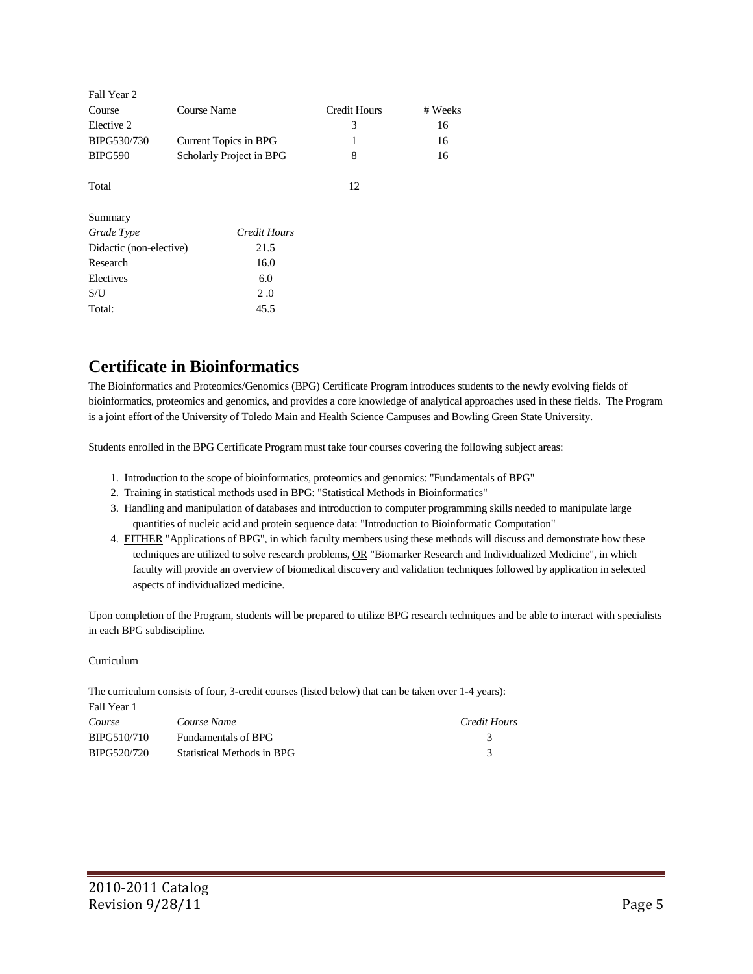| Fall Year 2             |                          |                     |         |
|-------------------------|--------------------------|---------------------|---------|
| Course                  | <b>Course Name</b>       | <b>Credit Hours</b> | # Weeks |
| Elective 2              |                          | 3                   | 16      |
| BIPG530/730             | Current Topics in BPG    | 1                   | 16      |
| <b>BIPG590</b>          | Scholarly Project in BPG | 8                   | 16      |
| Total                   |                          | 12                  |         |
| Summary                 |                          |                     |         |
| Grade Type              | Credit Hours             |                     |         |
| Didactic (non-elective) | 21.5                     |                     |         |
| Research                | 16.0                     |                     |         |
| Electives               | 6.0                      |                     |         |
| S/U                     | 2.0                      |                     |         |
| Total:                  | 45.5                     |                     |         |
|                         |                          |                     |         |

# **Certificate in Bioinformatics**

The Bioinformatics and Proteomics/Genomics (BPG) Certificate Program introduces students to the newly evolving fields of bioinformatics, proteomics and genomics, and provides a core knowledge of analytical approaches used in these fields. The Program is a joint effort of the University of Toledo Main and Health Science Campuses and Bowling Green State University.

Students enrolled in the BPG Certificate Program must take four courses covering the following subject areas:

- 1. Introduction to the scope of bioinformatics, proteomics and genomics: "Fundamentals of BPG"
- 2. Training in statistical methods used in BPG: "Statistical Methods in Bioinformatics"
- 3. Handling and manipulation of databases and introduction to computer programming skills needed to manipulate large quantities of nucleic acid and protein sequence data: "Introduction to Bioinformatic Computation"
- 4. EITHER "Applications of BPG", in which faculty members using these methods will discuss and demonstrate how these techniques are utilized to solve research problems, OR "Biomarker Research and Individualized Medicine", in which faculty will provide an overview of biomedical discovery and validation techniques followed by application in selected aspects of individualized medicine.

Upon completion of the Program, students will be prepared to utilize BPG research techniques and be able to interact with specialists in each BPG subdiscipline.

### Curriculum

The curriculum consists of four, 3-credit courses (listed below) that can be taken over 1-4 years): Fall Year 1

| Course      | Course Name                | Credit Hours |
|-------------|----------------------------|--------------|
| BIPG510/710 | Fundamentals of BPG        |              |
| BIPG520/720 | Statistical Methods in BPG |              |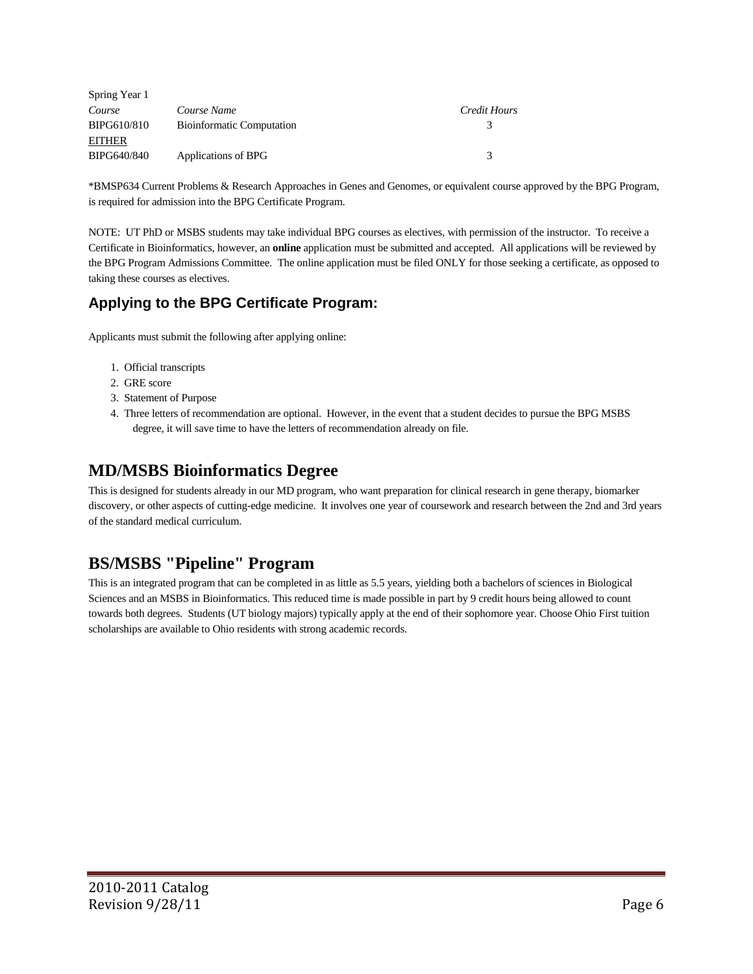| Spring Year 1 |                                  |              |
|---------------|----------------------------------|--------------|
| Course        | Course Name                      | Credit Hours |
| BIPG610/810   | <b>Bioinformatic Computation</b> | 3            |
| <b>EITHER</b> |                                  |              |
| BIPG640/840   | Applications of BPG              | 3            |

\*BMSP634 Current Problems & Research Approaches in Genes and Genomes, or equivalent course approved by the BPG Program, is required for admission into the BPG Certificate Program.

NOTE: UT PhD or MSBS students may take individual BPG courses as electives, with permission of the instructor. To receive a Certificate in Bioinformatics, however, an **online** application must be submitted and accepted. All applications will be reviewed by the BPG Program Admissions Committee. The online application must be filed ONLY for those seeking a certificate, as opposed to taking these courses as electives.

### **Applying to the BPG Certificate Program:**

Applicants must submit the following after applying online:

- 1. Official transcripts
- 2. GRE score
- 3. Statement of Purpose
- 4. Three letters of recommendation are optional. However, in the event that a student decides to pursue the BPG MSBS degree, it will save time to have the letters of recommendation already on file.

### **MD/MSBS Bioinformatics Degree**

This is designed for students already in our MD program, who want preparation for clinical research in gene therapy, biomarker discovery, or other aspects of cutting-edge medicine. It involves one year of coursework and research between the 2nd and 3rd years of the standard medical curriculum.

# **BS/MSBS "Pipeline" Program**

This is an integrated program that can be completed in as little as 5.5 years, yielding both a bachelors of sciences in Biological Sciences and an MSBS in Bioinformatics. This reduced time is made possible in part by 9 credit hours being allowed to count towards both degrees. Students (UT biology majors) typically apply at the end of their sophomore year. Choose Ohio First tuition scholarships are available to Ohio residents with strong academic records.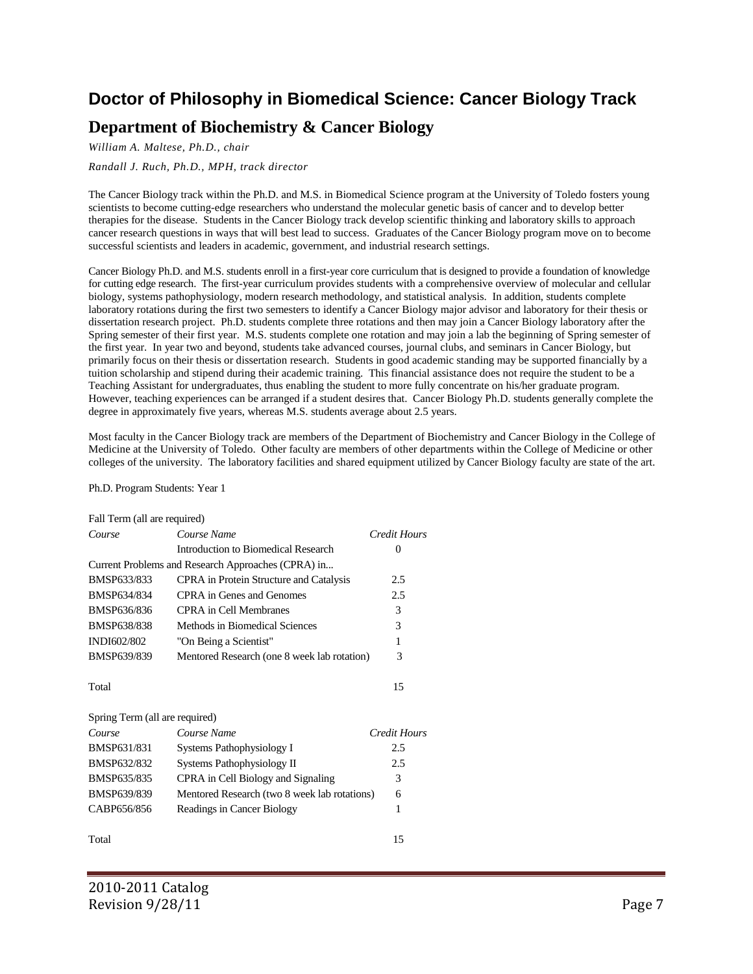# **Doctor of Philosophy in Biomedical Science: Cancer Biology Track Department of Biochemistry & Cancer Biology**

*William A. Maltese, Ph.D., chair*

*Randall J. Ruch, Ph.D., MPH, track director*

The Cancer Biology track within the Ph.D. and M.S. in Biomedical Science program at the University of Toledo fosters young scientists to become cutting-edge researchers who understand the molecular genetic basis of cancer and to develop better therapies for the disease. Students in the Cancer Biology track develop scientific thinking and laboratory skills to approach cancer research questions in ways that will best lead to success. Graduates of the Cancer Biology program move on to become successful scientists and leaders in academic, government, and industrial research settings.

Cancer Biology Ph.D. and M.S. students enroll in a first-year core curriculum that is designed to provide a foundation of knowledge for cutting edge research. The first-year curriculum provides students with a comprehensive overview of molecular and cellular biology, systems pathophysiology, modern research methodology, and statistical analysis. In addition, students complete laboratory rotations during the first two semesters to identify a Cancer Biology major advisor and laboratory for their thesis or dissertation research project. Ph.D. students complete three rotations and then may join a Cancer Biology laboratory after the Spring semester of their first year. M.S. students complete one rotation and may join a lab the beginning of Spring semester of the first year. In year two and beyond, students take advanced courses, journal clubs, and seminars in Cancer Biology, but primarily focus on their thesis or dissertation research. Students in good academic standing may be supported financially by a tuition scholarship and stipend during their academic training. This financial assistance does not require the student to be a Teaching Assistant for undergraduates, thus enabling the student to more fully concentrate on his/her graduate program. However, teaching experiences can be arranged if a student desires that. Cancer Biology Ph.D. students generally complete the degree in approximately five years, whereas M.S. students average about 2.5 years.

Most faculty in the Cancer Biology track are members of the Department of Biochemistry and Cancer Biology in the College of Medicine at the University of Toledo. Other faculty are members of other departments within the College of Medicine or other colleges of the university. The laboratory facilities and shared equipment utilized by Cancer Biology faculty are state of the art.

Ph.D. Program Students: Year 1

| Fall Term (all are required)   |                                                    |              |
|--------------------------------|----------------------------------------------------|--------------|
| Course                         | Course Name                                        | Credit Hours |
|                                | Introduction to Biomedical Research                | $\Omega$     |
|                                | Current Problems and Research Approaches (CPRA) in |              |
| <b>BMSP633/833</b>             | CPRA in Protein Structure and Catalysis            | 2.5          |
| BMSP634/834                    | CPRA in Genes and Genomes                          | 2.5          |
| BMSP636/836                    | <b>CPRA</b> in Cell Membranes                      | 3            |
| <b>BMSP638/838</b>             | Methods in Biomedical Sciences                     | 3            |
| INDI602/802                    | "On Being a Scientist"                             | 1            |
| BMSP639/839                    | Mentored Research (one 8 week lab rotation)        | 3            |
| Total                          |                                                    | 15           |
| Spring Term (all are required) |                                                    |              |
| Course                         | Course Name                                        | Credit Hours |
| BMSP631/831                    | Systems Pathophysiology I                          | 2.5          |
| BMSP632/832                    | Systems Pathophysiology II                         | 2.5          |
| BMSP635/835                    | CPRA in Cell Biology and Signaling                 | 3            |
| BMSP639/839                    | Mentored Research (two 8 week lab rotations)       | 6            |
| CABP656/856                    | Readings in Cancer Biology                         | 1            |
| Total                          |                                                    | 15           |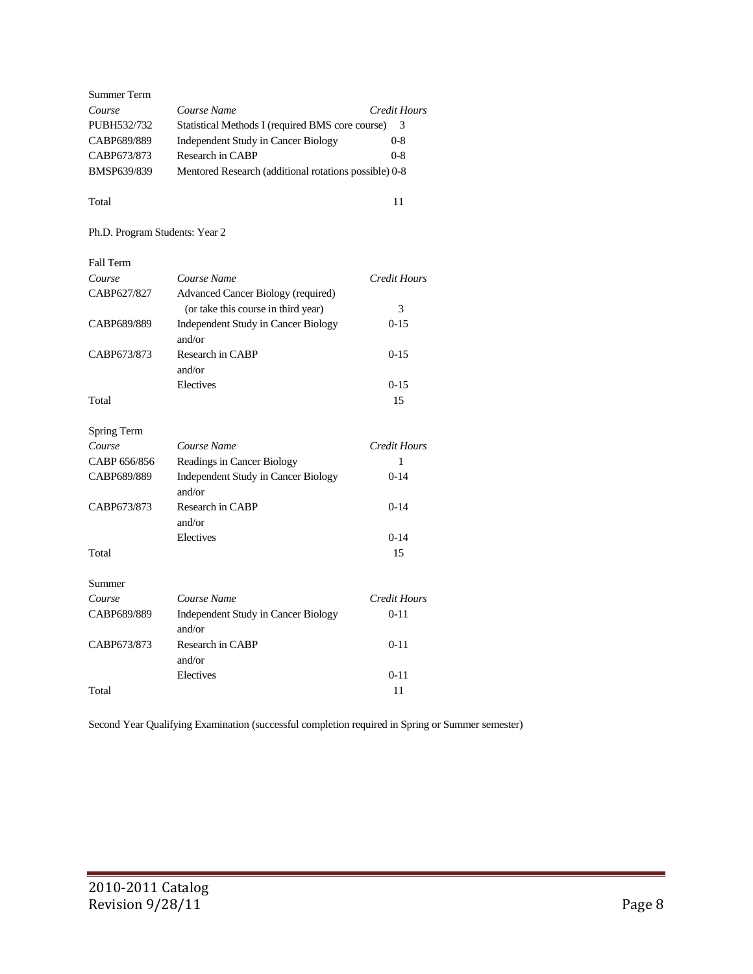| Summer Term |                                                       |              |
|-------------|-------------------------------------------------------|--------------|
| Course      | Course Name                                           | Credit Hours |
| PUBH532/732 | Statistical Methods I (required BMS core course)      |              |
| CABP689/889 | Independent Study in Cancer Biology                   | $0 - 8$      |
| CABP673/873 | Research in CABP                                      | $0 - 8$      |
| BMSP639/839 | Mentored Research (additional rotations possible) 0-8 |              |
|             |                                                       |              |

Total 11

### Ph.D. Program Students: Year 2

| <b>Fall Term</b> |                                            |                     |
|------------------|--------------------------------------------|---------------------|
| Course           | Course Name                                | <b>Credit Hours</b> |
| CABP627/827      | Advanced Cancer Biology (required)         |                     |
|                  | (or take this course in third year)        | 3                   |
| CABP689/889      | Independent Study in Cancer Biology        | $0-15$              |
|                  | and/or                                     |                     |
| CABP673/873      | Research in CABP                           | $0-15$              |
|                  | and/or                                     |                     |
|                  | Electives                                  | $0-15$              |
| Total            |                                            | 15                  |
|                  |                                            |                     |
| Spring Term      |                                            |                     |
| Course           | Course Name                                | Credit Hours        |
| CABP 656/856     | Readings in Cancer Biology                 | 1                   |
| CABP689/889      | <b>Independent Study in Cancer Biology</b> | $0-14$              |
|                  | and/or                                     |                     |
| CABP673/873      | Research in CABP                           | $0-14$              |
|                  | and/or                                     |                     |
|                  | Electives                                  | $0-14$              |
| Total            |                                            | 15                  |
|                  |                                            |                     |
| Summer           |                                            |                     |
| Course           | Course Name                                | <b>Credit Hours</b> |
| CABP689/889      | Independent Study in Cancer Biology        | $0 - 11$            |
|                  | and/or                                     |                     |
| CABP673/873      | Research in CABP                           | $0 - 11$            |
|                  | and/or                                     |                     |
|                  | Electives                                  | $0 - 11$            |
| Total            |                                            | 11                  |

Second Year Qualifying Examination (successful completion required in Spring or Summer semester)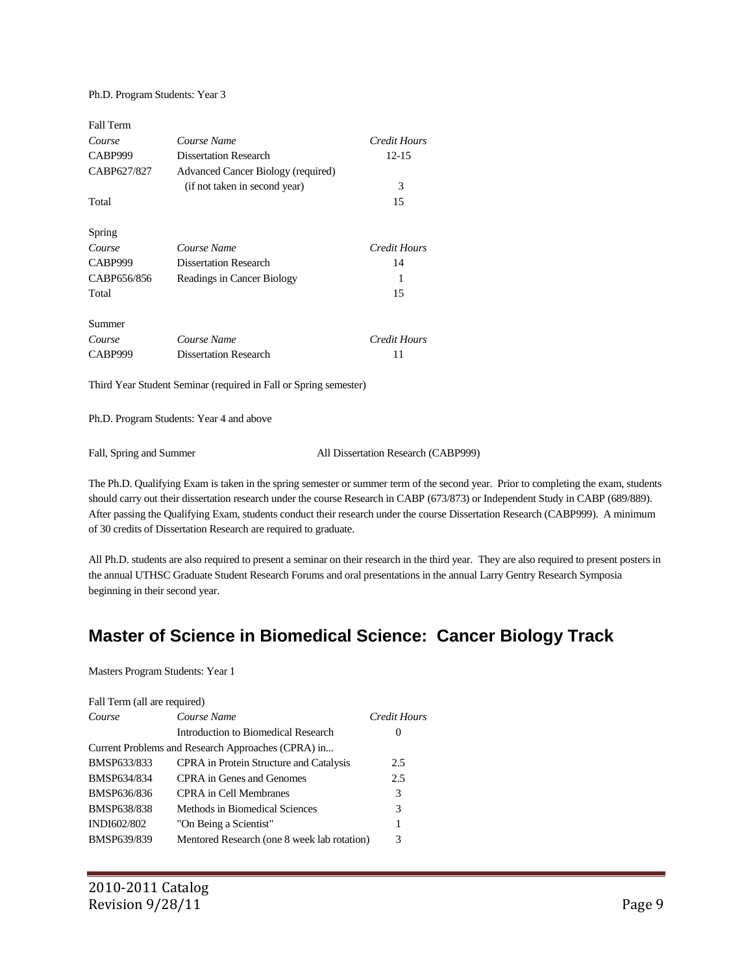#### Ph.D. Program Students: Year 3

| Course Name                        | Credit Hours |
|------------------------------------|--------------|
| <b>Dissertation Research</b>       | $12 - 15$    |
| Advanced Cancer Biology (required) |              |
| (if not taken in second year)      | 3            |
|                                    | 15           |
|                                    |              |
| Course Name                        | Credit Hours |
| <b>Dissertation Research</b>       | 14           |
| Readings in Cancer Biology         | 1            |
|                                    | 15           |
|                                    |              |
| Course Name                        | Credit Hours |
| <b>Dissertation Research</b>       | 11           |
|                                    |              |

Third Year Student Seminar (required in Fall or Spring semester)

Ph.D. Program Students: Year 4 and above

Fall, Spring and Summer All Dissertation Research (CABP999)

The Ph.D. Qualifying Exam is taken in the spring semester or summer term of the second year. Prior to completing the exam, students should carry out their dissertation research under the course Research in CABP (673/873) or Independent Study in CABP (689/889). After passing the Qualifying Exam, students conduct their research under the course Dissertation Research (CABP999). A minimum of 30 credits of Dissertation Research are required to graduate.

All Ph.D. students are also required to present a seminar on their research in the third year. They are also required to present posters in the annual UTHSC Graduate Student Research Forums and oral presentations in the annual Larry Gentry Research Symposia beginning in their second year.

### **Master of Science in Biomedical Science: Cancer Biology Track**

Masters Program Students: Year 1

| Fall Term (all are required) |                                                    |              |
|------------------------------|----------------------------------------------------|--------------|
| Course                       | Course Name                                        | Credit Hours |
|                              | Introduction to Biomedical Research                | $\theta$     |
|                              | Current Problems and Research Approaches (CPRA) in |              |
| BMSP633/833                  | CPRA in Protein Structure and Catalysis            | 2.5          |
| BMSP634/834                  | CPRA in Genes and Genomes                          | 2.5          |
| BMSP636/836                  | <b>CPRA</b> in Cell Membranes                      | 3            |
| BMSP638/838                  | Methods in Biomedical Sciences                     | 3            |
| INDI602/802                  | "On Being a Scientist"                             | 1            |
| BMSP639/839                  | Mentored Research (one 8 week lab rotation)        | 3            |
|                              |                                                    |              |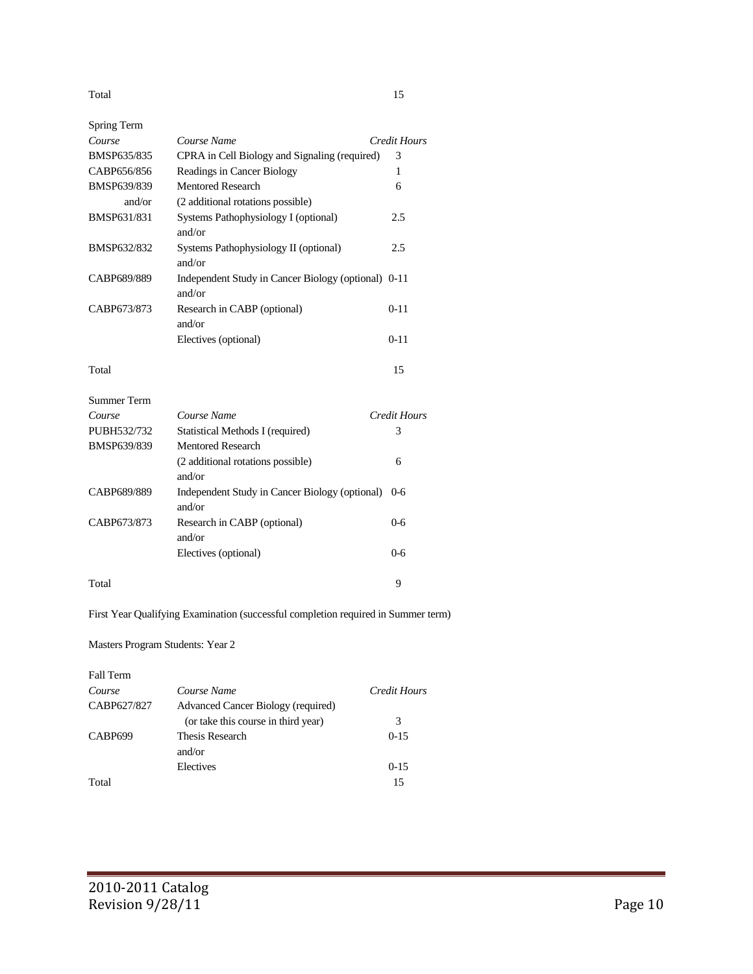Total 15

| Spring Term        |                                                               |                     |
|--------------------|---------------------------------------------------------------|---------------------|
| Course             | Course Name                                                   | <b>Credit Hours</b> |
| BMSP635/835        | CPRA in Cell Biology and Signaling (required)                 | 3                   |
| CABP656/856        | Readings in Cancer Biology                                    | 1                   |
| BMSP639/839        | <b>Mentored Research</b>                                      | 6                   |
| and/or             | (2 additional rotations possible)                             |                     |
| BMSP631/831        | Systems Pathophysiology I (optional)<br>and/or                | 2.5                 |
| BMSP632/832        | Systems Pathophysiology II (optional)<br>and/or               | 2.5                 |
| CABP689/889        | Independent Study in Cancer Biology (optional) 0-11<br>and/or |                     |
| CABP673/873        | Research in CABP (optional)                                   | $0 - 11$            |
|                    | and/or                                                        |                     |
|                    | Electives (optional)                                          | $0 - 11$            |
| Total              |                                                               | 15                  |
| <b>Summer Term</b> |                                                               |                     |
| Course             | Course Name                                                   | Credit Hours        |
| PUBH532/732        | Statistical Methods I (required)                              | 3                   |
| BMSP639/839        | <b>Mentored Research</b>                                      |                     |
|                    | (2 additional rotations possible)<br>and/or                   | 6                   |
| CABP689/889        | Independent Study in Cancer Biology (optional)<br>and/or      | $0 - 6$             |
| CABP673/873        | Research in CABP (optional)<br>and/or                         | 0-6                 |
|                    | Electives (optional)                                          | 0-6                 |
| Total              |                                                               | 9                   |

First Year Qualifying Examination (successful completion required in Summer term)

Masters Program Students: Year 2

| <b>Fall Term</b>    |                                     |              |
|---------------------|-------------------------------------|--------------|
| Course              | Course Name                         | Credit Hours |
| CABP627/827         | Advanced Cancer Biology (required)  |              |
|                     | (or take this course in third year) | 3            |
| CABP <sub>699</sub> | Thesis Research                     | $0-15$       |
|                     | and/or                              |              |
|                     | Electives                           | $0-15$       |
| Total               |                                     | 15           |
|                     |                                     |              |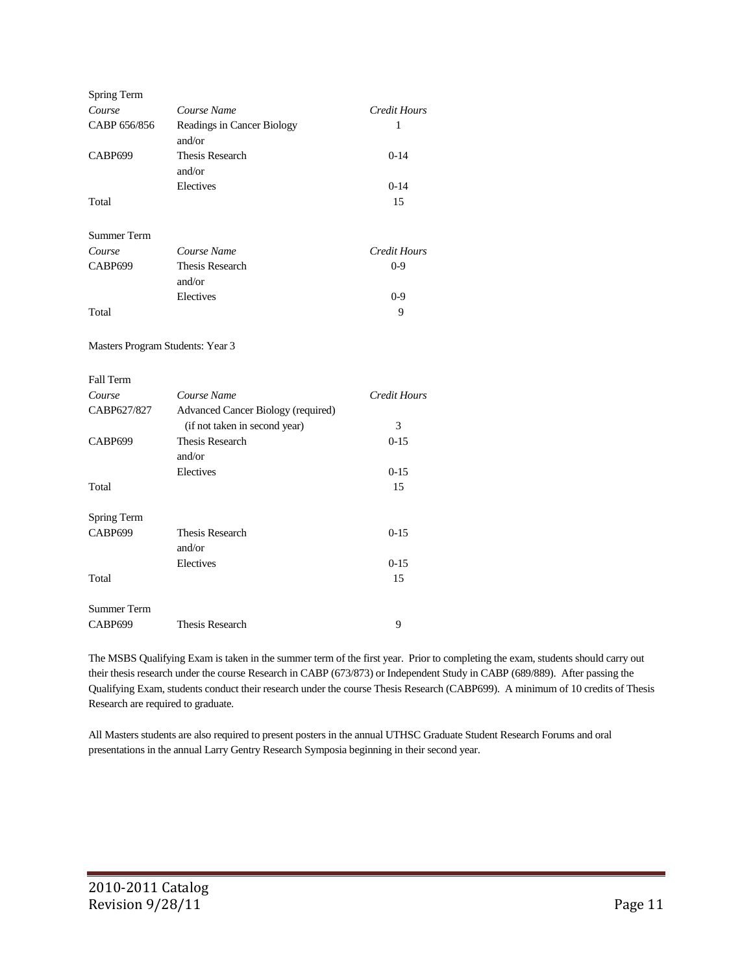| Spring Term                      |                                                                     |                     |
|----------------------------------|---------------------------------------------------------------------|---------------------|
| Course                           | Course Name                                                         | <b>Credit Hours</b> |
| CABP 656/856                     | Readings in Cancer Biology<br>and/or                                | 1                   |
| CABP699                          | <b>Thesis Research</b><br>and/or                                    | $0-14$              |
|                                  | Electives                                                           | $0-14$              |
| Total                            |                                                                     | 15                  |
| <b>Summer Term</b>               |                                                                     |                     |
| Course                           | Course Name                                                         | <b>Credit Hours</b> |
| CABP699                          | <b>Thesis Research</b><br>and/or                                    | $0-9$               |
|                                  | Electives                                                           | $0 - 9$             |
| Total                            |                                                                     | 9                   |
| Masters Program Students: Year 3 |                                                                     |                     |
| Fall Term                        |                                                                     |                     |
| Course                           | Course Name                                                         | <b>Credit Hours</b> |
| CABP627/827                      | Advanced Cancer Biology (required)<br>(if not taken in second year) | 3                   |
| CABP699                          | Thesis Research<br>and/or                                           | $0-15$              |
|                                  | Electives                                                           | $0-15$              |
| Total                            |                                                                     | 15                  |
| Spring Term                      |                                                                     |                     |
| CABP699                          | <b>Thesis Research</b>                                              | $0-15$              |
|                                  | and/or                                                              |                     |
|                                  | Electives                                                           | $0-15$              |
| Total                            |                                                                     | 15                  |
| <b>Summer Term</b>               |                                                                     |                     |

CABP699 Thesis Research 9

The MSBS Qualifying Exam is taken in the summer term of the first year. Prior to completing the exam, students should carry out their thesis research under the course Research in CABP (673/873) or Independent Study in CABP (689/889). After passing the Qualifying Exam, students conduct their research under the course Thesis Research (CABP699). A minimum of 10 credits of Thesis Research are required to graduate.

All Masters students are also required to present posters in the annual UTHSC Graduate Student Research Forums and oral presentations in the annual Larry Gentry Research Symposia beginning in their second year.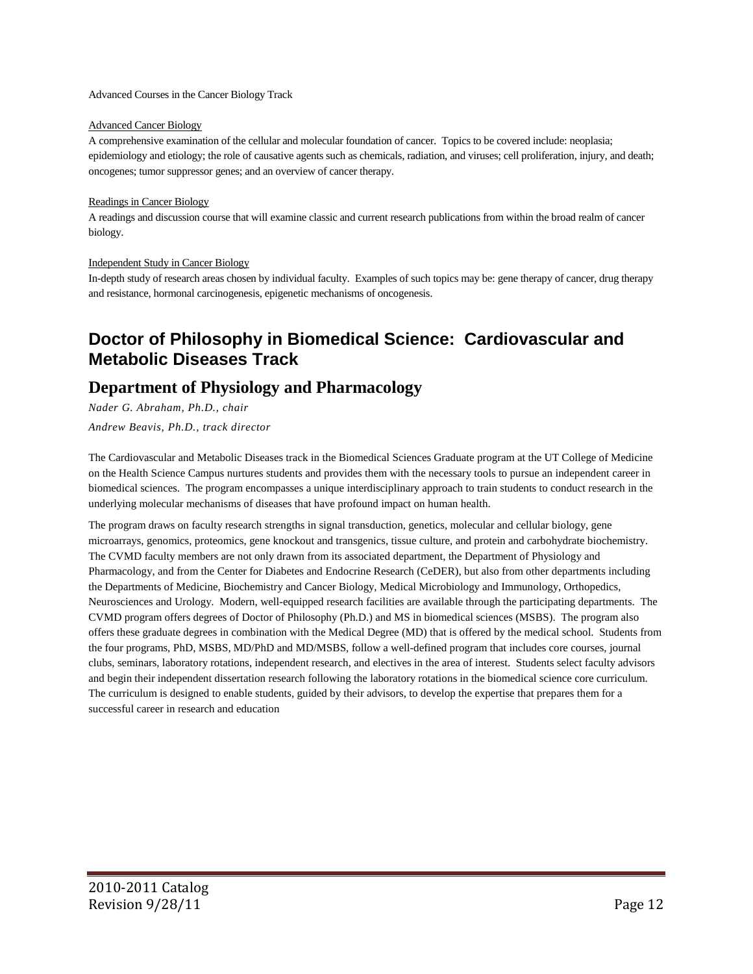Advanced Courses in the Cancer Biology Track

### Advanced Cancer Biology

A comprehensive examination of the cellular and molecular foundation of cancer. Topics to be covered include: neoplasia; epidemiology and etiology; the role of causative agents such as chemicals, radiation, and viruses; cell proliferation, injury, and death; oncogenes; tumor suppressor genes; and an overview of cancer therapy.

### Readings in Cancer Biology

A readings and discussion course that will examine classic and current research publications from within the broad realm of cancer biology.

### Independent Study in Cancer Biology

In-depth study of research areas chosen by individual faculty. Examples of such topics may be: gene therapy of cancer, drug therapy and resistance, hormonal carcinogenesis, epigenetic mechanisms of oncogenesis.

# **Doctor of Philosophy in Biomedical Science: Cardiovascular and Metabolic Diseases Track**

### **Department of Physiology and Pharmacology**

*Nader G. Abraham, Ph.D., chair Andrew Beavis, Ph.D., track director*

The Cardiovascular and Metabolic Diseases track in the Biomedical Sciences Graduate program at the UT College of Medicine on the Health Science Campus nurtures students and provides them with the necessary tools to pursue an independent career in biomedical sciences. The program encompasses a unique interdisciplinary approach to train students to conduct research in the underlying molecular mechanisms of diseases that have profound impact on human health.

The program draws on faculty research strengths in signal transduction, genetics, molecular and cellular biology, gene microarrays, genomics, proteomics, gene knockout and transgenics, tissue culture, and protein and carbohydrate biochemistry. The CVMD faculty members are not only drawn from its associated department, the Department of Physiology and Pharmacology, and from the Center for Diabetes and Endocrine Research (CeDER), but also from other departments including the Departments of Medicine, Biochemistry and Cancer Biology, Medical Microbiology and Immunology, Orthopedics, Neurosciences and Urology. Modern, well-equipped research facilities are available through the participating departments. The CVMD program offers degrees of Doctor of Philosophy (Ph.D.) and MS in biomedical sciences (MSBS). The program also offers these graduate degrees in combination with the Medical Degree (MD) that is offered by the medical school. Students from the four programs, PhD, MSBS, MD/PhD and MD/MSBS, follow a well-defined program that includes core courses, journal clubs, seminars, laboratory rotations, independent research, and electives in the area of interest. Students select faculty advisors and begin their independent dissertation research following the laboratory rotations in the biomedical science core curriculum. The curriculum is designed to enable students, guided by their advisors, to develop the expertise that prepares them for a successful career in research and education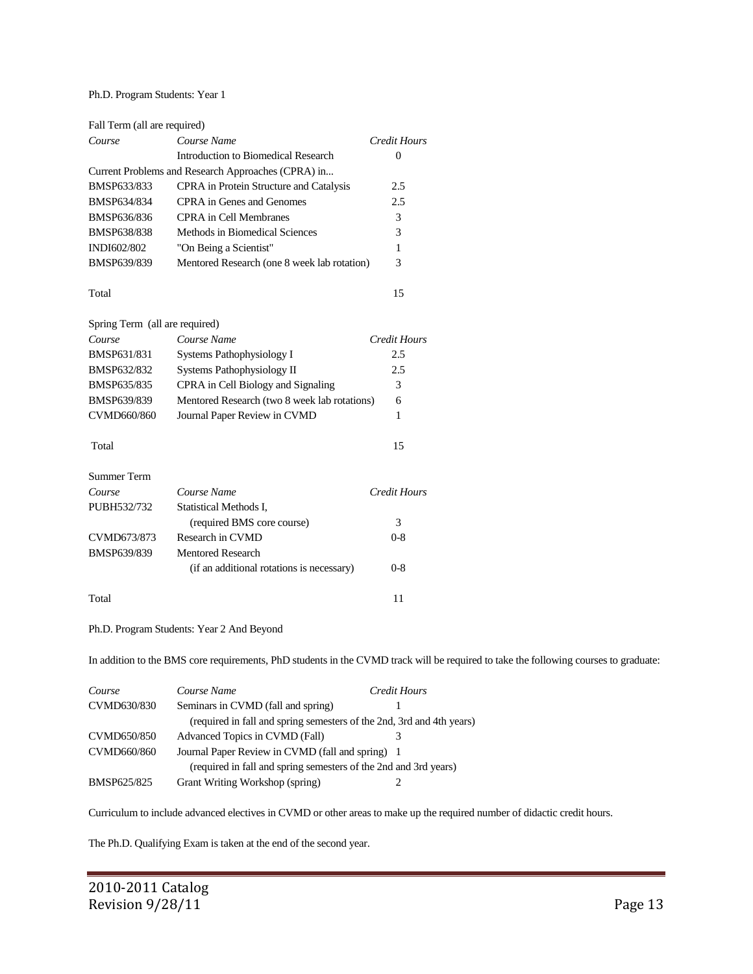### Ph.D. Program Students: Year 1

| Fall Term (all are required)   |                                                    |                     |  |
|--------------------------------|----------------------------------------------------|---------------------|--|
| Course                         | Course Name                                        | Credit Hours        |  |
|                                | <b>Introduction to Biomedical Research</b>         | $\Omega$            |  |
|                                | Current Problems and Research Approaches (CPRA) in |                     |  |
| <b>BMSP633/833</b>             | CPRA in Protein Structure and Catalysis            | 2.5                 |  |
| BMSP634/834                    | CPRA in Genes and Genomes                          | 2.5                 |  |
| BMSP636/836                    | <b>CPRA</b> in Cell Membranes                      | 3                   |  |
| BMSP638/838                    | Methods in Biomedical Sciences                     | 3                   |  |
| INDI602/802                    | "On Being a Scientist"                             | 1                   |  |
| BMSP639/839                    | Mentored Research (one 8 week lab rotation)        | 3                   |  |
|                                |                                                    |                     |  |
| Total                          |                                                    | 15                  |  |
|                                |                                                    |                     |  |
| Spring Term (all are required) |                                                    |                     |  |
| Course                         | Course Name                                        | <b>Credit Hours</b> |  |
| BMSP631/831                    | Systems Pathophysiology I                          | 2.5                 |  |
| BMSP632/832                    | Systems Pathophysiology II                         | 2.5                 |  |
| BMSP635/835                    | CPRA in Cell Biology and Signaling                 | 3                   |  |
| BMSP639/839                    | Mentored Research (two 8 week lab rotations)       | 6                   |  |
| CVMD660/860                    | Journal Paper Review in CVMD                       | 1                   |  |
|                                |                                                    |                     |  |
| Total                          |                                                    | 15                  |  |
|                                |                                                    |                     |  |
| <b>Summer Term</b>             |                                                    |                     |  |
| Course                         | Course Name                                        | <b>Credit Hours</b> |  |
| PUBH532/732                    | Statistical Methods I,                             |                     |  |
|                                | (required BMS core course)                         | 3                   |  |
| CVMD673/873                    | Research in CVMD                                   | $0 - 8$             |  |
| BMSP639/839                    | <b>Mentored Research</b>                           |                     |  |
|                                | (if an additional rotations is necessary)          | $0 - 8$             |  |
|                                |                                                    |                     |  |
| Total                          |                                                    | 11                  |  |
|                                |                                                    |                     |  |
|                                |                                                    |                     |  |

Ph.D. Program Students: Year 2 And Beyond

In addition to the BMS core requirements, PhD students in the CVMD track will be required to take the following courses to graduate:

| Course      | Course Name                                                           | Credit Hours |
|-------------|-----------------------------------------------------------------------|--------------|
| CVMD630/830 | Seminars in CVMD (fall and spring)                                    |              |
|             | (required in fall and spring semesters of the 2nd, 3rd and 4th years) |              |
| CVMD650/850 | Advanced Topics in CVMD (Fall)                                        |              |
| CVMD660/860 | Journal Paper Review in CVMD (fall and spring) 1                      |              |
|             | (required in fall and spring semesters of the 2nd and 3rd years)      |              |
| BMSP625/825 | Grant Writing Workshop (spring)                                       |              |

Curriculum to include advanced electives in CVMD or other areas to make up the required number of didactic credit hours.

The Ph.D. Qualifying Exam is taken at the end of the second year.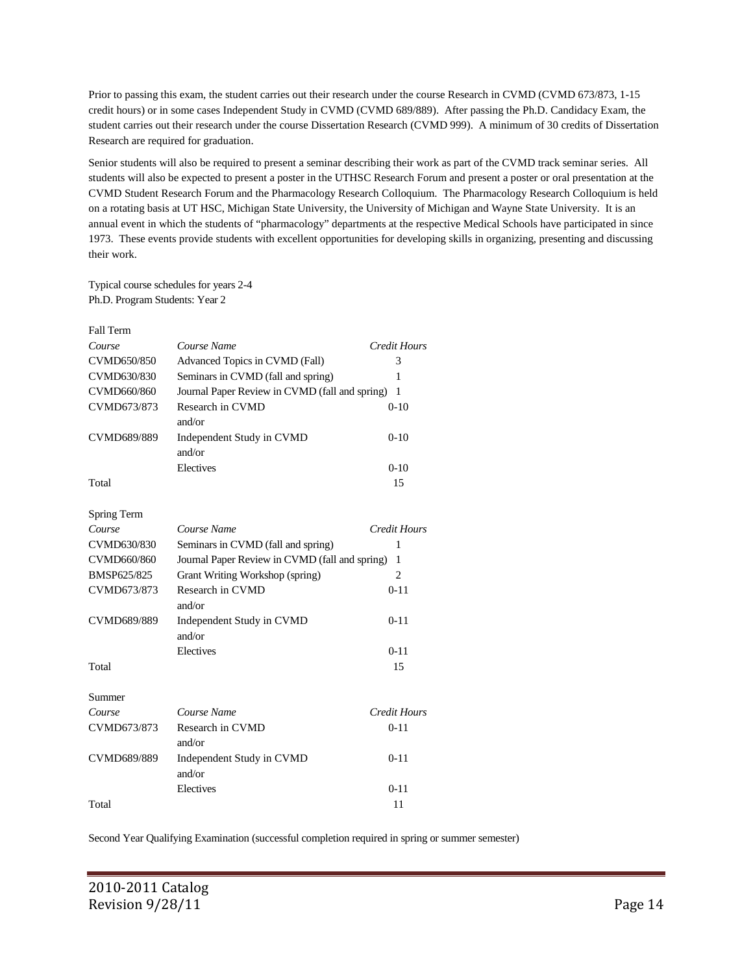Prior to passing this exam, the student carries out their research under the course Research in CVMD (CVMD 673/873, 1-15 credit hours) or in some cases Independent Study in CVMD (CVMD 689/889). After passing the Ph.D. Candidacy Exam, the student carries out their research under the course Dissertation Research (CVMD 999). A minimum of 30 credits of Dissertation Research are required for graduation.

Senior students will also be required to present a seminar describing their work as part of the CVMD track seminar series. All students will also be expected to present a poster in the UTHSC Research Forum and present a poster or oral presentation at the CVMD Student Research Forum and the Pharmacology Research Colloquium. The Pharmacology Research Colloquium is held on a rotating basis at UT HSC, Michigan State University, the University of Michigan and Wayne State University. It is an annual event in which the students of "pharmacology" departments at the respective Medical Schools have participated in since 1973. These events provide students with excellent opportunities for developing skills in organizing, presenting and discussing their work.

Typical course schedules for years 2-4 Ph.D. Program Students: Year 2

Fall Term

| Course      | Course Name                                    | <b>Credit Hours</b> |
|-------------|------------------------------------------------|---------------------|
| CVMD650/850 | Advanced Topics in CVMD (Fall)                 | 3                   |
| CVMD630/830 | Seminars in CVMD (fall and spring)             | 1                   |
| CVMD660/860 | Journal Paper Review in CVMD (fall and spring) | $\mathbf{1}$        |
| CVMD673/873 | Research in CVMD                               | $0-10$              |
|             | and/or                                         |                     |
| CVMD689/889 | Independent Study in CVMD                      | $0-10$              |
|             | and/or                                         |                     |
|             | Electives                                      | $0-10$              |
| Total       |                                                | 15                  |
| Spring Term |                                                |                     |
| Course      | Course Name                                    | <b>Credit Hours</b> |
| CVMD630/830 | Seminars in CVMD (fall and spring)             | 1                   |
| CVMD660/860 | Journal Paper Review in CVMD (fall and spring) | 1                   |
| BMSP625/825 | Grant Writing Workshop (spring)                | $\overline{2}$      |
| CVMD673/873 | Research in CVMD                               | $0 - 11$            |
|             | and/or                                         |                     |
| CVMD689/889 | Independent Study in CVMD                      | $0 - 11$            |
|             | and/or                                         |                     |
|             | Electives                                      | $0 - 11$            |
| Total       |                                                | 15                  |
| Summer      |                                                |                     |
| Course      | Course Name                                    | Credit Hours        |
| CVMD673/873 | Research in CVMD                               | $0 - 11$            |
|             | and/or                                         |                     |
| CVMD689/889 | Independent Study in CVMD                      | $0 - 11$            |
|             | and/or                                         |                     |
|             | Electives                                      | $0 - 11$            |
| Total       |                                                | 11                  |

Second Year Qualifying Examination (successful completion required in spring or summer semester)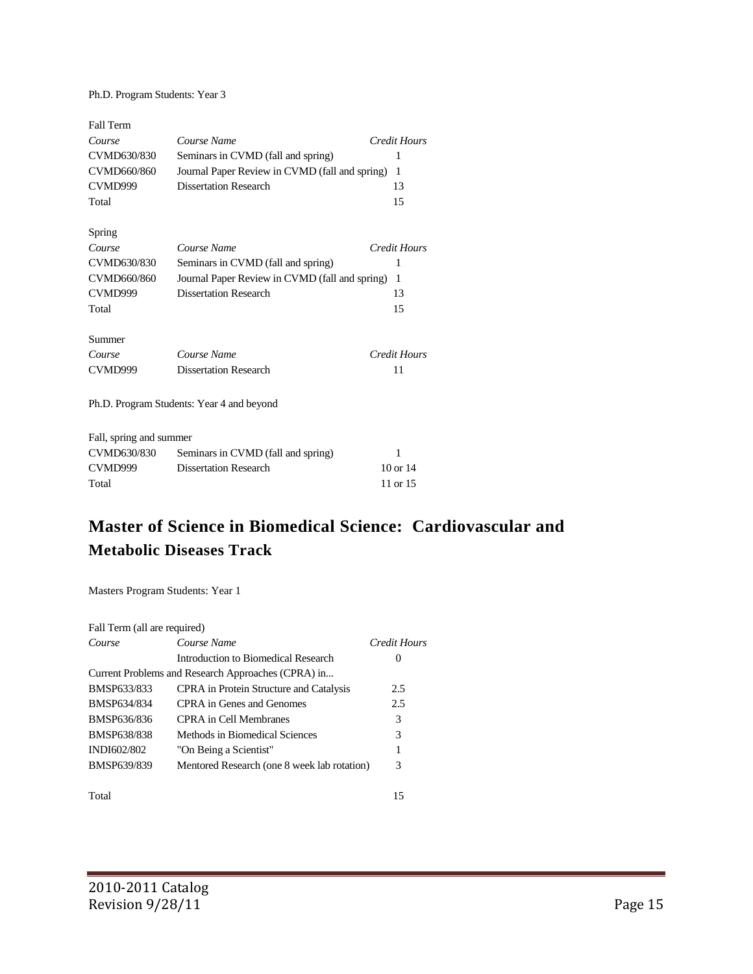Ph.D. Program Students: Year 3

| Fall Term               |                                                |              |
|-------------------------|------------------------------------------------|--------------|
| Course                  | Course Name                                    | Credit Hours |
| CVMD630/830             | Seminars in CVMD (fall and spring)             | 1            |
| CVMD660/860             | Journal Paper Review in CVMD (fall and spring) | 1            |
| CVMD999                 | <b>Dissertation Research</b>                   | 13           |
| Total                   |                                                | 15           |
| Spring                  |                                                |              |
| Course                  | Course Name                                    | Credit Hours |
| CVMD630/830             | Seminars in CVMD (fall and spring)             | 1            |
| CVMD660/860             | Journal Paper Review in CVMD (fall and spring) | 1            |
| CVMD999                 | <b>Dissertation Research</b>                   | 13           |
| Total                   |                                                | 15           |
| Summer                  |                                                |              |
| Course                  | Course Name                                    | Credit Hours |
| CVMD999                 | <b>Dissertation Research</b>                   | 11           |
|                         | Ph.D. Program Students: Year 4 and beyond      |              |
| Fall, spring and summer |                                                |              |
| CVMD630/830             | Seminars in CVMD (fall and spring)             | 1            |
| CVMD999                 | <b>Dissertation Research</b>                   | 10 or 14     |

Total 11 or 15

# **Master of Science in Biomedical Science: Cardiovascular and Metabolic Diseases Track**

Masters Program Students: Year 1

| Fall Term (all are required)                       |                                             |
|----------------------------------------------------|---------------------------------------------|
| Course Name                                        | Credit Hours                                |
| Introduction to Biomedical Research                | $\theta$                                    |
| Current Problems and Research Approaches (CPRA) in |                                             |
| <b>CPRA</b> in Protein Structure and Catalysis     | 2.5                                         |
| CPRA in Genes and Genomes                          | 2.5                                         |
| CPRA in Cell Membranes                             | 3                                           |
| Methods in Biomedical Sciences                     | 3                                           |
| "On Being a Scientist"                             | 1                                           |
|                                                    | 3                                           |
|                                                    | 15                                          |
|                                                    | Mentored Research (one 8 week lab rotation) |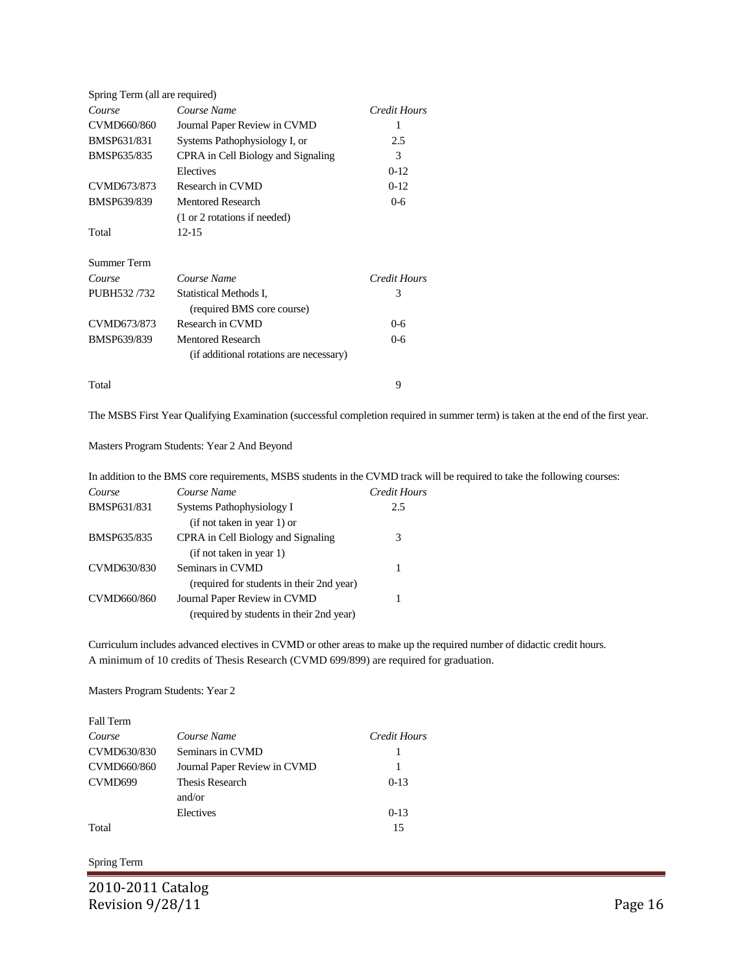| Spring Term (all are required) |                                         |              |  |
|--------------------------------|-----------------------------------------|--------------|--|
| Course                         | Course Name                             | Credit Hours |  |
| CVMD660/860                    | Journal Paper Review in CVMD            | 1            |  |
| <b>BMSP631/831</b>             | Systems Pathophysiology I, or           | 2.5          |  |
| BMSP635/835                    | CPRA in Cell Biology and Signaling      | 3            |  |
|                                | Electives                               | $0-12$       |  |
| CVMD673/873                    | Research in CVMD                        | $0-12$       |  |
| BMSP639/839                    | <b>Mentored Research</b>                | $0 - 6$      |  |
|                                | (1 or 2 rotations if needed)            |              |  |
| Total                          | $12 - 15$                               |              |  |
|                                |                                         |              |  |
| <b>Summer Term</b>             |                                         |              |  |
| Course                         | Course Name                             | Credit Hours |  |
| PUBH532/732                    | Statistical Methods I,                  | 3            |  |
|                                | (required BMS core course)              |              |  |
| CVMD673/873                    | Research in CVMD                        | $0 - 6$      |  |
| BMSP639/839                    | <b>Mentored Research</b>                | $0 - 6$      |  |
|                                | (if additional rotations are necessary) |              |  |
|                                |                                         |              |  |
| Total                          |                                         | 9            |  |
|                                |                                         |              |  |

The MSBS First Year Qualifying Examination (successful completion required in summer term) is taken at the end of the first year.

### Masters Program Students: Year 2 And Beyond

In addition to the BMS core requirements, MSBS students in the CVMD track will be required to take the following courses:

| Course      | Course Name                               | Credit Hours |
|-------------|-------------------------------------------|--------------|
| BMSP631/831 | Systems Pathophysiology I                 | 2.5          |
|             | (if not taken in year 1) or               |              |
| BMSP635/835 | CPRA in Cell Biology and Signaling        | 3            |
|             | (if not taken in year 1)                  |              |
| CVMD630/830 | Seminars in CVMD                          |              |
|             | (required for students in their 2nd year) |              |
| CVMD660/860 | Journal Paper Review in CVMD              |              |
|             | (required by students in their 2nd year)  |              |

Curriculum includes advanced electives in CVMD or other areas to make up the required number of didactic credit hours. A minimum of 10 credits of Thesis Research (CVMD 699/899) are required for graduation.

#### Masters Program Students: Year 2

| Course Name                  | Credit Hours |
|------------------------------|--------------|
| Seminars in CVMD             |              |
| Journal Paper Review in CVMD | 1            |
| Thesis Research              | $0-13$       |
| and/or                       |              |
| Electives                    | $0-13$       |
|                              | 15           |
|                              |              |

Spring Term

2010-2011 Catalog Revision 9/28/11 Page 16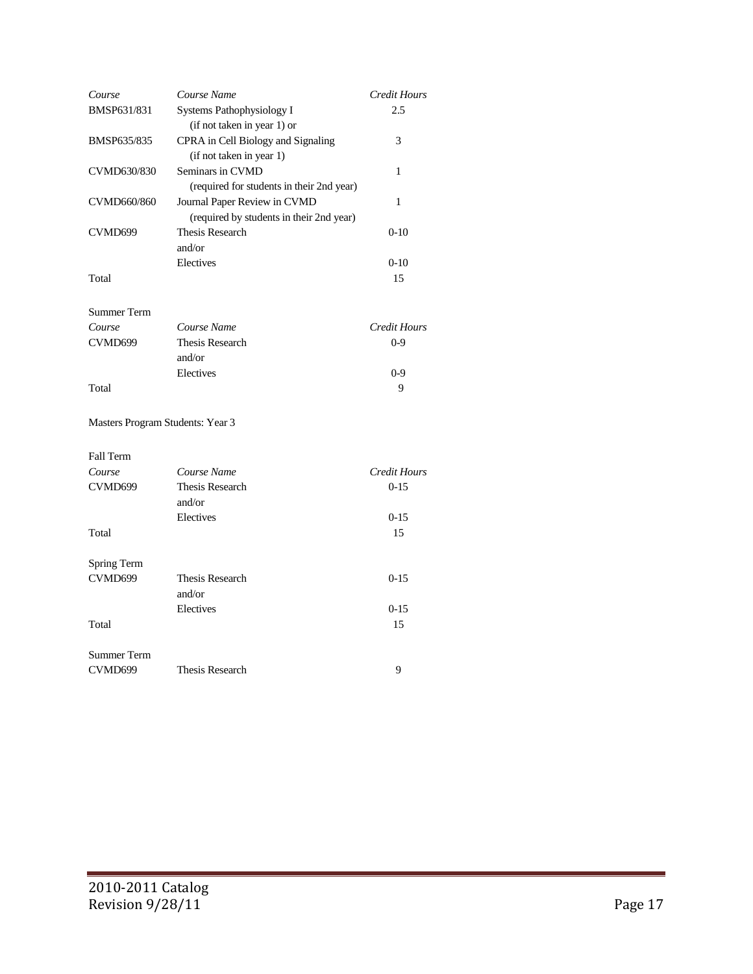| Course                           | Course Name                               | Credit Hours |
|----------------------------------|-------------------------------------------|--------------|
| BMSP631/831                      | Systems Pathophysiology I                 | 2.5          |
|                                  | (if not taken in year 1) or               |              |
| BMSP635/835                      | CPRA in Cell Biology and Signaling        | 3            |
|                                  | (if not taken in year 1)                  |              |
| CVMD630/830                      | Seminars in CVMD                          | 1            |
|                                  | (required for students in their 2nd year) |              |
| CVMD660/860                      | Journal Paper Review in CVMD              | 1            |
|                                  | (required by students in their 2nd year)  |              |
| CVMD699                          | <b>Thesis Research</b>                    | $0-10$       |
|                                  | and/or                                    |              |
|                                  | Electives                                 | $0-10$       |
| Total                            |                                           | 15           |
|                                  |                                           |              |
| Summer Term                      |                                           |              |
| Course                           | Course Name                               | Credit Hours |
| CVMD699                          | <b>Thesis Research</b>                    | $0 - 9$      |
|                                  | and/or                                    |              |
|                                  | Electives                                 | $0 - 9$      |
| Total                            |                                           | 9            |
|                                  |                                           |              |
| Masters Program Students: Year 3 |                                           |              |
|                                  |                                           |              |
| <b>Fall Term</b>                 |                                           |              |
| Course                           | Course Name                               | Credit Hours |
| CVMD699                          | <b>Thesis Research</b>                    | $0-15$       |
|                                  | and/or                                    |              |
|                                  | Electives                                 | $0-15$       |
| Total                            |                                           | 15           |
|                                  |                                           |              |
| Spring Term                      |                                           |              |
| CVMD699                          | <b>Thesis Research</b>                    | $0-15$       |
|                                  | and/or                                    |              |
|                                  | Electives                                 | $0-15$       |
| Total                            |                                           | 15           |
|                                  |                                           |              |
| <b>Summer Term</b>               |                                           |              |

| -------------------- |                 |  |
|----------------------|-----------------|--|
| CVMD699              | Thesis Research |  |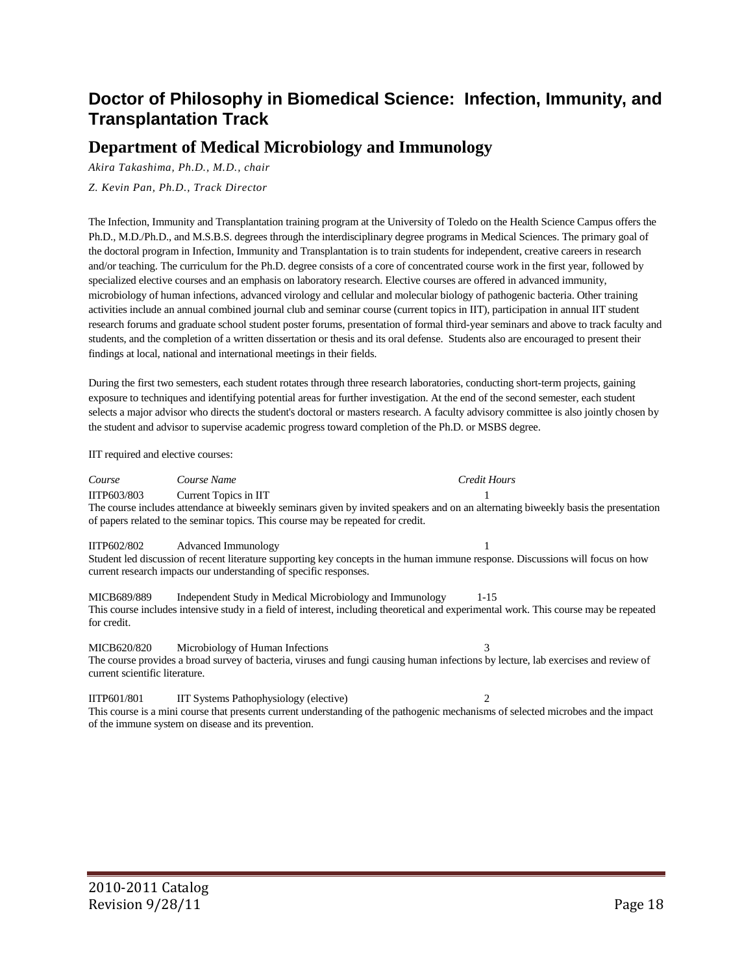# **Doctor of Philosophy in Biomedical Science: Infection, Immunity, and Transplantation Track**

### **Department of Medical Microbiology and Immunology**

*Akira Takashima, Ph.D., M.D., chair*

*Z. Kevin Pan, Ph.D., Track Director*

The Infection, Immunity and Transplantation training program at the University of Toledo on the Health Science Campus offers the Ph.D., M.D./Ph.D., and M.S.B.S. degrees through the interdisciplinary degree programs in Medical Sciences. The primary goal of the doctoral program in Infection, Immunity and Transplantation is to train students for independent, creative careers in research and/or teaching. The curriculum for the Ph.D. degree consists of a core of concentrated course work in the first year, followed by specialized elective courses and an emphasis on laboratory research. Elective courses are offered in advanced immunity, microbiology of human infections, advanced virology and cellular and molecular biology of pathogenic bacteria. Other training activities include an annual combined journal club and seminar course (current topics in IIT), participation in annual IIT student research forums and graduate school student poster forums, presentation of formal third-year seminars and above to track faculty and students, and the completion of a written dissertation or thesis and its oral defense. Students also are encouraged to present their findings at local, national and international meetings in their fields.

During the first two semesters, each student rotates through three research laboratories, conducting short-term projects, gaining exposure to techniques and identifying potential areas for further investigation. At the end of the second semester, each student selects a major advisor who directs the student's doctoral or masters research. A faculty advisory committee is also jointly chosen by the student and advisor to supervise academic progress toward completion of the Ph.D. or MSBS degree.

IIT required and elective courses:

*Course Course Name Credit Hours* IITP603/803 Current Topics in IIT 1 The course includes attendance at biweekly seminars given by invited speakers and on an alternating biweekly basis the presentation of papers related to the seminar topics. This course may be repeated for credit. IITP602/802 Advanced Immunology 1 Student led discussion of recent literature supporting key concepts in the human immune response. Discussions will focus on how current research impacts our understanding of specific responses.

MICB689/889 Independent Study in Medical Microbiology and Immunology 1-15 This course includes intensive study in a field of interest, including theoretical and experimental work. This course may be repeated for credit.

MICB620/820 Microbiology of Human Infections 3 The course provides a broad survey of bacteria, viruses and fungi causing human infections by lecture, lab exercises and review of current scientific literature.

IITP601/801 IIT Systems Pathophysiology (elective) 2 This course is a mini course that presents current understanding of the pathogenic mechanisms of selected microbes and the impact of the immune system on disease and its prevention.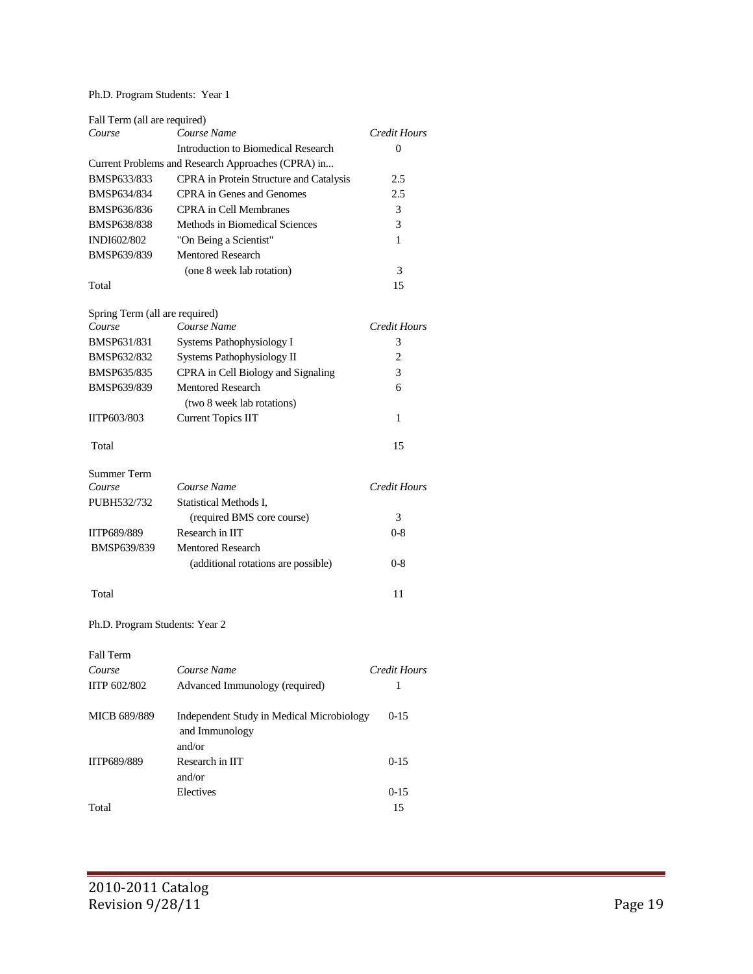### Ph.D. Program Students: Year 1

| Fall Term (all are required)   |                                                                       |                |
|--------------------------------|-----------------------------------------------------------------------|----------------|
| Course                         | Course Name                                                           | Credit Hours   |
|                                | Introduction to Biomedical Research                                   | 0              |
|                                | Current Problems and Research Approaches (CPRA) in                    |                |
| BMSP633/833                    | CPRA in Protein Structure and Catalysis                               | 2.5            |
| BMSP634/834                    | <b>CPRA</b> in Genes and Genomes                                      | 2.5            |
| BMSP636/836                    | <b>CPRA</b> in Cell Membranes                                         | 3              |
| <b>BMSP638/838</b>             | Methods in Biomedical Sciences                                        | 3              |
| INDI602/802                    | "On Being a Scientist"                                                | 1              |
| BMSP639/839                    | <b>Mentored Research</b>                                              |                |
|                                | (one 8 week lab rotation)                                             | 3              |
| Total                          |                                                                       | 15             |
| Spring Term (all are required) |                                                                       |                |
| Course                         | Course Name                                                           | Credit Hours   |
| BMSP631/831                    | Systems Pathophysiology I                                             | 3              |
| BMSP632/832                    | Systems Pathophysiology II                                            | $\overline{c}$ |
| BMSP635/835                    | CPRA in Cell Biology and Signaling                                    | 3              |
| BMSP639/839                    | <b>Mentored Research</b>                                              | 6              |
|                                | (two 8 week lab rotations)                                            |                |
| IITP603/803                    | <b>Current Topics IIT</b>                                             | 1              |
| Total                          |                                                                       | 15             |
| Summer Term                    |                                                                       |                |
| Course                         | Course Name                                                           | Credit Hours   |
| PUBH532/732                    | Statistical Methods I,                                                |                |
|                                | (required BMS core course)                                            | 3              |
| IITP689/889                    | Research in IIT                                                       | $0 - 8$        |
| BMSP639/839                    | <b>Mentored Research</b>                                              |                |
|                                | (additional rotations are possible)                                   | $0 - 8$        |
| Total                          |                                                                       | 11             |
| Ph.D. Program Students: Year 2 |                                                                       |                |
| Fall Term                      |                                                                       |                |
| Course                         | Course Name                                                           | Credit Hours   |
| <b>IITP 602/802</b>            | Advanced Immunology (required)                                        | 1              |
| MICB 689/889                   | Independent Study in Medical Microbiology<br>and Immunology<br>and/or | $0-15$         |
| IITP689/889                    | Research in IIT                                                       | $0 - 15$       |
|                                | and/or                                                                |                |
|                                | Electives                                                             | $0 - 15$       |
| Total                          |                                                                       | 15             |
|                                |                                                                       |                |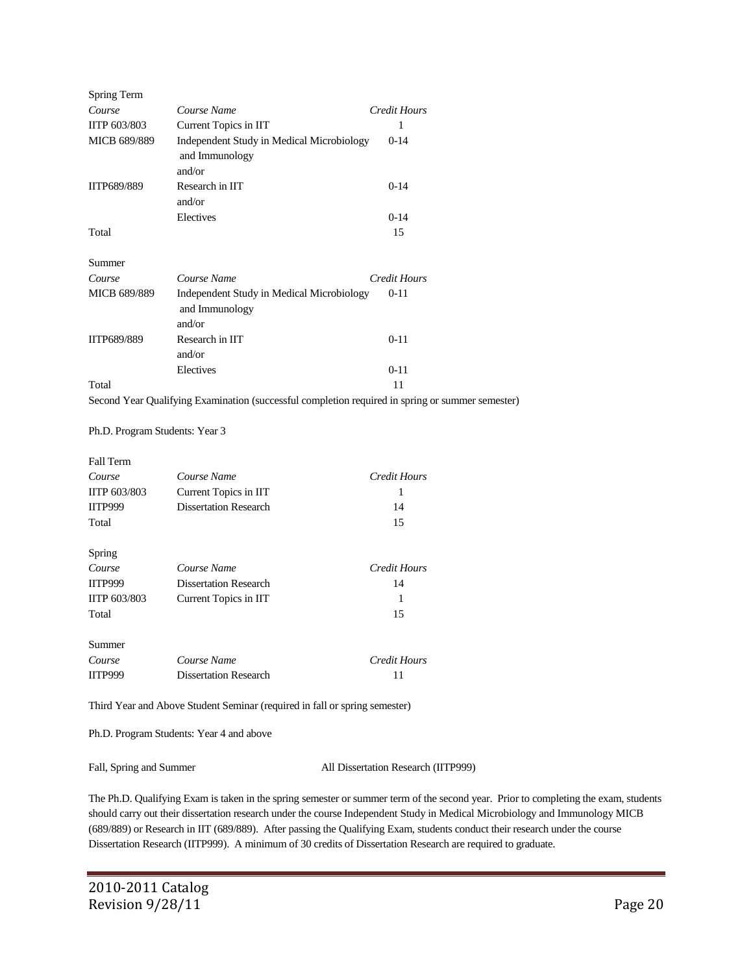| Spring Term  |                                                                       |              |
|--------------|-----------------------------------------------------------------------|--------------|
| Course       | Course Name                                                           | Credit Hours |
| IITP 603/803 | Current Topics in IIT                                                 | 1            |
| MICB 689/889 | Independent Study in Medical Microbiology<br>and Immunology<br>and/or | $0-14$       |
| IITP689/889  | Research in IIT<br>and/or                                             | $0-14$       |
|              | Electives                                                             | $0-14$       |
| Total        |                                                                       | 15           |
| Summer       |                                                                       |              |
| Course       | Course Name                                                           | Credit Hours |
| MICB 689/889 | Independent Study in Medical Microbiology<br>and Immunology<br>and/or | $0 - 11$     |
| IITP689/889  | Research in IIT<br>and/or                                             | $0 - 11$     |
|              | Electives                                                             | $0 - 11$     |
| Total        |                                                                       | 11           |

Second Year Qualifying Examination (successful completion required in spring or summer semester)

### Ph.D. Program Students: Year 3

| Fall Term      |                              |              |
|----------------|------------------------------|--------------|
| Course         | Course Name                  | Credit Hours |
| IITP 603/803   | Current Topics in IIT        |              |
| <b>IITP999</b> | <b>Dissertation Research</b> | 14           |
| Total          |                              | 15           |
| Spring         |                              |              |
| Course         | Course Name                  | Credit Hours |
| <b>IITP999</b> | <b>Dissertation Research</b> | 14           |
| IITP 603/803   | Current Topics in IIT        | 1            |
| Total          |                              | 15           |
| Summer         |                              |              |
| Course         | Course Name                  | Credit Hours |
| <b>IITP999</b> | <b>Dissertation Research</b> | 11           |

Third Year and Above Student Seminar (required in fall or spring semester)

Ph.D. Program Students: Year 4 and above

Fall, Spring and Summer All Dissertation Research (IITP999)

The Ph.D. Qualifying Exam is taken in the spring semester or summer term of the second year. Prior to completing the exam, students should carry out their dissertation research under the course Independent Study in Medical Microbiology and Immunology MICB (689/889) or Research in IIT (689/889). After passing the Qualifying Exam, students conduct their research under the course Dissertation Research (IITP999). A minimum of 30 credits of Dissertation Research are required to graduate.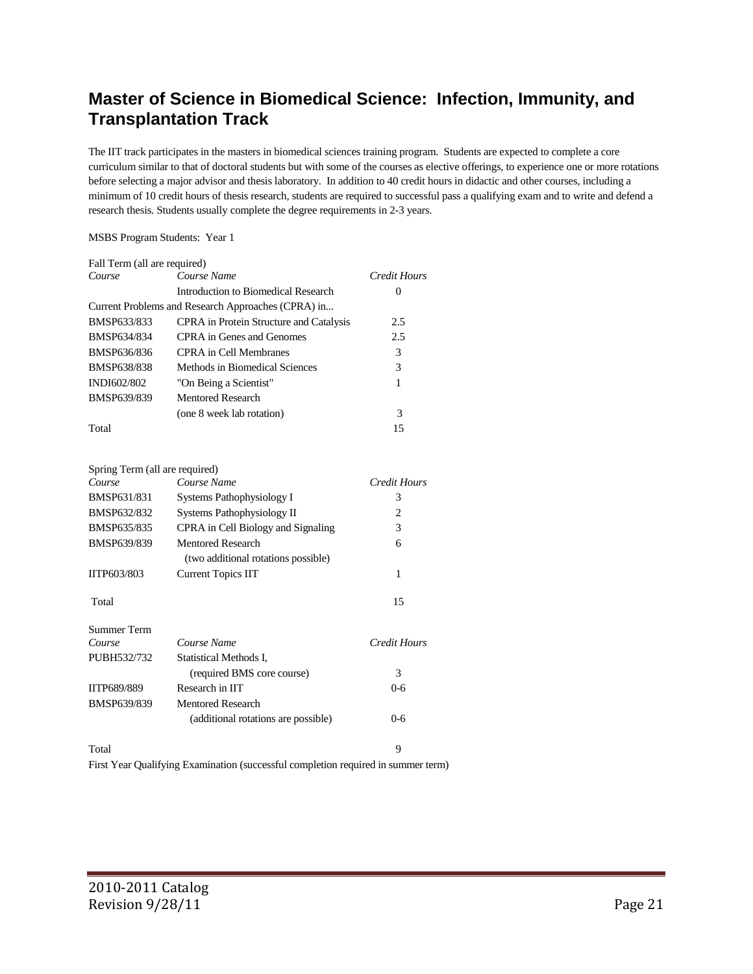# **Master of Science in Biomedical Science: Infection, Immunity, and Transplantation Track**

The IIT track participates in the masters in biomedical sciences training program. Students are expected to complete a core curriculum similar to that of doctoral students but with some of the courses as elective offerings, to experience one or more rotations before selecting a major advisor and thesis laboratory. In addition to 40 credit hours in didactic and other courses, including a minimum of 10 credit hours of thesis research, students are required to successful pass a qualifying exam and to write and defend a research thesis. Students usually complete the degree requirements in 2-3 years.

### MSBS Program Students: Year 1

| Fall Term (all are required)             |                                                    |                     |
|------------------------------------------|----------------------------------------------------|---------------------|
| Course                                   | Course Name                                        | <b>Credit Hours</b> |
|                                          | <b>Introduction to Biomedical Research</b>         | 0                   |
|                                          | Current Problems and Research Approaches (CPRA) in |                     |
| BMSP633/833                              | CPRA in Protein Structure and Catalysis            | 2.5                 |
| BMSP634/834                              | CPRA in Genes and Genomes                          | 2.5                 |
| BMSP636/836                              | <b>CPRA</b> in Cell Membranes                      | 3                   |
| BMSP638/838                              | Methods in Biomedical Sciences                     | 3                   |
| INDI602/802                              | "On Being a Scientist"                             | $\mathbf{1}$        |
| BMSP639/839                              | <b>Mentored Research</b>                           |                     |
|                                          | (one 8 week lab rotation)                          | 3                   |
| Total                                    |                                                    | 15                  |
|                                          |                                                    |                     |
|                                          |                                                    |                     |
| Spring Term (all are required)<br>Course | Course Name                                        | Credit Hours        |
| BMSP631/831                              | Systems Pathophysiology I                          | 3                   |
| BMSP632/832                              | Systems Pathophysiology II                         | 2                   |
| BMSP635/835                              | CPRA in Cell Biology and Signaling                 | 3                   |
| BMSP639/839                              | <b>Mentored Research</b>                           | 6                   |
|                                          | (two additional rotations possible)                |                     |
| IITP603/803                              | <b>Current Topics IIT</b>                          | 1                   |
|                                          |                                                    |                     |
| Total                                    |                                                    | 15                  |
| <b>Summer Term</b>                       |                                                    |                     |
| Course                                   | Course Name                                        | <b>Credit Hours</b> |
| PUBH532/732                              | <b>Statistical Methods I,</b>                      |                     |
|                                          | (required BMS core course)                         | 3                   |
| IITP689/889                              | Research in IIT                                    | $0 - 6$             |
| BMSP639/839                              | <b>Mentored Research</b>                           |                     |
|                                          | (additional rotations are possible)                | $0 - 6$             |

Total 9 First Year Qualifying Examination (successful completion required in summer term)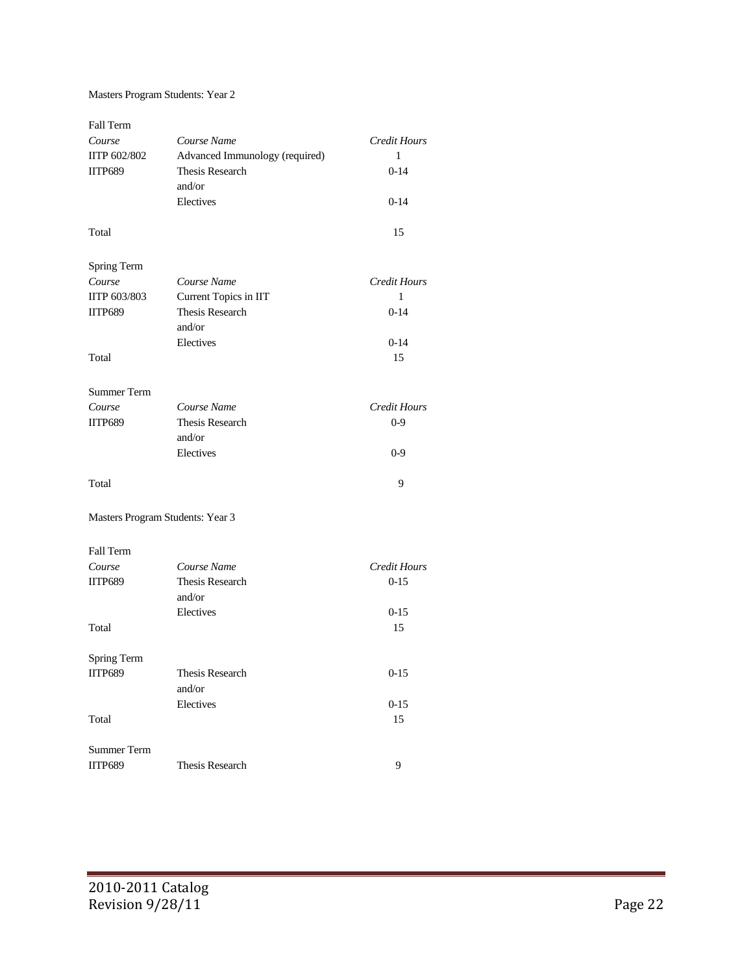### Masters Program Students: Year 2

| Fall Term                        |                                |                     |
|----------------------------------|--------------------------------|---------------------|
| Course                           | Course Name                    | Credit Hours        |
| IITP 602/802                     | Advanced Immunology (required) | 1                   |
| <b>IITP689</b>                   | Thesis Research                | $0-14$              |
|                                  | and/or                         |                     |
|                                  | Electives                      | $0 - 14$            |
| Total                            |                                | 15                  |
| Spring Term                      |                                |                     |
| Course                           | Course Name                    | <b>Credit Hours</b> |
| IITP 603/803                     | Current Topics in IIT          | 1                   |
| <b>IITP689</b>                   | Thesis Research                | $0-14$              |
|                                  | and/or                         |                     |
|                                  | Electives                      | $0 - 14$            |
| Total                            |                                | 15                  |
| Summer Term                      |                                |                     |
| Course                           | Course Name                    | Credit Hours        |
| <b>IITP689</b>                   | <b>Thesis Research</b>         | $0 - 9$             |
|                                  | and/or                         |                     |
|                                  | Electives                      | $0 - 9$             |
| Total                            |                                | 9                   |
| Masters Program Students: Year 3 |                                |                     |
| Fall Term                        |                                |                     |
| Course                           | Course Name                    | <b>Credit Hours</b> |
| <b>IITP689</b>                   | <b>Thesis Research</b>         | $0 - 15$            |
|                                  | and/or                         |                     |
|                                  | Electives                      | $0 - 15$            |
| Total                            |                                | 15                  |
| Spring Term                      |                                |                     |
| <b>ILLLE089</b>                  | Thesis Research                | $0 - 15$            |
|                                  | and/or                         |                     |
|                                  | Electives                      | $0 - 15$            |
| Total                            |                                | 15                  |
| Summer Term                      |                                |                     |
| <b>IITP689</b>                   | Thesis Research                | 9                   |
|                                  |                                |                     |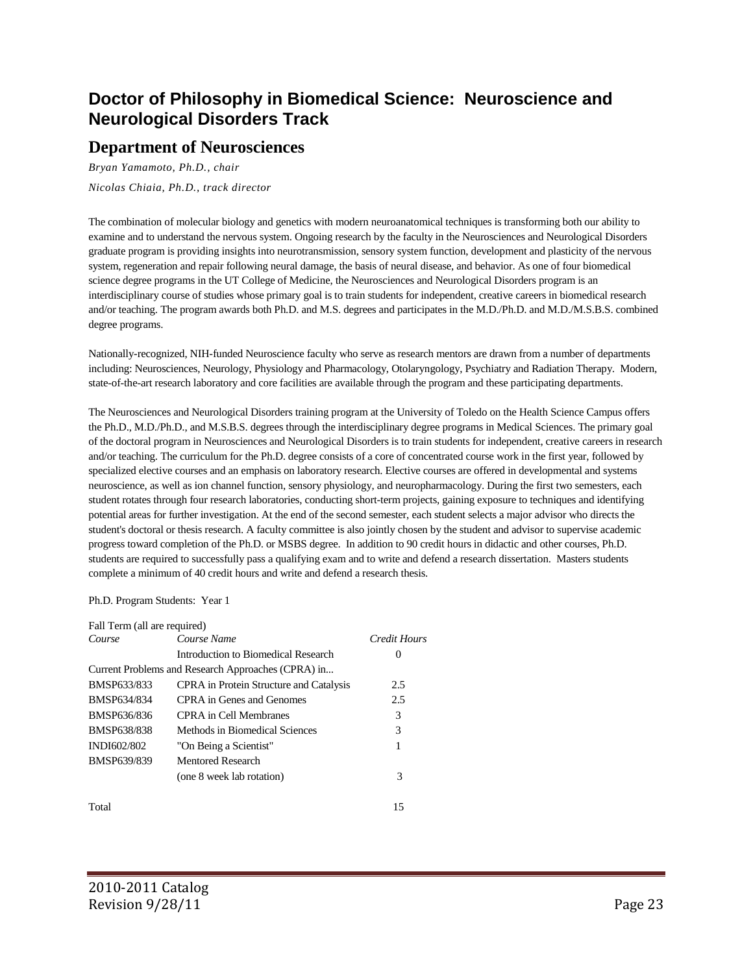# **Doctor of Philosophy in Biomedical Science: Neuroscience and Neurological Disorders Track**

### **Department of Neurosciences**

*Bryan Yamamoto, Ph.D., chair Nicolas Chiaia, Ph.D., track director*

The combination of molecular biology and genetics with modern neuroanatomical techniques is transforming both our ability to examine and to understand the nervous system. Ongoing research by the faculty in the Neurosciences and Neurological Disorders graduate program is providing insights into neurotransmission, sensory system function, development and plasticity of the nervous system, regeneration and repair following neural damage, the basis of neural disease, and behavior. As one of four biomedical science degree programs in the UT College of Medicine, the Neurosciences and Neurological Disorders program is an interdisciplinary course of studies whose primary goal is to train students for independent, creative careers in biomedical research and/or teaching. The program awards both Ph.D. and M.S. degrees and participates in the M.D./Ph.D. and M.D./M.S.B.S. combined degree programs.

Nationally-recognized, NIH-funded Neuroscience faculty who serve as research mentors are drawn from a number of departments including: Neurosciences, Neurology, Physiology and Pharmacology, Otolaryngology, Psychiatry and Radiation Therapy. Modern, state-of-the-art research laboratory and core facilities are available through the program and these participating departments.

The Neurosciences and Neurological Disorders training program at the University of Toledo on the Health Science Campus offers the Ph.D., M.D./Ph.D., and M.S.B.S. degrees through the interdisciplinary degree programs in Medical Sciences. The primary goal of the doctoral program in Neurosciences and Neurological Disorders is to train students for independent, creative careers in research and/or teaching. The curriculum for the Ph.D. degree consists of a core of concentrated course work in the first year, followed by specialized elective courses and an emphasis on laboratory research. Elective courses are offered in developmental and systems neuroscience, as well as ion channel function, sensory physiology, and neuropharmacology. During the first two semesters, each student rotates through four research laboratories, conducting short-term projects, gaining exposure to techniques and identifying potential areas for further investigation. At the end of the second semester, each student selects a major advisor who directs the student's doctoral or thesis research. A faculty committee is also jointly chosen by the student and advisor to supervise academic progress toward completion of the Ph.D. or MSBS degree. In addition to 90 credit hours in didactic and other courses, Ph.D. students are required to successfully pass a qualifying exam and to write and defend a research dissertation. Masters students complete a minimum of 40 credit hours and write and defend a research thesis.

Ph.D. Program Students: Year 1

| Fall Term (all are required) |                                                    |              |
|------------------------------|----------------------------------------------------|--------------|
| Course                       | Course Name                                        | Credit Hours |
|                              | Introduction to Biomedical Research                | 0            |
|                              | Current Problems and Research Approaches (CPRA) in |              |
| BMSP633/833                  | CPRA in Protein Structure and Catalysis            | 2.5          |
| BMSP634/834                  | CPRA in Genes and Genomes                          | 2.5          |
| BMSP636/836                  | CPRA in Cell Membranes                             | 3            |
| <b>BMSP638/838</b>           | Methods in Biomedical Sciences                     | 3            |
| <b>INDI602/802</b>           | "On Being a Scientist"                             | 1            |
| BMSP639/839                  | Mentored Research                                  |              |
|                              | (one 8 week lab rotation)                          | 3            |
| Total                        |                                                    | 15           |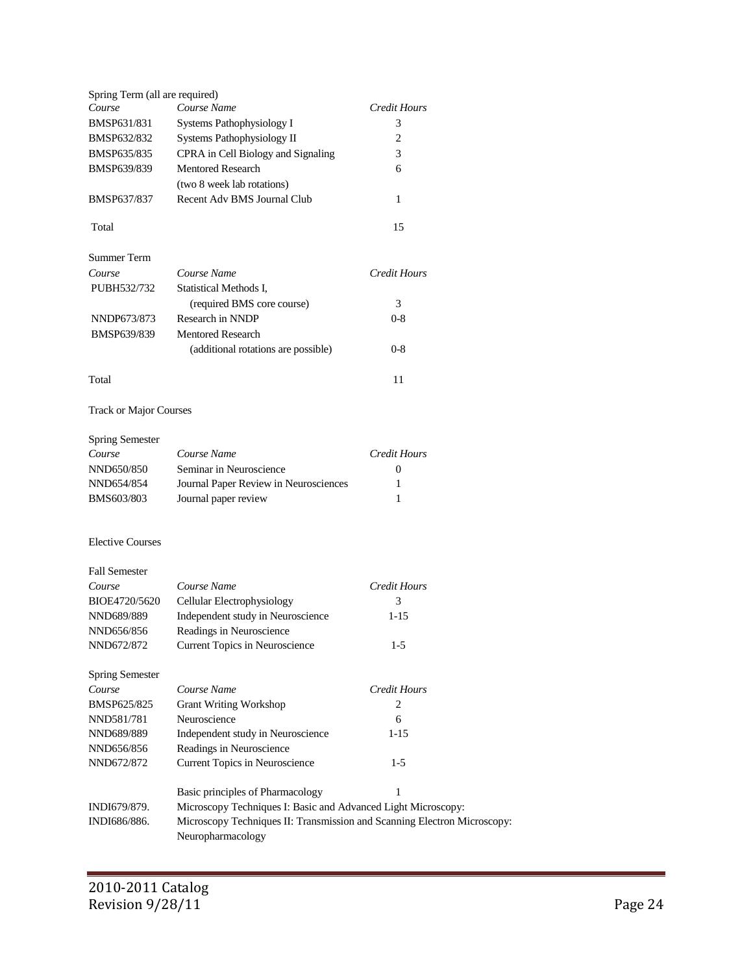| Spring Term (all are required) |                                                                          |                     |
|--------------------------------|--------------------------------------------------------------------------|---------------------|
| Course                         | Course Name                                                              | Credit Hours        |
| BMSP631/831                    | Systems Pathophysiology I                                                | 3                   |
| <b>BMSP632/832</b>             | Systems Pathophysiology II                                               | 2                   |
| BMSP635/835                    | CPRA in Cell Biology and Signaling                                       | 3                   |
| BMSP639/839                    | <b>Mentored Research</b>                                                 | 6                   |
| <b>BMSP637/837</b>             | (two 8 week lab rotations)<br>Recent Adv BMS Journal Club                | 1                   |
| Total                          |                                                                          | 15                  |
|                                |                                                                          |                     |
| <b>Summer Term</b>             |                                                                          |                     |
| Course                         | Course Name                                                              | Credit Hours        |
| PUBH532/732                    | Statistical Methods I,                                                   |                     |
|                                | (required BMS core course)                                               | 3                   |
| NNDP673/873                    | Research in NNDP                                                         | $0 - 8$             |
| BMSP639/839                    | <b>Mentored Research</b>                                                 |                     |
|                                | (additional rotations are possible)                                      | $0-8$               |
| Total                          |                                                                          | 11                  |
|                                |                                                                          |                     |
| <b>Track or Major Courses</b>  |                                                                          |                     |
| <b>Spring Semester</b>         |                                                                          |                     |
| Course                         | Course Name                                                              | Credit Hours        |
| NND650/850                     | Seminar in Neuroscience                                                  | $\overline{0}$      |
| NND654/854                     | Journal Paper Review in Neurosciences                                    | 1                   |
| <b>BMS603/803</b>              | Journal paper review                                                     | 1                   |
|                                |                                                                          |                     |
| <b>Elective Courses</b>        |                                                                          |                     |
| <b>Fall Semester</b>           |                                                                          |                     |
| Course                         | Course Name                                                              | Credit Hours        |
| BIOE4720/5620                  | Cellular Electrophysiology                                               | 3                   |
| NND689/889                     | Independent study in Neuroscience                                        | $1-15$              |
| NND656/856                     | Readings in Neuroscience                                                 |                     |
| NND672/872                     | Current Topics in Neuroscience                                           | $1-5$               |
| <b>Spring Semester</b>         |                                                                          |                     |
| Course                         | Course Name                                                              | <b>Credit Hours</b> |
| BMSP625/825                    | <b>Grant Writing Workshop</b>                                            | 2                   |
| NND581/781                     | Neuroscience                                                             | 6                   |
| NND689/889                     | Independent study in Neuroscience                                        | $1-15$              |
| NND656/856                     | Readings in Neuroscience                                                 |                     |
| NND672/872                     | Current Topics in Neuroscience                                           | $1-5$               |
|                                | Basic principles of Pharmacology                                         | 1                   |
| INDI679/879.                   | Microscopy Techniques I: Basic and Advanced Light Microscopy:            |                     |
| INDI686/886.                   | Microscopy Techniques II: Transmission and Scanning Electron Microscopy: |                     |
|                                | Neuropharmacology                                                        |                     |
|                                |                                                                          |                     |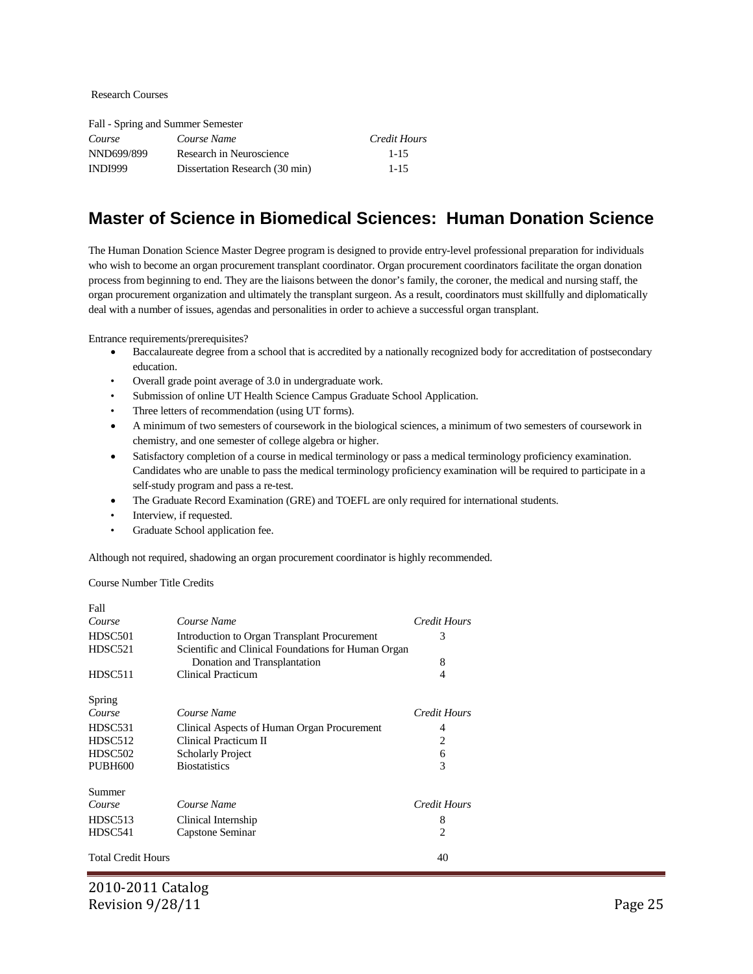Research Courses

Fall - Spring and Summer Semester *Course Course Name Credit Hours* NND699/899 Research in Neuroscience 1-15 INDI999 Dissertation Research (30 min) 1-15

# **Master of Science in Biomedical Sciences: Human Donation Science**

The Human Donation Science Master Degree program is designed to provide entry-level professional preparation for individuals who wish to become an organ procurement transplant coordinator. Organ procurement coordinators facilitate the organ donation process from beginning to end. They are the liaisons between the donor's family, the coroner, the medical and nursing staff, the organ procurement organization and ultimately the transplant surgeon. As a result, coordinators must skillfully and diplomatically deal with a number of issues, agendas and personalities in order to achieve a successful organ transplant.

Entrance requirements/prerequisites?

- Baccalaureate degree from a school that is accredited by a nationally recognized body for accreditation of postsecondary education.
- Overall grade point average of 3.0 in undergraduate work.
- Submission of online UT Health Science Campus Graduate School Application.
- Three letters of recommendation (using UT forms).
- A minimum of two semesters of coursework in the biological sciences, a minimum of two semesters of coursework in chemistry, and one semester of college algebra or higher.
- Satisfactory completion of a course in medical terminology or pass a medical terminology proficiency examination. Candidates who are unable to pass the medical terminology proficiency examination will be required to participate in a self-study program and pass a re-test.
- The Graduate Record Examination (GRE) and TOEFL are only required for international students.
- Interview, if requested.
- Graduate School application fee.

Although not required, shadowing an organ procurement coordinator is highly recommended.

Course Number Title Credits

| Fall                      |                                                     |                     |
|---------------------------|-----------------------------------------------------|---------------------|
| Course                    | Course Name                                         | Credit Hours        |
| HDSC501                   | Introduction to Organ Transplant Procurement        | 3                   |
| HDSC521                   | Scientific and Clinical Foundations for Human Organ |                     |
|                           | Donation and Transplantation                        | 8                   |
| HDSC511                   | <b>Clinical Practicum</b>                           | 4                   |
|                           |                                                     |                     |
| Spring                    |                                                     |                     |
| Course                    | Course Name                                         | <b>Credit Hours</b> |
| HDSC531                   | Clinical Aspects of Human Organ Procurement         | 4                   |
| HDSC512                   | Clinical Practicum II                               | 2                   |
| HDSC502                   | <b>Scholarly Project</b>                            | 6                   |
| <b>PUBH600</b>            | <b>Biostatistics</b>                                | 3                   |
|                           |                                                     |                     |
| Summer                    |                                                     |                     |
| Course                    | Course Name                                         | Credit Hours        |
| HDSC513                   | Clinical Internship                                 | 8                   |
| HDSC541                   | Capstone Seminar                                    | 2                   |
| <b>Total Credit Hours</b> |                                                     | 40                  |
|                           |                                                     |                     |

2010-2011 Catalog Revision 9/28/11 Page 25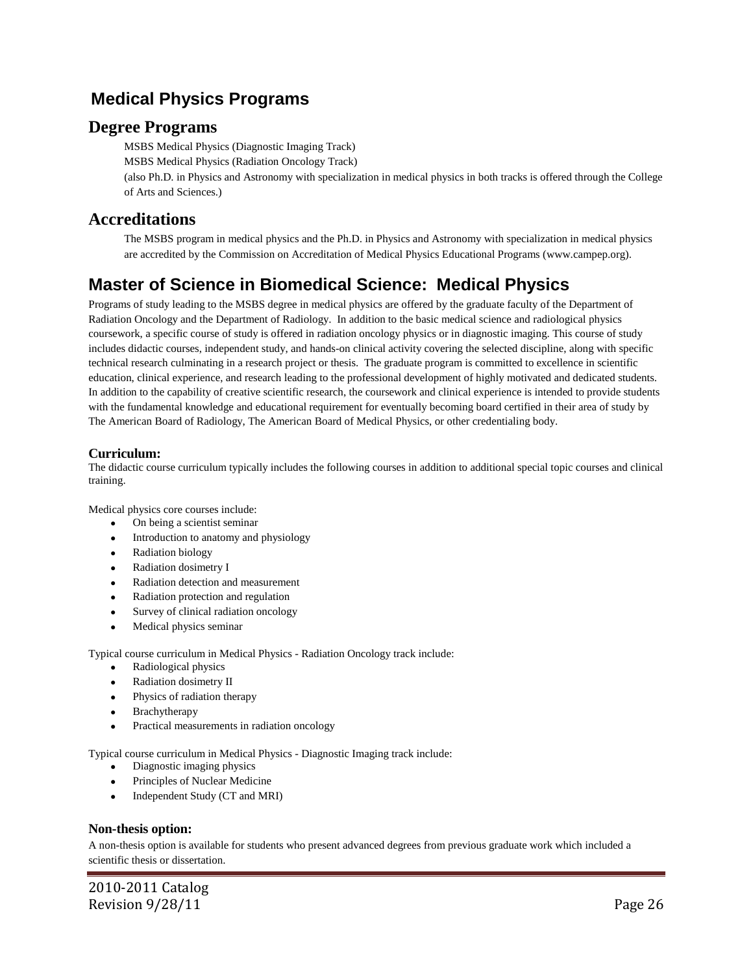# **Medical Physics Programs**

### **Degree Programs**

MSBS Medical Physics (Diagnostic Imaging Track)

MSBS Medical Physics (Radiation Oncology Track)

(also Ph.D. in Physics and Astronomy with specialization in medical physics in both tracks is offered through the College of Arts and Sciences.)

### **Accreditations**

The MSBS program in medical physics and the Ph.D. in Physics and Astronomy with specialization in medical physics are accredited by the Commission on Accreditation of Medical Physics Educational Programs (www.campep.org).

# **Master of Science in Biomedical Science: Medical Physics**

Programs of study leading to the MSBS degree in medical physics are offered by the graduate faculty of the Department of Radiation Oncology and the Department of Radiology. In addition to the basic medical science and radiological physics coursework, a specific course of study is offered in radiation oncology physics or in diagnostic imaging. This course of study includes didactic courses, independent study, and hands-on clinical activity covering the selected discipline, along with specific technical research culminating in a research project or thesis. The graduate program is committed to excellence in scientific education, clinical experience, and research leading to the professional development of highly motivated and dedicated students. In addition to the capability of creative scientific research, the coursework and clinical experience is intended to provide students with the fundamental knowledge and educational requirement for eventually becoming board certified in their area of study by The American Board of Radiology, The American Board of Medical Physics, or other credentialing body.

### **Curriculum:**

The didactic course curriculum typically includes the following courses in addition to additional special topic courses and clinical training.

Medical physics core courses include:

- On being a scientist seminar
- Introduction to anatomy and physiology
- Radiation biology
- Radiation dosimetry I
- Radiation detection and measurement
- Radiation protection and regulation
- Survey of clinical radiation oncology
- Medical physics seminar

Typical course curriculum in Medical Physics - Radiation Oncology track include:

- Radiological physics
- Radiation dosimetry II
- Physics of radiation therapy
- **Brachytherapy**
- Practical measurements in radiation oncology

Typical course curriculum in Medical Physics - Diagnostic Imaging track include:

- Diagnostic imaging physics
- Principles of Nuclear Medicine
- Independent Study (CT and MRI)

### **Non-thesis option:**

A non-thesis option is available for students who present advanced degrees from previous graduate work which included a scientific thesis or dissertation.

2010-2011 Catalog Revision 9/28/11 Page 26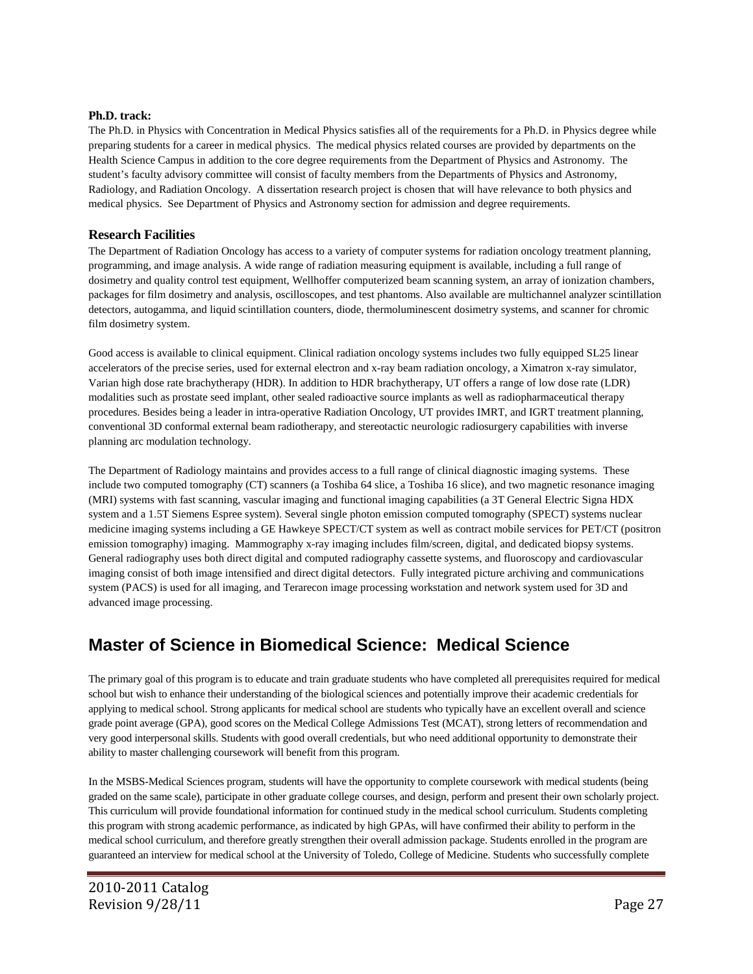### **Ph.D. track:**

The Ph.D. in Physics with Concentration in Medical Physics satisfies all of the requirements for a Ph.D. in Physics degree while preparing students for a career in medical physics. The medical physics related courses are provided by departments on the Health Science Campus in addition to the core degree requirements from the Department of Physics and Astronomy. The student's faculty advisory committee will consist of faculty members from the Departments of Physics and Astronomy, Radiology, and Radiation Oncology. A dissertation research project is chosen that will have relevance to both physics and medical physics. See Department of Physics and Astronomy section for admission and degree requirements.

### **Research Facilities**

The Department of Radiation Oncology has access to a variety of computer systems for radiation oncology treatment planning, programming, and image analysis. A wide range of radiation measuring equipment is available, including a full range of dosimetry and quality control test equipment, Wellhoffer computerized beam scanning system, an array of ionization chambers, packages for film dosimetry and analysis, oscilloscopes, and test phantoms. Also available are multichannel analyzer scintillation detectors, autogamma, and liquid scintillation counters, diode, thermoluminescent dosimetry systems, and scanner for chromic film dosimetry system.

Good access is available to clinical equipment. Clinical radiation oncology systems includes two fully equipped SL25 linear accelerators of the precise series, used for external electron and x-ray beam radiation oncology, a Ximatron x-ray simulator, Varian high dose rate brachytherapy (HDR). In addition to HDR brachytherapy, UT offers a range of low dose rate (LDR) modalities such as prostate seed implant, other sealed radioactive source implants as well as radiopharmaceutical therapy procedures. Besides being a leader in intra-operative Radiation Oncology, UT provides IMRT, and IGRT treatment planning, conventional 3D conformal external beam radiotherapy, and stereotactic neurologic radiosurgery capabilities with inverse planning arc modulation technology.

The Department of Radiology maintains and provides access to a full range of clinical diagnostic imaging systems. These include two computed tomography (CT) scanners (a Toshiba 64 slice, a Toshiba 16 slice), and two magnetic resonance imaging (MRI) systems with fast scanning, vascular imaging and functional imaging capabilities (a 3T General Electric Signa HDX system and a 1.5T Siemens Espree system). Several single photon emission computed tomography (SPECT) systems nuclear medicine imaging systems including a GE Hawkeye SPECT/CT system as well as contract mobile services for PET/CT (positron emission tomography) imaging. Mammography x-ray imaging includes film/screen, digital, and dedicated biopsy systems. General radiography uses both direct digital and computed radiography cassette systems, and fluoroscopy and cardiovascular imaging consist of both image intensified and direct digital detectors. Fully integrated picture archiving and communications system (PACS) is used for all imaging, and Terarecon image processing workstation and network system used for 3D and advanced image processing.

# **Master of Science in Biomedical Science: Medical Science**

The primary goal of this program is to educate and train graduate students who have completed all prerequisites required for medical school but wish to enhance their understanding of the biological sciences and potentially improve their academic credentials for applying to medical school. Strong applicants for medical school are students who typically have an excellent overall and science grade point average (GPA), good scores on the Medical College Admissions Test (MCAT), strong letters of recommendation and very good interpersonal skills. Students with good overall credentials, but who need additional opportunity to demonstrate their ability to master challenging coursework will benefit from this program.

In the MSBS-Medical Sciences program, students will have the opportunity to complete coursework with medical students (being graded on the same scale), participate in other graduate college courses, and design, perform and present their own scholarly project. This curriculum will provide foundational information for continued study in the medical school curriculum. Students completing this program with strong academic performance, as indicated by high GPAs, will have confirmed their ability to perform in the medical school curriculum, and therefore greatly strengthen their overall admission package. Students enrolled in the program are guaranteed an interview for medical school at the University of Toledo, College of Medicine. Students who successfully complete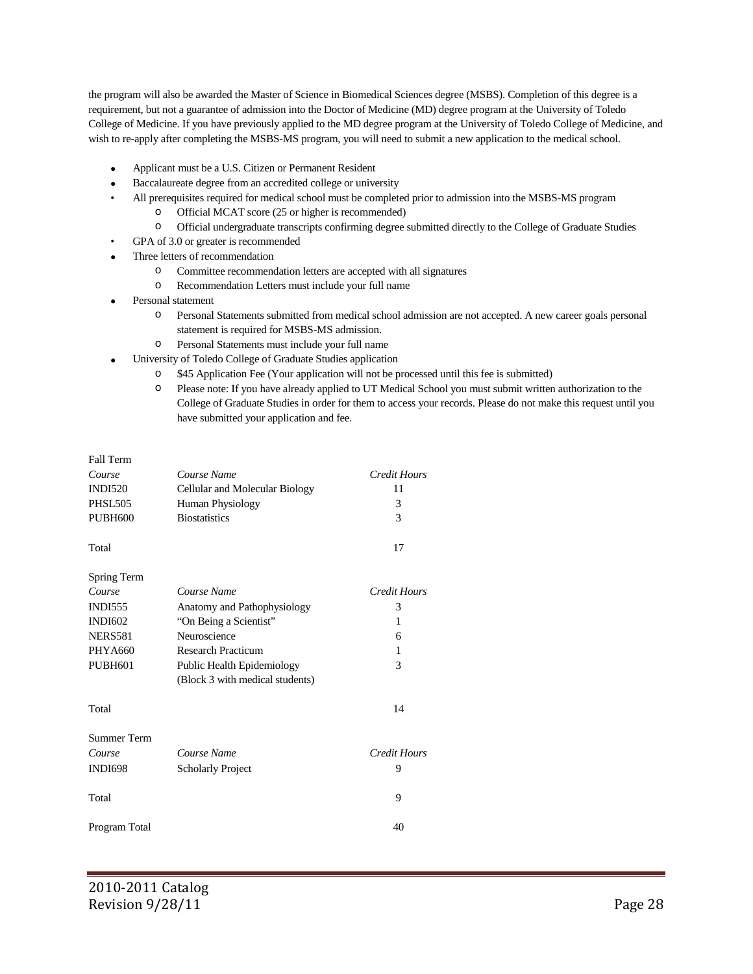the program will also be awarded the Master of Science in Biomedical Sciences degree (MSBS). Completion of this degree is a requirement, but not a guarantee of admission into the Doctor of Medicine (MD) degree program at the University of Toledo College of Medicine. If you have previously applied to the MD degree program at the University of Toledo College of Medicine, and wish to re-apply after completing the MSBS-MS program, you will need to submit a new application to the medical school.

- Applicant must be a U.S. Citizen or Permanent Resident
- Baccalaureate degree from an accredited college or university
- All prerequisites required for medical school must be completed prior to admission into the MSBS-MS program
	- o Official MCAT score (25 or higher is recommended)
	- o Official undergraduate transcripts confirming degree submitted directly to the College of Graduate Studies
- GPA of 3.0 or greater is recommended
- Three letters of recommendation
	- o Committee recommendation letters are accepted with all signatures
	- o Recommendation Letters must include your full name
- Personal statement

Fall Term

- o Personal Statements submitted from medical school admission are not accepted. A new career goals personal statement is required for MSBS-MS admission.
- o Personal Statements must include your full name
- University of Toledo College of Graduate Studies application
	- o \$45 Application Fee (Your application will not be processed until this fee is submitted)
	- o Please note: If you have already applied to UT Medical School you must submit written authorization to the College of Graduate Studies in order for them to access your records. Please do not make this request until you have submitted your application and fee.

| Course Name                     | Credit Hours |
|---------------------------------|--------------|
| Cellular and Molecular Biology  | 11           |
| Human Physiology                | 3            |
| <b>Biostatistics</b>            | 3            |
|                                 | 17           |
|                                 |              |
| Course Name                     | Credit Hours |
| Anatomy and Pathophysiology     | 3            |
| "On Being a Scientist"          | 1            |
| Neuroscience                    | 6            |
| <b>Research Practicum</b>       | 1            |
| Public Health Epidemiology      | 3            |
| (Block 3 with medical students) |              |
|                                 | 14           |
|                                 |              |
| Course Name                     | Credit Hours |
| <b>Scholarly Project</b>        | 9            |
|                                 | 9            |
|                                 | 40           |
|                                 |              |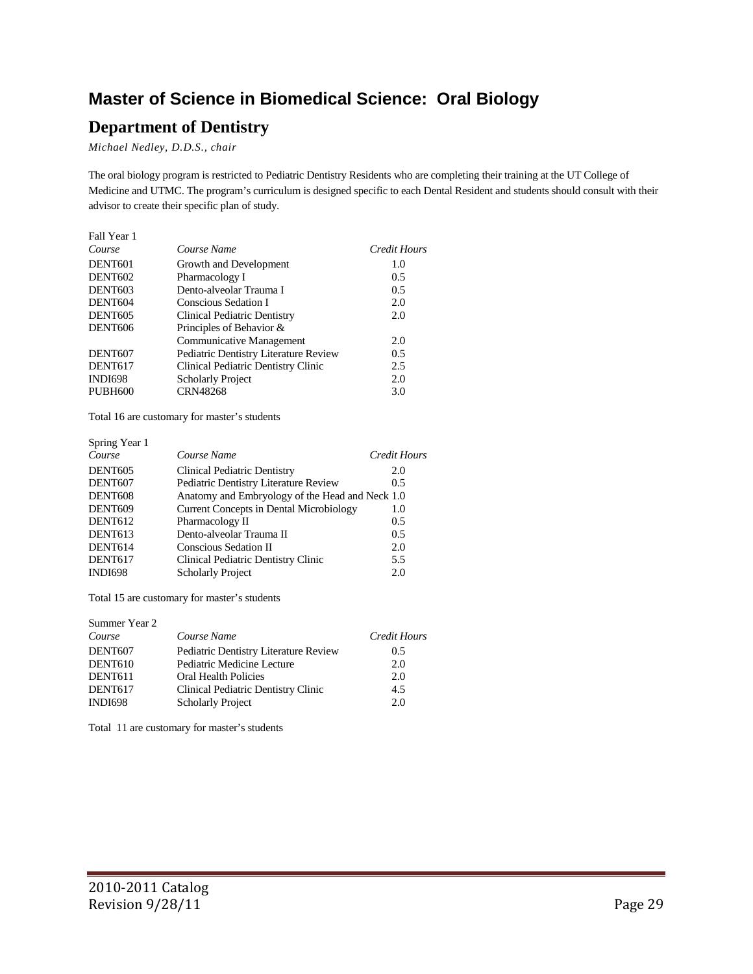# **Master of Science in Biomedical Science: Oral Biology**

### **Department of Dentistry**

*Michael Nedley, D.D.S., chair*

The oral biology program is restricted to Pediatric Dentistry Residents who are completing their training at the UT College of Medicine and UTMC. The program's curriculum is designed specific to each Dental Resident and students should consult with their advisor to create their specific plan of study.

| Fall Year 1    |                                       |              |
|----------------|---------------------------------------|--------------|
| Course         | Course Name                           | Credit Hours |
| DENT601        | Growth and Development                | 1.0          |
| <b>DENT602</b> | Pharmacology I                        | 0.5          |
| <b>DENT603</b> | Dento-alveolar Trauma I               | 0.5          |
| DENT604        | Conscious Sedation I                  | 2.0          |
| DENT605        | Clinical Pediatric Dentistry          | 2.0          |
| DENT606        | Principles of Behavior &              |              |
|                | <b>Communicative Management</b>       | 2.0          |
| DENT607        | Pediatric Dentistry Literature Review | 0.5          |
| DENT617        | Clinical Pediatric Dentistry Clinic   | 2.5          |
| <b>INDI698</b> | <b>Scholarly Project</b>              | 2.0          |
| <b>PUBH600</b> | <b>CRN48268</b>                       | 3.0          |

Total 16 are customary for master's students

| Credit Hours                                    |
|-------------------------------------------------|
| 2.0                                             |
| 0.5                                             |
| Anatomy and Embryology of the Head and Neck 1.0 |
| 1.0                                             |
| 0.5                                             |
| 0.5                                             |
| 2.0                                             |
| 5.5                                             |
| 2.0                                             |
|                                                 |

Total 15 are customary for master's students

| Summer Year 2       |                                              |              |
|---------------------|----------------------------------------------|--------------|
| Course              | Course Name                                  | Credit Hours |
| DENT607             | <b>Pediatric Dentistry Literature Review</b> | 0.5          |
| DENT <sub>610</sub> | Pediatric Medicine Lecture                   | 2.0          |
| DENT <sub>611</sub> | Oral Health Policies                         | 2.0          |
| DENT617             | Clinical Pediatric Dentistry Clinic          | 4.5          |
| <b>INDI698</b>      | <b>Scholarly Project</b>                     | 2.0          |

Total 11 are customary for master's students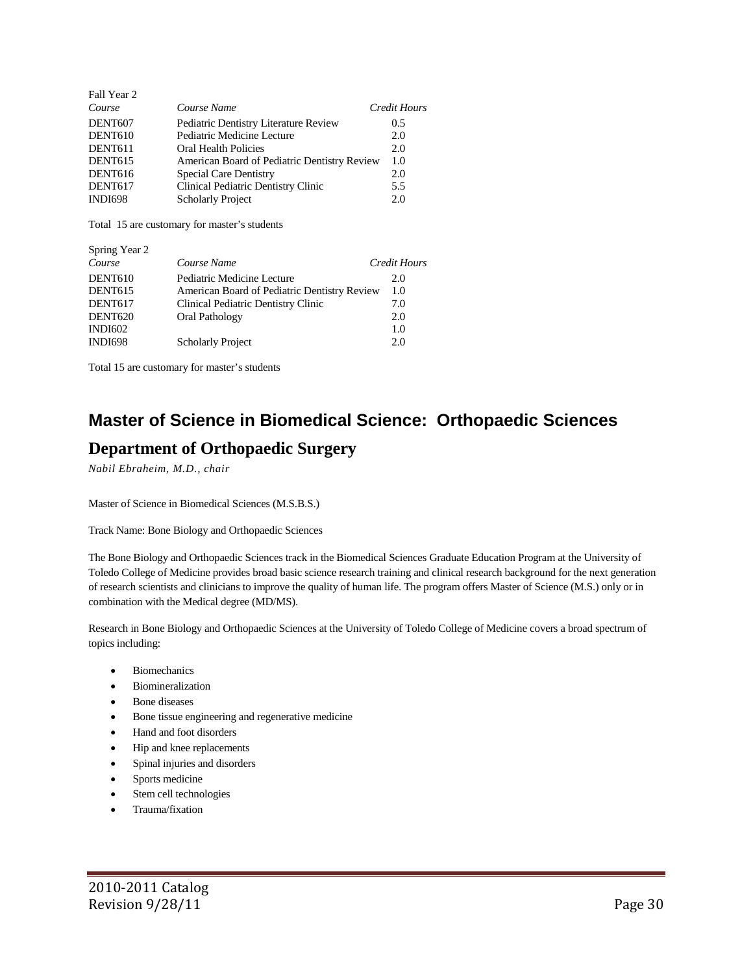| Fall Year 2         |                                              |                     |
|---------------------|----------------------------------------------|---------------------|
| Course              | Course Name                                  | <b>Credit Hours</b> |
| DENT607             | Pediatric Dentistry Literature Review        | 0.5                 |
| DENT <sub>610</sub> | Pediatric Medicine Lecture                   | 2.0                 |
| DENT611             | Oral Health Policies                         | 2.0                 |
| DENT <sub>615</sub> | American Board of Pediatric Dentistry Review | 1.0                 |
| DENT <sub>616</sub> | <b>Special Care Dentistry</b>                | 2.0                 |
| DENT617             | Clinical Pediatric Dentistry Clinic          | 5.5                 |
| <b>INDI698</b>      | <b>Scholarly Project</b>                     | 2.0                 |

Total 15 are customary for master's students

| Spring Year 2       |                                              |              |
|---------------------|----------------------------------------------|--------------|
| Course              | Course Name                                  | Credit Hours |
| DENT <sub>610</sub> | Pediatric Medicine Lecture                   | 2.0          |
| DENT <sub>615</sub> | American Board of Pediatric Dentistry Review | 1.0          |
| DENT <sub>617</sub> | Clinical Pediatric Dentistry Clinic          | 7.0          |
| DENT620             | Oral Pathology                               | 2.0          |
| <b>INDI602</b>      |                                              | 1.0          |
| <b>INDI698</b>      | <b>Scholarly Project</b>                     | 2.0          |
|                     |                                              |              |

Total 15 are customary for master's students

# **Master of Science in Biomedical Science: Orthopaedic Sciences Department of Orthopaedic Surgery**

*Nabil Ebraheim, M.D., chair*

Master of Science in Biomedical Sciences (M.S.B.S.)

Track Name: Bone Biology and Orthopaedic Sciences

The Bone Biology and Orthopaedic Sciences track in the Biomedical Sciences Graduate Education Program at the University of Toledo College of Medicine provides broad basic science research training and clinical research background for the next generation of research scientists and clinicians to improve the quality of human life. The program offers Master of Science (M.S.) only or in combination with the Medical degree (MD/MS).

Research in Bone Biology and Orthopaedic Sciences at the University of Toledo College of Medicine covers a broad spectrum of topics including:

- Biomechanics
- Biomineralization
- Bone diseases
- Bone tissue engineering and regenerative medicine
- Hand and foot disorders
- Hip and knee replacements
- Spinal injuries and disorders
- Sports medicine
- Stem cell technologies
- Trauma/fixation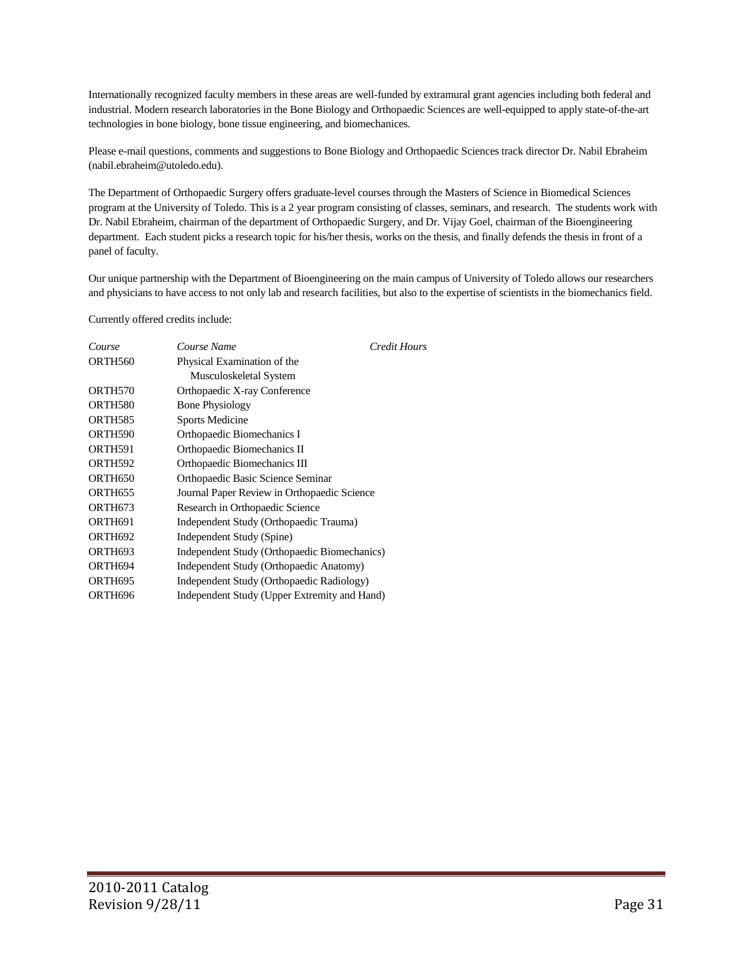Internationally recognized faculty members in these areas are well-funded by extramural grant agencies including both federal and industrial. Modern research laboratories in the Bone Biology and Orthopaedic Sciences are well-equipped to apply state-of-the-art technologies in bone biology, bone tissue engineering, and biomechanices.

Please e-mail questions, comments and suggestions to Bone Biology and Orthopaedic Sciences track director Dr. Nabil Ebraheim (nabil.ebraheim@utoledo.edu).

The Department of Orthopaedic Surgery offers graduate-level courses through the Masters of Science in Biomedical Sciences program at the University of Toledo. This is a 2 year program consisting of classes, seminars, and research. The students work with Dr. Nabil Ebraheim, chairman of the department of Orthopaedic Surgery, and Dr. Vijay Goel, chairman of the Bioengineering department. Each student picks a research topic for his/her thesis, works on the thesis, and finally defends the thesis in front of a panel of faculty.

Our unique partnership with the Department of Bioengineering on the main campus of University of Toledo allows our researchers and physicians to have access to not only lab and research facilities, but also to the expertise of scientists in the biomechanics field.

Currently offered credits include:

| Course              | Course Name                                  | Credit Hours |
|---------------------|----------------------------------------------|--------------|
| ORTH560             | Physical Examination of the                  |              |
|                     | Musculoskeletal System                       |              |
| ORTH <sub>570</sub> | Orthopaedic X-ray Conference                 |              |
| ORTH580             | <b>Bone Physiology</b>                       |              |
| ORTH585             | Sports Medicine                              |              |
| ORTH590             | Orthopaedic Biomechanics I                   |              |
| ORTH591             | Orthopaedic Biomechanics II                  |              |
| ORTH <sub>592</sub> | Orthopaedic Biomechanics III                 |              |
| ORTH <sub>650</sub> | Orthopaedic Basic Science Seminar            |              |
| ORTH <sub>655</sub> | Journal Paper Review in Orthopaedic Science  |              |
| ORTH673             | Research in Orthopaedic Science              |              |
| ORTH691             | Independent Study (Orthopaedic Trauma)       |              |
| ORTH692             | Independent Study (Spine)                    |              |
| ORTH693             | Independent Study (Orthopaedic Biomechanics) |              |
| ORTH694             | Independent Study (Orthopaedic Anatomy)      |              |
| ORTH695             | Independent Study (Orthopaedic Radiology)    |              |
| ORTH696             | Independent Study (Upper Extremity and Hand) |              |
|                     |                                              |              |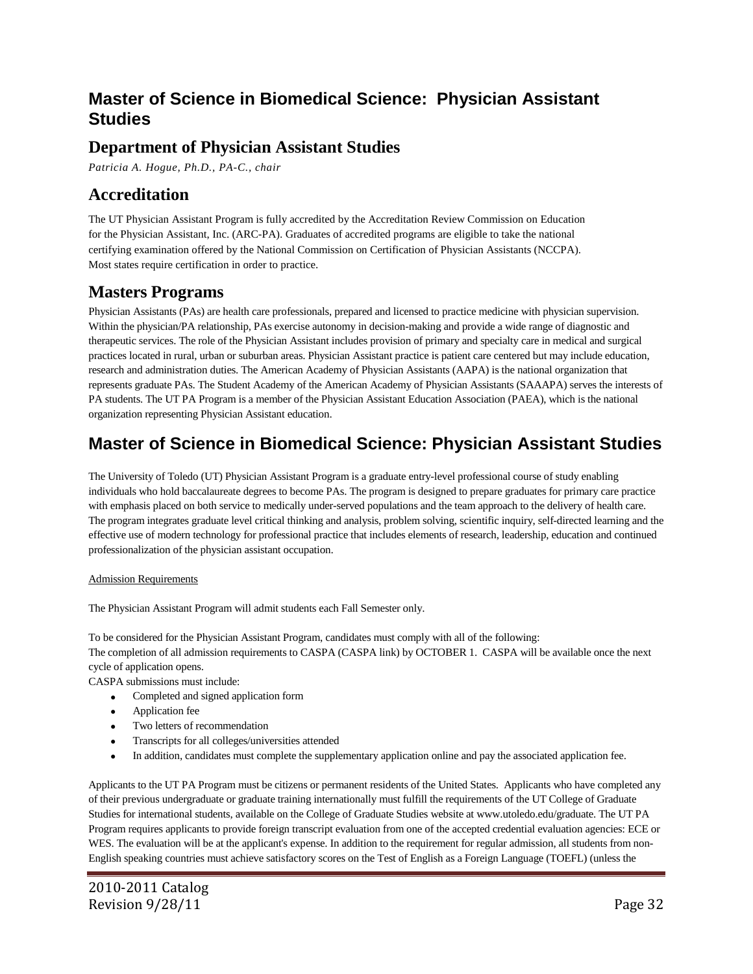# **Master of Science in Biomedical Science: Physician Assistant Studies**

### **Department of Physician Assistant Studies**

*Patricia A. Hogue, Ph.D., PA-C., chair*

### **Accreditation**

The UT Physician Assistant Program is fully accredited by the Accreditation Review Commission on Education for the Physician Assistant, Inc. (ARC-PA). Graduates of accredited programs are eligible to take the national certifying examination offered by the National Commission on Certification of Physician Assistants (NCCPA). Most states require certification in order to practice.

### **Masters Programs**

Physician Assistants (PAs) are health care professionals, prepared and licensed to practice medicine with physician supervision. Within the physician/PA relationship, PAs exercise autonomy in decision-making and provide a wide range of diagnostic and therapeutic services. The role of the Physician Assistant includes provision of primary and specialty care in medical and surgical practices located in rural, urban or suburban areas. Physician Assistant practice is patient care centered but may include education, research and administration duties. The American Academy of Physician Assistants (AAPA) is the national organization that represents graduate PAs. The Student Academy of the American Academy of Physician Assistants (SAAAPA) serves the interests of PA students. The UT PA Program is a member of the Physician Assistant Education Association (PAEA), which is the national organization representing Physician Assistant education.

# **Master of Science in Biomedical Science: Physician Assistant Studies**

The University of Toledo (UT) Physician Assistant Program is a graduate entry-level professional course of study enabling individuals who hold baccalaureate degrees to become PAs. The program is designed to prepare graduates for primary care practice with emphasis placed on both service to medically under-served populations and the team approach to the delivery of health care. The program integrates graduate level critical thinking and analysis, problem solving, scientific inquiry, self-directed learning and the effective use of modern technology for professional practice that includes elements of research, leadership, education and continued professionalization of the physician assistant occupation.

### Admission Requirements

The Physician Assistant Program will admit students each Fall Semester only.

To be considered for the Physician Assistant Program, candidates must comply with all of the following: The completion of all admission requirements to CASPA (CASPA link) by OCTOBER 1. CASPA will be available once the next cycle of application opens.

CASPA submissions must include:

- Completed and signed application form
- Application fee
- Two letters of recommendation
- Transcripts for all colleges/universities attended
- In addition, candidates must complete the supplementary application online and pay the associated application fee.

Applicants to the UT PA Program must be citizens or permanent residents of the United States. Applicants who have completed any of their previous undergraduate or graduate training internationally must fulfill the requirements of the UT College of Graduate Studies for international students, available on the College of Graduate Studies website at www.utoledo.edu/graduate. The UT PA Program requires applicants to provide foreign transcript evaluation from one of the accepted credential evaluation agencies: ECE or WES. The evaluation will be at the applicant's expense. In addition to the requirement for regular admission, all students from non-English speaking countries must achieve satisfactory scores on the Test of English as a Foreign Language (TOEFL) (unless the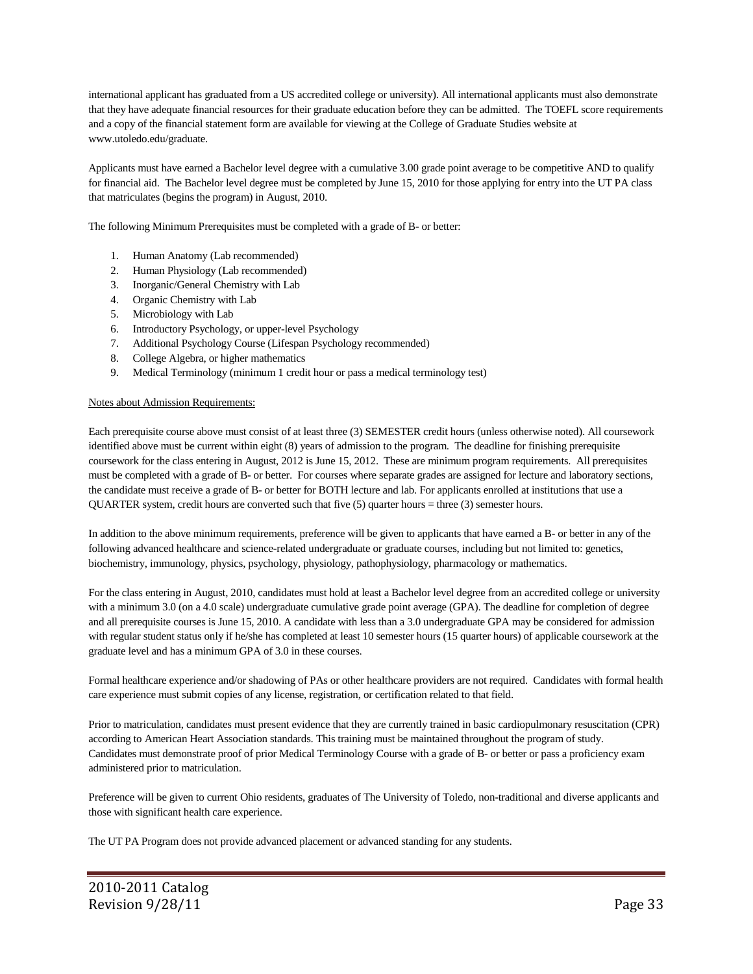international applicant has graduated from a US accredited college or university). All international applicants must also demonstrate that they have adequate financial resources for their graduate education before they can be admitted. The TOEFL score requirements and a copy of the financial statement form are available for viewing at the College of Graduate Studies website at www.utoledo.edu/graduate.

Applicants must have earned a Bachelor level degree with a cumulative 3.00 grade point average to be competitive AND to qualify for financial aid. The Bachelor level degree must be completed by June 15, 2010 for those applying for entry into the UT PA class that matriculates (begins the program) in August, 2010.

The following Minimum Prerequisites must be completed with a grade of B- or better:

- 1. Human Anatomy (Lab recommended)
- 2. Human Physiology (Lab recommended)
- 3. Inorganic/General Chemistry with Lab
- 4. Organic Chemistry with Lab
- 5. Microbiology with Lab
- 6. Introductory Psychology, or upper-level Psychology
- 7. Additional Psychology Course (Lifespan Psychology recommended)
- 8. College Algebra, or higher mathematics
- 9. Medical Terminology (minimum 1 credit hour or pass a medical terminology test)

#### Notes about Admission Requirements:

Each prerequisite course above must consist of at least three (3) SEMESTER credit hours (unless otherwise noted). All coursework identified above must be current within eight (8) years of admission to the program. The deadline for finishing prerequisite coursework for the class entering in August, 2012 is June 15, 2012. These are minimum program requirements. All prerequisites must be completed with a grade of B- or better. For courses where separate grades are assigned for lecture and laboratory sections, the candidate must receive a grade of B- or better for BOTH lecture and lab. For applicants enrolled at institutions that use a QUARTER system, credit hours are converted such that five (5) quarter hours = three (3) semester hours.

In addition to the above minimum requirements, preference will be given to applicants that have earned a B- or better in any of the following advanced healthcare and science-related undergraduate or graduate courses, including but not limited to: genetics, biochemistry, immunology, physics, psychology, physiology, pathophysiology, pharmacology or mathematics.

For the class entering in August, 2010, candidates must hold at least a Bachelor level degree from an accredited college or university with a minimum 3.0 (on a 4.0 scale) undergraduate cumulative grade point average (GPA). The deadline for completion of degree and all prerequisite courses is June 15, 2010. A candidate with less than a 3.0 undergraduate GPA may be considered for admission with regular student status only if he/she has completed at least 10 semester hours (15 quarter hours) of applicable coursework at the graduate level and has a minimum GPA of 3.0 in these courses.

Formal healthcare experience and/or shadowing of PAs or other healthcare providers are not required. Candidates with formal health care experience must submit copies of any license, registration, or certification related to that field.

Prior to matriculation, candidates must present evidence that they are currently trained in basic cardiopulmonary resuscitation (CPR) according to American Heart Association standards. This training must be maintained throughout the program of study. Candidates must demonstrate proof of prior Medical Terminology Course with a grade of B- or better or pass a proficiency exam administered prior to matriculation.

Preference will be given to current Ohio residents, graduates of The University of Toledo, non-traditional and diverse applicants and those with significant health care experience.

The UT PA Program does not provide advanced placement or advanced standing for any students.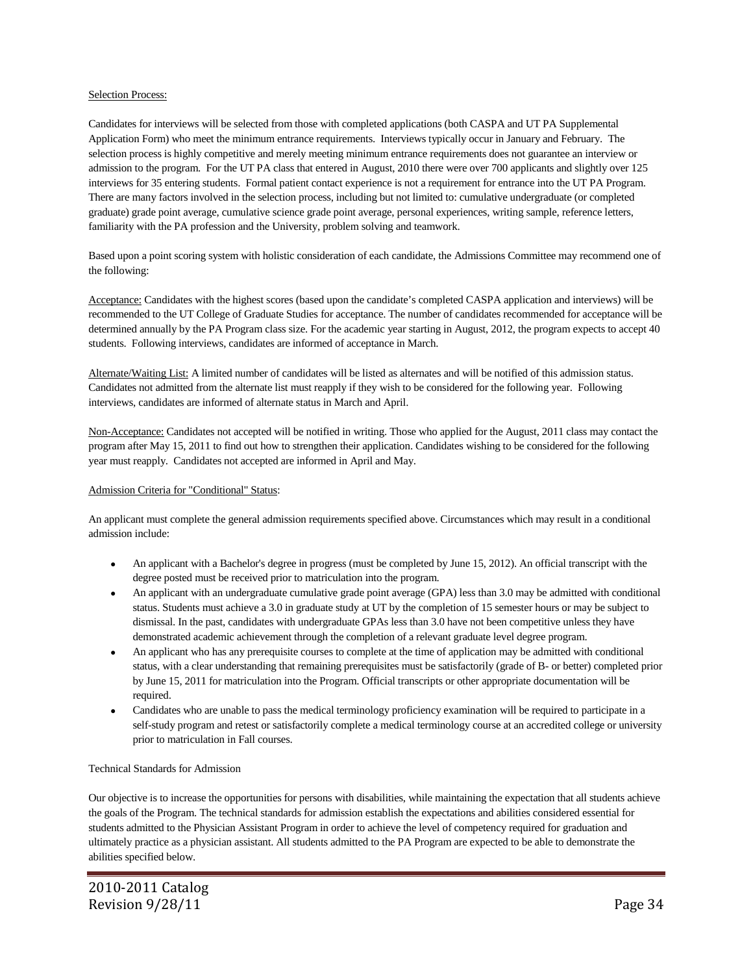#### Selection Process:

Candidates for interviews will be selected from those with completed applications (both CASPA and UT PA Supplemental Application Form) who meet the minimum entrance requirements. Interviews typically occur in January and February. The selection process is highly competitive and merely meeting minimum entrance requirements does not guarantee an interview or admission to the program. For the UT PA class that entered in August, 2010 there were over 700 applicants and slightly over 125 interviews for 35 entering students. Formal patient contact experience is not a requirement for entrance into the UT PA Program. There are many factors involved in the selection process, including but not limited to: cumulative undergraduate (or completed graduate) grade point average, cumulative science grade point average, personal experiences, writing sample, reference letters, familiarity with the PA profession and the University, problem solving and teamwork.

Based upon a point scoring system with holistic consideration of each candidate, the Admissions Committee may recommend one of the following:

Acceptance: Candidates with the highest scores (based upon the candidate's completed CASPA application and interviews) will be recommended to the UT College of Graduate Studies for acceptance. The number of candidates recommended for acceptance will be determined annually by the PA Program class size. For the academic year starting in August, 2012, the program expects to accept 40 students. Following interviews, candidates are informed of acceptance in March.

Alternate/Waiting List: A limited number of candidates will be listed as alternates and will be notified of this admission status. Candidates not admitted from the alternate list must reapply if they wish to be considered for the following year. Following interviews, candidates are informed of alternate status in March and April.

Non-Acceptance: Candidates not accepted will be notified in writing. Those who applied for the August, 2011 class may contact the program after May 15, 2011 to find out how to strengthen their application. Candidates wishing to be considered for the following year must reapply. Candidates not accepted are informed in April and May.

### Admission Criteria for "Conditional" Status:

An applicant must complete the general admission requirements specified above. Circumstances which may result in a conditional admission include:

- An applicant with a Bachelor's degree in progress (must be completed by June 15, 2012). An official transcript with the degree posted must be received prior to matriculation into the program.
- An applicant with an undergraduate cumulative grade point average (GPA) less than 3.0 may be admitted with conditional status. Students must achieve a 3.0 in graduate study at UT by the completion of 15 semester hours or may be subject to dismissal. In the past, candidates with undergraduate GPAs less than 3.0 have not been competitive unless they have demonstrated academic achievement through the completion of a relevant graduate level degree program.
- An applicant who has any prerequisite courses to complete at the time of application may be admitted with conditional status, with a clear understanding that remaining prerequisites must be satisfactorily (grade of B- or better) completed prior by June 15, 2011 for matriculation into the Program. Official transcripts or other appropriate documentation will be required.
- Candidates who are unable to pass the medical terminology proficiency examination will be required to participate in a self-study program and retest or satisfactorily complete a medical terminology course at an accredited college or university prior to matriculation in Fall courses.

Technical Standards for Admission

Our objective is to increase the opportunities for persons with disabilities, while maintaining the expectation that all students achieve the goals of the Program. The technical standards for admission establish the expectations and abilities considered essential for students admitted to the Physician Assistant Program in order to achieve the level of competency required for graduation and ultimately practice as a physician assistant. All students admitted to the PA Program are expected to be able to demonstrate the abilities specified below.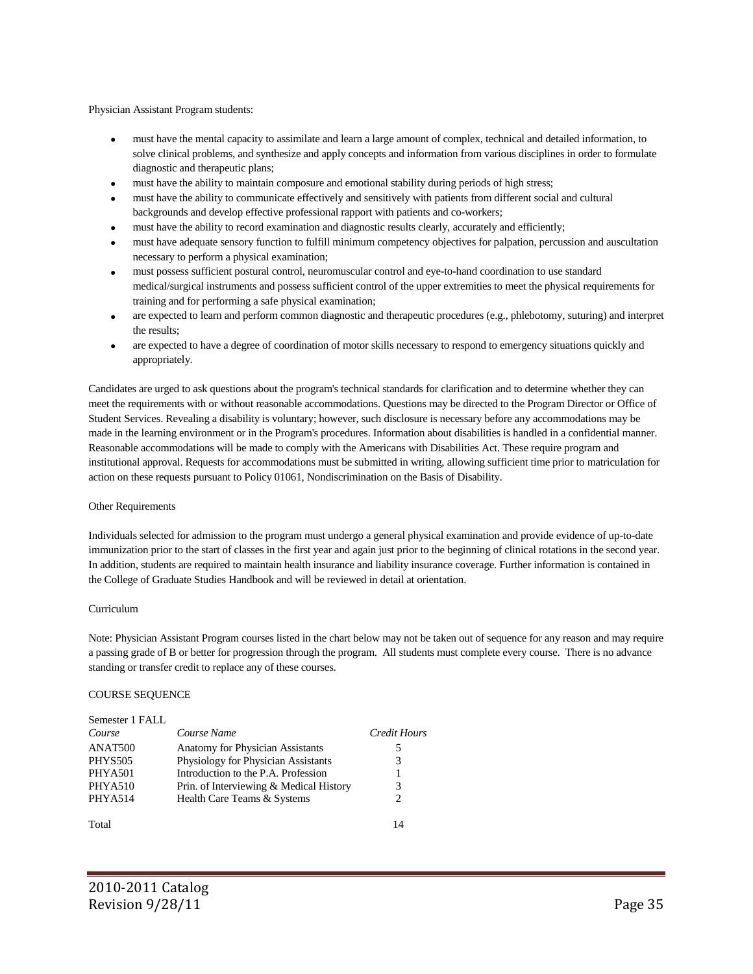Physician Assistant Program students:

- must have the mental capacity to assimilate and learn a large amount of complex, technical and detailed information, to solve clinical problems, and synthesize and apply concepts and information from various disciplines in order to formulate diagnostic and therapeutic plans;
- must have the ability to maintain composure and emotional stability during periods of high stress;
- must have the ability to communicate effectively and sensitively with patients from different social and cultural backgrounds and develop effective professional rapport with patients and co-workers;
- must have the ability to record examination and diagnostic results clearly, accurately and efficiently;
- must have adequate sensory function to fulfill minimum competency objectives for palpation, percussion and auscultation necessary to perform a physical examination;
- must possess sufficient postural control, neuromuscular control and eye-to-hand coordination to use standard medical/surgical instruments and possess sufficient control of the upper extremities to meet the physical requirements for training and for performing a safe physical examination;
- are expected to learn and perform common diagnostic and therapeutic procedures (e.g., phlebotomy, suturing) and interpret the results;
- are expected to have a degree of coordination of motor skills necessary to respond to emergency situations quickly and appropriately.

Candidates are urged to ask questions about the program's technical standards for clarification and to determine whether they can meet the requirements with or without reasonable accommodations. Questions may be directed to the Program Director or Office of Student Services. Revealing a disability is voluntary; however, such disclosure is necessary before any accommodations may be made in the learning environment or in the Program's procedures. Information about disabilities is handled in a confidential manner. Reasonable accommodations will be made to comply with the Americans with Disabilities Act. These require program and institutional approval. Requests for accommodations must be submitted in writing, allowing sufficient time prior to matriculation for action on these requests pursuant to Policy 01061, Nondiscrimination on the Basis of Disability.

#### Other Requirements

Individuals selected for admission to the program must undergo a general physical examination and provide evidence of up-to-date immunization prior to the start of classes in the first year and again just prior to the beginning of clinical rotations in the second year. In addition, students are required to maintain health insurance and liability insurance coverage. Further information is contained in the College of Graduate Studies Handbook and will be reviewed in detail at orientation.

#### Curriculum

Note: Physician Assistant Program courses listed in the chart below may not be taken out of sequence for any reason and may require a passing grade of B or better for progression through the program. All students must complete every course. There is no advance standing or transfer credit to replace any of these courses.

### COURSE SEQUENCE Semester 1 Fall

| Semester 1 FALL |                                         |                             |
|-----------------|-----------------------------------------|-----------------------------|
| Course          | Course Name                             | Credit Hours                |
| ANAT500         | Anatomy for Physician Assistants        | 5                           |
| <b>PHYS505</b>  | Physiology for Physician Assistants     | 3                           |
| PHYA501         | Introduction to the P.A. Profession     |                             |
| PHYA510         | Prin. of Interviewing & Medical History | 3                           |
| PHYA514         | Health Care Teams & Systems             | $\mathcal{D}_{\mathcal{L}}$ |
|                 |                                         |                             |
|                 |                                         |                             |

Total 14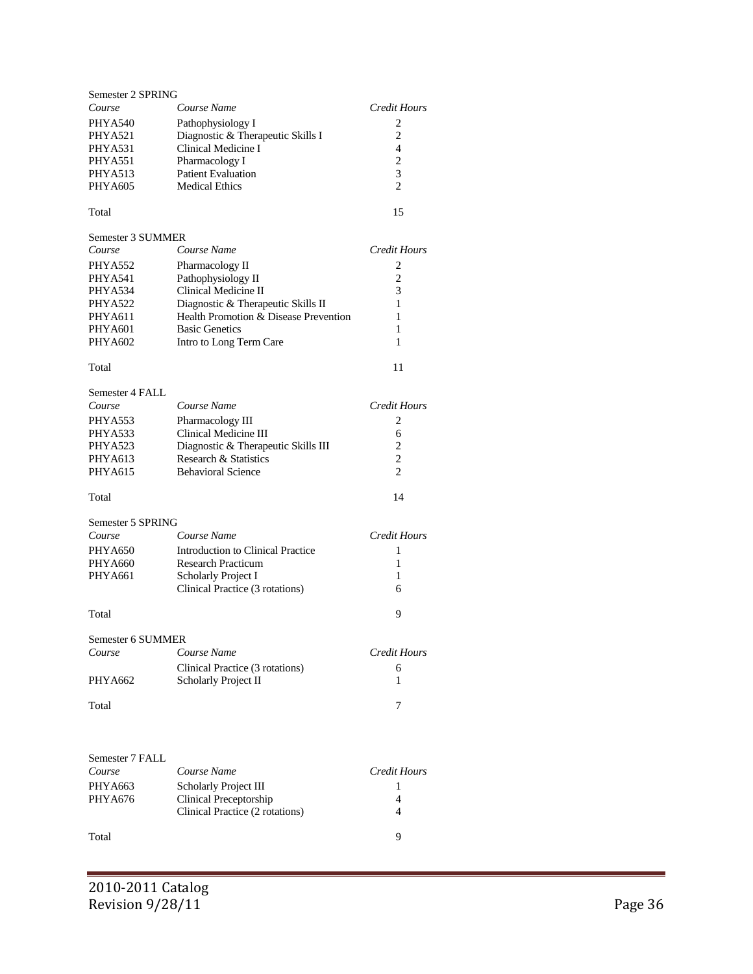| Semester 2 SPRING |                                          |                |
|-------------------|------------------------------------------|----------------|
| Course            | Course Name                              | Credit Hours   |
| PHYA540           | Pathophysiology I                        | 2              |
| PHYA521           | Diagnostic & Therapeutic Skills I        | $\overline{2}$ |
| PHYA531           | Clinical Medicine I                      | 4              |
| PHYA551           | Pharmacology I                           | $\overline{2}$ |
| PHYA513           | <b>Patient Evaluation</b>                | 3              |
| <b>PHYA605</b>    | <b>Medical Ethics</b>                    | $\overline{2}$ |
| Total             |                                          | 15             |
| Semester 3 SUMMER |                                          |                |
| Course            | Course Name                              | Credit Hours   |
| PHYA552           | Pharmacology II                          | 2              |
| PHYA541           | Pathophysiology II                       | $\overline{c}$ |
| PHYA534           | Clinical Medicine II                     | 3              |
| PHYA522           | Diagnostic & Therapeutic Skills II       | 1              |
| PHYA611           | Health Promotion & Disease Prevention    | 1              |
| <b>PHYA601</b>    | <b>Basic Genetics</b>                    | 1              |
| PHYA602           | Intro to Long Term Care                  | 1              |
| Total             |                                          | 11             |
|                   |                                          |                |
| Semester 4 FALL   |                                          |                |
| Course            | Course Name                              | Credit Hours   |
| PHYA553           | Pharmacology III                         | 2              |
| PHYA533           | Clinical Medicine III                    | 6              |
| PHYA523           | Diagnostic & Therapeutic Skills III      | $\overline{c}$ |
| <b>PHYA613</b>    | Research & Statistics                    | $\overline{c}$ |
| <b>PHYA615</b>    | <b>Behavioral Science</b>                | $\overline{2}$ |
| Total             |                                          | 14             |
| Semester 5 SPRING |                                          |                |
| Course            | Course Name                              | Credit Hours   |
| <b>PHYA650</b>    | <b>Introduction to Clinical Practice</b> | 1              |
| <b>PHYA660</b>    | <b>Research Practicum</b>                | 1              |
| PHYA661           | Scholarly Project I                      | 1              |
|                   | Clinical Practice (3 rotations)          | 6              |
|                   |                                          |                |
| Total             |                                          | 9              |
| Semester 6 SUMMER |                                          |                |
| Course            | Course Name                              | Credit Hours   |
|                   | Clinical Practice (3 rotations)          | 6              |
| PHYA662           | Scholarly Project II                     | 1              |
| Total             |                                          | 7              |
|                   |                                          |                |
| Semester 7 FALL   |                                          |                |
| Course            | Course Name                              | Credit Hours   |
| PHYA663           | Scholarly Project III                    | 1              |
| PHYA676           | Clinical Preceptorship                   | 4              |
|                   | Clinical Practice (2 rotations)          | 4              |
|                   |                                          |                |
| Total             |                                          | 9              |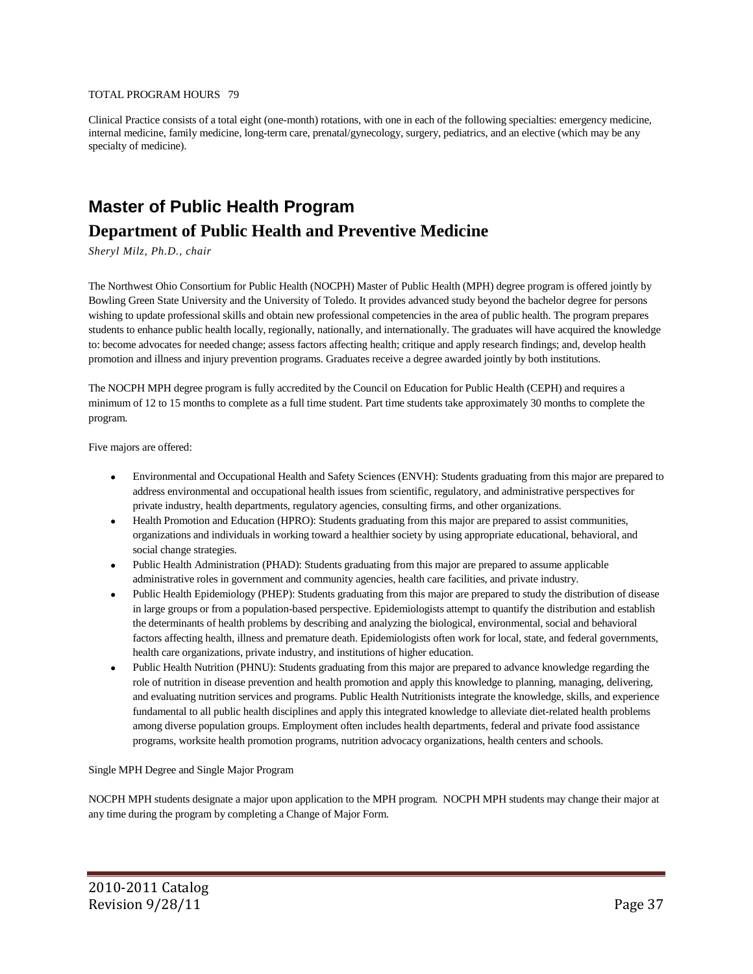#### TOTAL PROGRAM HOURS 79

Clinical Practice consists of a total eight (one-month) rotations, with one in each of the following specialties: emergency medicine, internal medicine, family medicine, long-term care, prenatal/gynecology, surgery, pediatrics, and an elective (which may be any specialty of medicine).

# **Master of Public Health Program Department of Public Health and Preventive Medicine**

*Sheryl Milz, Ph.D., chair*

The Northwest Ohio Consortium for Public Health (NOCPH) Master of Public Health (MPH) degree program is offered jointly by Bowling Green State University and the University of Toledo. It provides advanced study beyond the bachelor degree for persons wishing to update professional skills and obtain new professional competencies in the area of public health. The program prepares students to enhance public health locally, regionally, nationally, and internationally. The graduates will have acquired the knowledge to: become advocates for needed change; assess factors affecting health; critique and apply research findings; and, develop health promotion and illness and injury prevention programs. Graduates receive a degree awarded jointly by both institutions.

The NOCPH MPH degree program is fully accredited by the Council on Education for Public Health (CEPH) and requires a minimum of 12 to 15 months to complete as a full time student. Part time students take approximately 30 months to complete the program.

Five majors are offered:

- Environmental and Occupational Health and Safety Sciences (ENVH): Students graduating from this major are prepared to address environmental and occupational health issues from scientific, regulatory, and administrative perspectives for private industry, health departments, regulatory agencies, consulting firms, and other organizations.
- Health Promotion and Education (HPRO): Students graduating from this major are prepared to assist communities, organizations and individuals in working toward a healthier society by using appropriate educational, behavioral, and social change strategies.
- Public Health Administration (PHAD): Students graduating from this major are prepared to assume applicable administrative roles in government and community agencies, health care facilities, and private industry.
- Public Health Epidemiology (PHEP): Students graduating from this major are prepared to study the distribution of disease in large groups or from a population-based perspective. Epidemiologists attempt to quantify the distribution and establish the determinants of health problems by describing and analyzing the biological, environmental, social and behavioral factors affecting health, illness and premature death. Epidemiologists often work for local, state, and federal governments, health care organizations, private industry, and institutions of higher education.
- Public Health Nutrition (PHNU): Students graduating from this major are prepared to advance knowledge regarding the role of nutrition in disease prevention and health promotion and apply this knowledge to planning, managing, delivering, and evaluating nutrition services and programs. Public Health Nutritionists integrate the knowledge, skills, and experience fundamental to all public health disciplines and apply this integrated knowledge to alleviate diet-related health problems among diverse population groups. Employment often includes health departments, federal and private food assistance programs, worksite health promotion programs, nutrition advocacy organizations, health centers and schools.

Single MPH Degree and Single Major Program

NOCPH MPH students designate a major upon application to the MPH program. NOCPH MPH students may change their major at any time during the program by completing a Change of Major Form.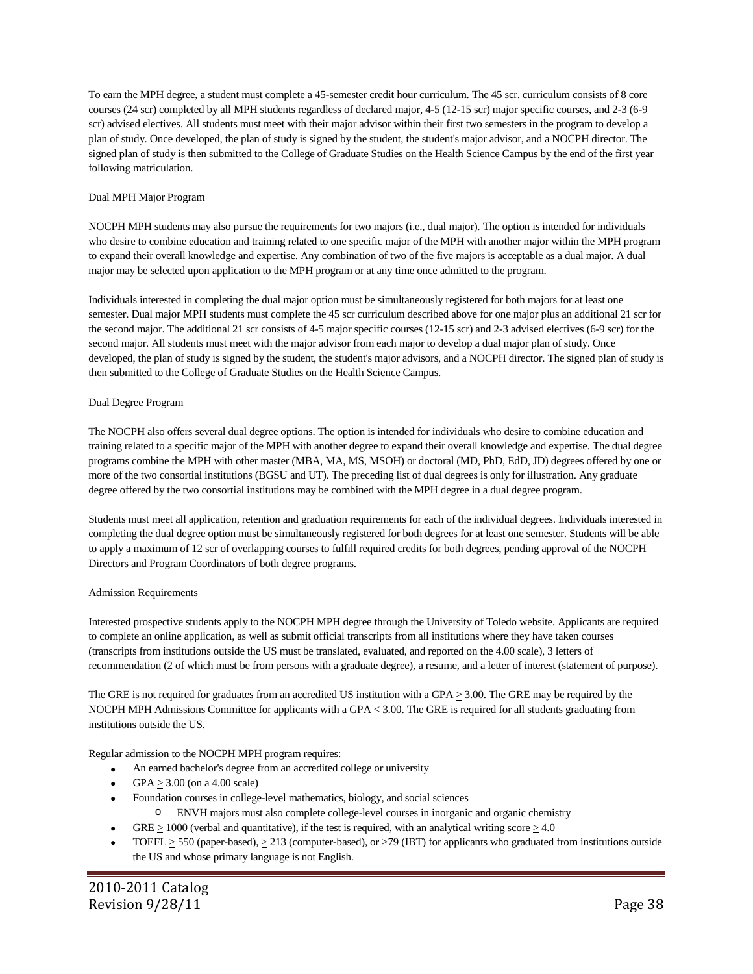To earn the MPH degree, a student must complete a 45-semester credit hour curriculum. The 45 scr. curriculum consists of 8 core courses (24 scr) completed by all MPH students regardless of declared major, 4-5 (12-15 scr) major specific courses, and 2-3 (6-9 scr) advised electives. All students must meet with their major advisor within their first two semesters in the program to develop a plan of study. Once developed, the plan of study is signed by the student, the student's major advisor, and a NOCPH director. The signed plan of study is then submitted to the College of Graduate Studies on the Health Science Campus by the end of the first year following matriculation.

### Dual MPH Major Program

NOCPH MPH students may also pursue the requirements for two majors (i.e., dual major). The option is intended for individuals who desire to combine education and training related to one specific major of the MPH with another major within the MPH program to expand their overall knowledge and expertise. Any combination of two of the five majors is acceptable as a dual major. A dual major may be selected upon application to the MPH program or at any time once admitted to the program.

Individuals interested in completing the dual major option must be simultaneously registered for both majors for at least one semester. Dual major MPH students must complete the 45 scr curriculum described above for one major plus an additional 21 scr for the second major. The additional 21 scr consists of 4-5 major specific courses (12-15 scr) and 2-3 advised electives (6-9 scr) for the second major. All students must meet with the major advisor from each major to develop a dual major plan of study. Once developed, the plan of study is signed by the student, the student's major advisors, and a NOCPH director. The signed plan of study is then submitted to the College of Graduate Studies on the Health Science Campus.

### Dual Degree Program

The NOCPH also offers several dual degree options. The option is intended for individuals who desire to combine education and training related to a specific major of the MPH with another degree to expand their overall knowledge and expertise. The dual degree programs combine the MPH with other master (MBA, MA, MS, MSOH) or doctoral (MD, PhD, EdD, JD) degrees offered by one or more of the two consortial institutions (BGSU and UT). The preceding list of dual degrees is only for illustration. Any graduate degree offered by the two consortial institutions may be combined with the MPH degree in a dual degree program.

Students must meet all application, retention and graduation requirements for each of the individual degrees. Individuals interested in completing the dual degree option must be simultaneously registered for both degrees for at least one semester. Students will be able to apply a maximum of 12 scr of overlapping courses to fulfill required credits for both degrees, pending approval of the NOCPH Directors and Program Coordinators of both degree programs.

### Admission Requirements

Interested prospective students apply to the NOCPH MPH degree through the University of Toledo website. Applicants are required to complete an online application, as well as submit official transcripts from all institutions where they have taken courses (transcripts from institutions outside the US must be translated, evaluated, and reported on the 4.00 scale), 3 letters of recommendation (2 of which must be from persons with a graduate degree), a resume, and a letter of interest (statement of purpose).

The GRE is not required for graduates from an accredited US institution with a GPA  $\geq$  3.00. The GRE may be required by the NOCPH MPH Admissions Committee for applicants with a GPA < 3.00. The GRE is required for all students graduating from institutions outside the US.

Regular admission to the NOCPH MPH program requires:

- An earned bachelor's degree from an accredited college or university
- GPA  $> 3.00$  (on a 4.00 scale)
- Foundation courses in college-level mathematics, biology, and social sciences
	- o ENVH majors must also complete college-level courses in inorganic and organic chemistry
	- $GRE > 1000$  (verbal and quantitative), if the test is required, with an analytical writing score  $> 4.0$
- TOEFL  $\geq$  550 (paper-based),  $\geq$  213 (computer-based), or >79 (IBT) for applicants who graduated from institutions outside the US and whose primary language is not English.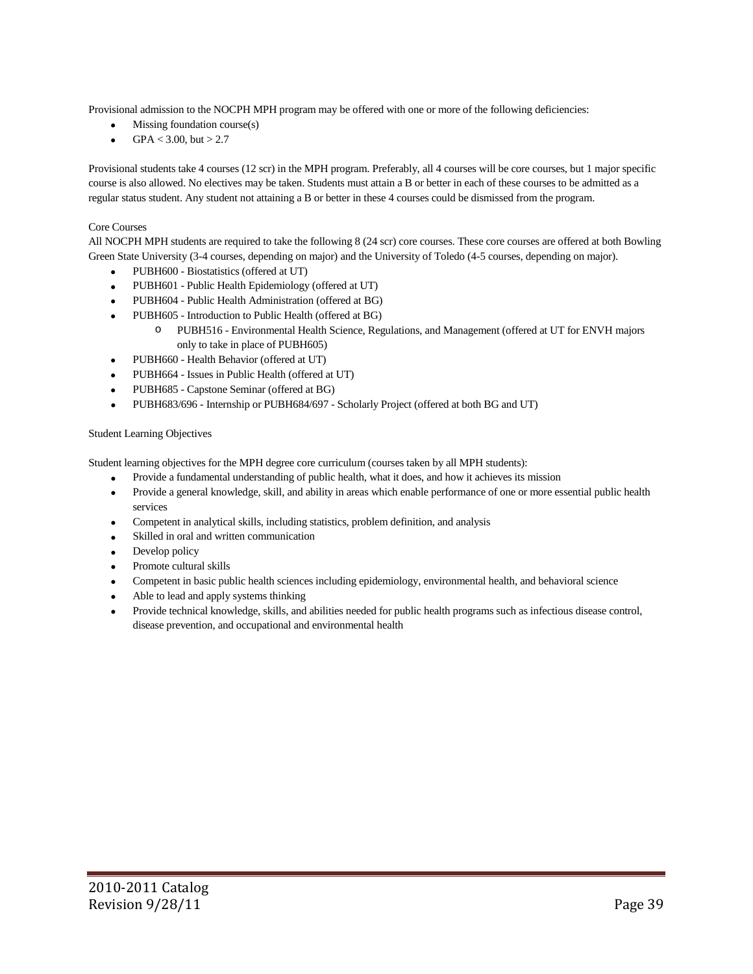Provisional admission to the NOCPH MPH program may be offered with one or more of the following deficiencies:

- Missing foundation course(s)
- $GPA < 3.00$ , but  $> 2.7$

Provisional students take 4 courses (12 scr) in the MPH program. Preferably, all 4 courses will be core courses, but 1 major specific course is also allowed. No electives may be taken. Students must attain a B or better in each of these courses to be admitted as a regular status student. Any student not attaining a B or better in these 4 courses could be dismissed from the program.

### Core Courses

All NOCPH MPH students are required to take the following 8 (24 scr) core courses. These core courses are offered at both Bowling Green State University (3-4 courses, depending on major) and the University of Toledo (4-5 courses, depending on major).

- PUBH600 Biostatistics (offered at UT)
- PUBH601 Public Health Epidemiology (offered at UT)
- PUBH604 Public Health Administration (offered at BG)
- PUBH605 Introduction to Public Health (offered at BG)
	- o PUBH516 Environmental Health Science, Regulations, and Management (offered at UT for ENVH majors only to take in place of PUBH605)
- PUBH660 Health Behavior (offered at UT)
- PUBH664 Issues in Public Health (offered at UT)
- PUBH685 Capstone Seminar (offered at BG)
- PUBH683/696 Internship or PUBH684/697 Scholarly Project (offered at both BG and UT)

### Student Learning Objectives

Student learning objectives for the MPH degree core curriculum (courses taken by all MPH students):

- Provide a fundamental understanding of public health, what it does, and how it achieves its mission
- Provide a general knowledge, skill, and ability in areas which enable performance of one or more essential public health services
- Competent in analytical skills, including statistics, problem definition, and analysis
- Skilled in oral and written communication
- Develop policy
- Promote cultural skills
- Competent in basic public health sciences including epidemiology, environmental health, and behavioral science
- Able to lead and apply systems thinking
- Provide technical knowledge, skills, and abilities needed for public health programs such as infectious disease control, disease prevention, and occupational and environmental health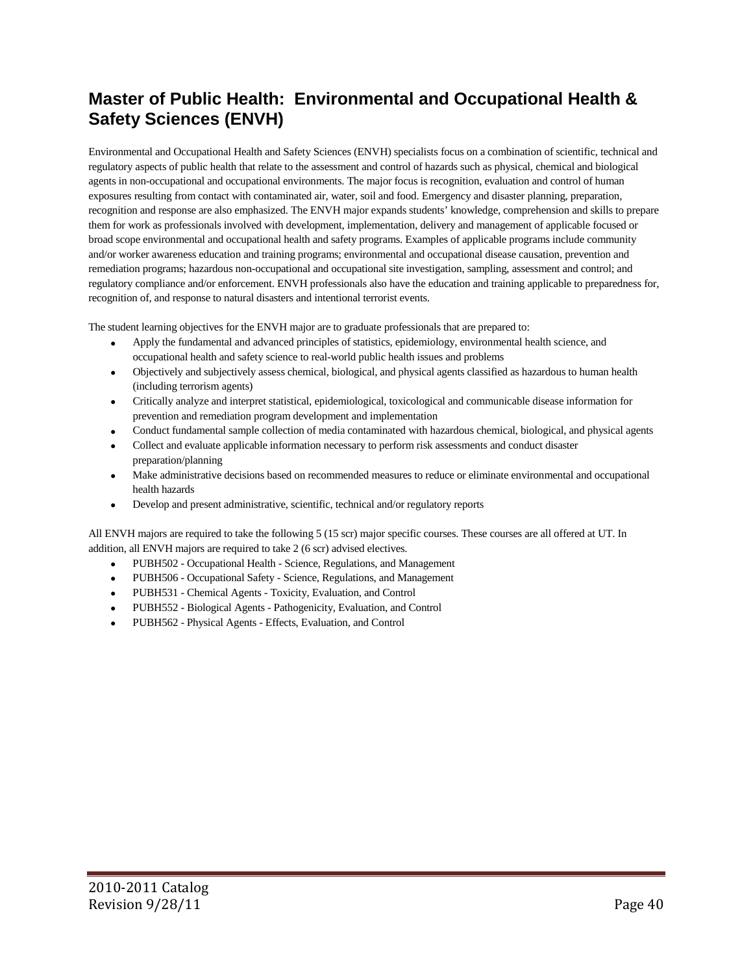# **Master of Public Health: Environmental and Occupational Health & Safety Sciences (ENVH)**

Environmental and Occupational Health and Safety Sciences (ENVH) specialists focus on a combination of scientific, technical and regulatory aspects of public health that relate to the assessment and control of hazards such as physical, chemical and biological agents in non-occupational and occupational environments. The major focus is recognition, evaluation and control of human exposures resulting from contact with contaminated air, water, soil and food. Emergency and disaster planning, preparation, recognition and response are also emphasized. The ENVH major expands students' knowledge, comprehension and skills to prepare them for work as professionals involved with development, implementation, delivery and management of applicable focused or broad scope environmental and occupational health and safety programs. Examples of applicable programs include community and/or worker awareness education and training programs; environmental and occupational disease causation, prevention and remediation programs; hazardous non-occupational and occupational site investigation, sampling, assessment and control; and regulatory compliance and/or enforcement. ENVH professionals also have the education and training applicable to preparedness for, recognition of, and response to natural disasters and intentional terrorist events.

The student learning objectives for the ENVH major are to graduate professionals that are prepared to:

- Apply the fundamental and advanced principles of statistics, epidemiology, environmental health science, and occupational health and safety science to real-world public health issues and problems
- Objectively and subjectively assess chemical, biological, and physical agents classified as hazardous to human health (including terrorism agents)
- Critically analyze and interpret statistical, epidemiological, toxicological and communicable disease information for prevention and remediation program development and implementation
- Conduct fundamental sample collection of media contaminated with hazardous chemical, biological, and physical agents
- Collect and evaluate applicable information necessary to perform risk assessments and conduct disaster preparation/planning
- Make administrative decisions based on recommended measures to reduce or eliminate environmental and occupational health hazards
- Develop and present administrative, scientific, technical and/or regulatory reports

All ENVH majors are required to take the following 5 (15 scr) major specific courses. These courses are all offered at UT. In addition, all ENVH majors are required to take 2 (6 scr) advised electives.

- PUBH502 Occupational Health Science, Regulations, and Management
- PUBH506 Occupational Safety Science, Regulations, and Management
- PUBH531 Chemical Agents Toxicity, Evaluation, and Control
- PUBH552 Biological Agents Pathogenicity, Evaluation, and Control
- PUBH562 Physical Agents Effects, Evaluation, and Control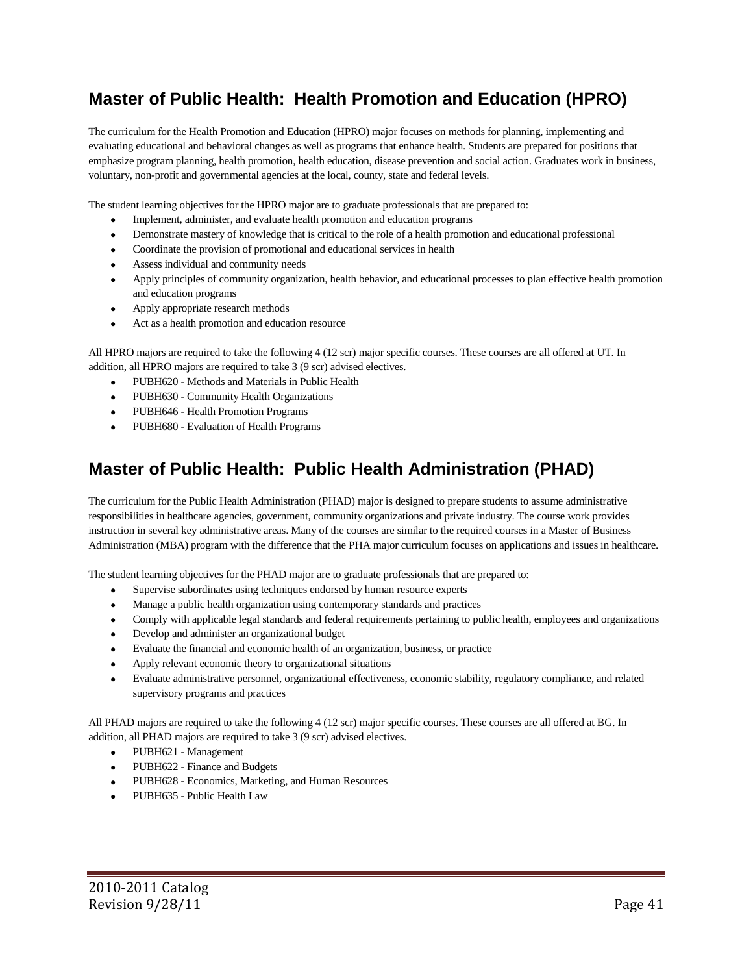# **Master of Public Health: Health Promotion and Education (HPRO)**

The curriculum for the Health Promotion and Education (HPRO) major focuses on methods for planning, implementing and evaluating educational and behavioral changes as well as programs that enhance health. Students are prepared for positions that emphasize program planning, health promotion, health education, disease prevention and social action. Graduates work in business, voluntary, non-profit and governmental agencies at the local, county, state and federal levels.

The student learning objectives for the HPRO major are to graduate professionals that are prepared to:

- Implement, administer, and evaluate health promotion and education programs
- Demonstrate mastery of knowledge that is critical to the role of a health promotion and educational professional
- Coordinate the provision of promotional and educational services in health
- Assess individual and community needs
- Apply principles of community organization, health behavior, and educational processes to plan effective health promotion and education programs
- Apply appropriate research methods
- Act as a health promotion and education resource

All HPRO majors are required to take the following 4 (12 scr) major specific courses. These courses are all offered at UT. In addition, all HPRO majors are required to take 3 (9 scr) advised electives.

- PUBH620 Methods and Materials in Public Health
- PUBH630 Community Health Organizations
- PUBH646 Health Promotion Programs
- PUBH680 Evaluation of Health Programs

# **Master of Public Health: Public Health Administration (PHAD)**

The curriculum for the Public Health Administration (PHAD) major is designed to prepare students to assume administrative responsibilities in healthcare agencies, government, community organizations and private industry. The course work provides instruction in several key administrative areas. Many of the courses are similar to the required courses in a Master of Business Administration (MBA) program with the difference that the PHA major curriculum focuses on applications and issues in healthcare.

The student learning objectives for the PHAD major are to graduate professionals that are prepared to:

- Supervise subordinates using techniques endorsed by human resource experts
- Manage a public health organization using contemporary standards and practices
- Comply with applicable legal standards and federal requirements pertaining to public health, employees and organizations
- Develop and administer an organizational budget
- Evaluate the financial and economic health of an organization, business, or practice
- Apply relevant economic theory to organizational situations
- Evaluate administrative personnel, organizational effectiveness, economic stability, regulatory compliance, and related supervisory programs and practices

All PHAD majors are required to take the following 4 (12 scr) major specific courses. These courses are all offered at BG. In addition, all PHAD majors are required to take 3 (9 scr) advised electives.

- PUBH621 Management
- PUBH622 Finance and Budgets
- PUBH628 Economics, Marketing, and Human Resources
- PUBH635 Public Health Law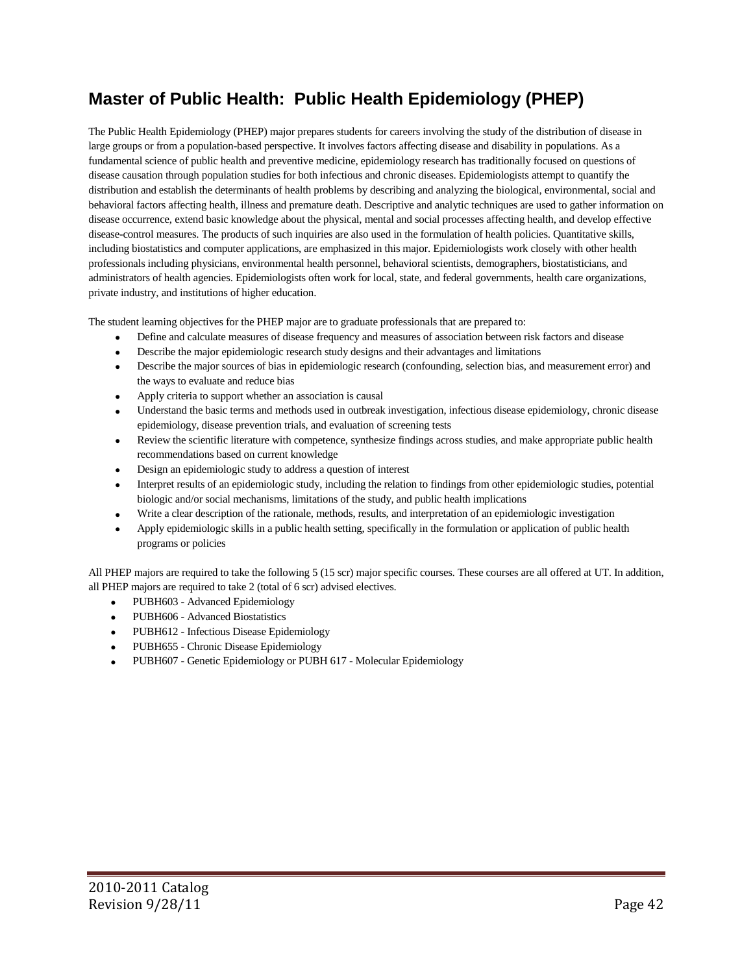# **Master of Public Health: Public Health Epidemiology (PHEP)**

The Public Health Epidemiology (PHEP) major prepares students for careers involving the study of the distribution of disease in large groups or from a population-based perspective. It involves factors affecting disease and disability in populations. As a fundamental science of public health and preventive medicine, epidemiology research has traditionally focused on questions of disease causation through population studies for both infectious and chronic diseases. Epidemiologists attempt to quantify the distribution and establish the determinants of health problems by describing and analyzing the biological, environmental, social and behavioral factors affecting health, illness and premature death. Descriptive and analytic techniques are used to gather information on disease occurrence, extend basic knowledge about the physical, mental and social processes affecting health, and develop effective disease-control measures. The products of such inquiries are also used in the formulation of health policies. Quantitative skills, including biostatistics and computer applications, are emphasized in this major. Epidemiologists work closely with other health professionals including physicians, environmental health personnel, behavioral scientists, demographers, biostatisticians, and administrators of health agencies. Epidemiologists often work for local, state, and federal governments, health care organizations, private industry, and institutions of higher education.

The student learning objectives for the PHEP major are to graduate professionals that are prepared to:

- Define and calculate measures of disease frequency and measures of association between risk factors and disease
- Describe the major epidemiologic research study designs and their advantages and limitations
- Describe the major sources of bias in epidemiologic research (confounding, selection bias, and measurement error) and the ways to evaluate and reduce bias
- Apply criteria to support whether an association is causal
- Understand the basic terms and methods used in outbreak investigation, infectious disease epidemiology, chronic disease epidemiology, disease prevention trials, and evaluation of screening tests
- Review the scientific literature with competence, synthesize findings across studies, and make appropriate public health recommendations based on current knowledge
- Design an epidemiologic study to address a question of interest
- Interpret results of an epidemiologic study, including the relation to findings from other epidemiologic studies, potential biologic and/or social mechanisms, limitations of the study, and public health implications
- Write a clear description of the rationale, methods, results, and interpretation of an epidemiologic investigation
- Apply epidemiologic skills in a public health setting, specifically in the formulation or application of public health programs or policies

All PHEP majors are required to take the following 5 (15 scr) major specific courses. These courses are all offered at UT. In addition, all PHEP majors are required to take 2 (total of 6 scr) advised electives.

- PUBH603 Advanced Epidemiology
- PUBH606 Advanced Biostatistics
- PUBH612 Infectious Disease Epidemiology
- PUBH655 Chronic Disease Epidemiology
- PUBH607 Genetic Epidemiology or PUBH 617 Molecular Epidemiology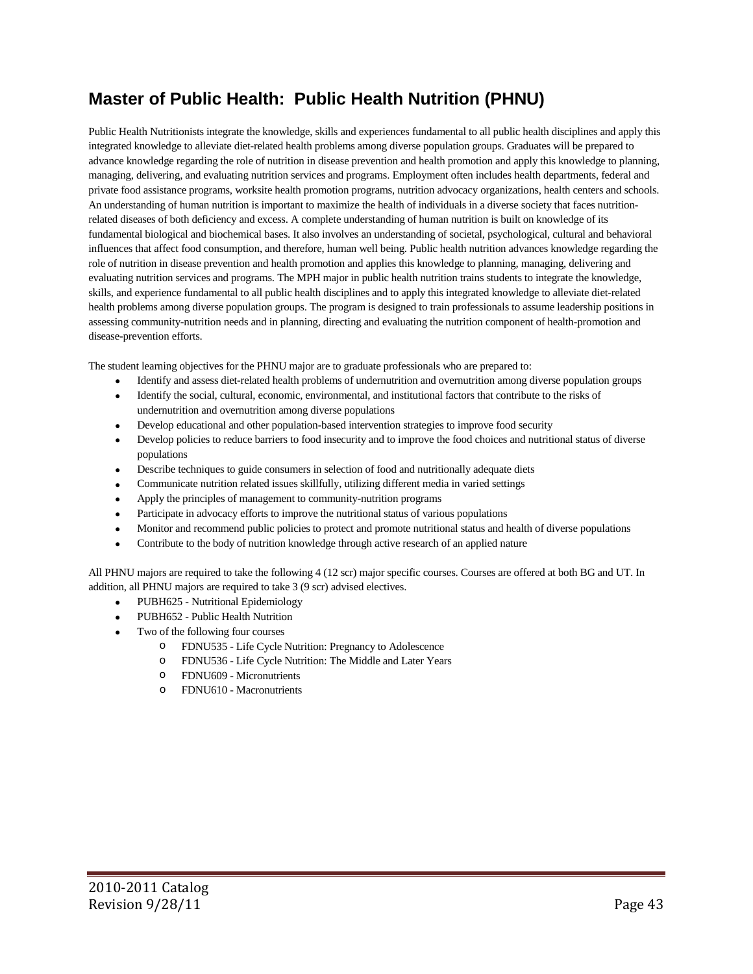# **Master of Public Health: Public Health Nutrition (PHNU)**

Public Health Nutritionists integrate the knowledge, skills and experiences fundamental to all public health disciplines and apply this integrated knowledge to alleviate diet-related health problems among diverse population groups. Graduates will be prepared to advance knowledge regarding the role of nutrition in disease prevention and health promotion and apply this knowledge to planning, managing, delivering, and evaluating nutrition services and programs. Employment often includes health departments, federal and private food assistance programs, worksite health promotion programs, nutrition advocacy organizations, health centers and schools. An understanding of human nutrition is important to maximize the health of individuals in a diverse society that faces nutritionrelated diseases of both deficiency and excess. A complete understanding of human nutrition is built on knowledge of its fundamental biological and biochemical bases. It also involves an understanding of societal, psychological, cultural and behavioral influences that affect food consumption, and therefore, human well being. Public health nutrition advances knowledge regarding the role of nutrition in disease prevention and health promotion and applies this knowledge to planning, managing, delivering and evaluating nutrition services and programs. The MPH major in public health nutrition trains students to integrate the knowledge, skills, and experience fundamental to all public health disciplines and to apply this integrated knowledge to alleviate diet-related health problems among diverse population groups. The program is designed to train professionals to assume leadership positions in assessing community-nutrition needs and in planning, directing and evaluating the nutrition component of health-promotion and disease-prevention efforts.

The student learning objectives for the PHNU major are to graduate professionals who are prepared to:

- Identify and assess diet-related health problems of undernutrition and overnutrition among diverse population groups
- Identify the social, cultural, economic, environmental, and institutional factors that contribute to the risks of undernutrition and overnutrition among diverse populations
- Develop educational and other population-based intervention strategies to improve food security
- Develop policies to reduce barriers to food insecurity and to improve the food choices and nutritional status of diverse populations
- Describe techniques to guide consumers in selection of food and nutritionally adequate diets
- Communicate nutrition related issues skillfully, utilizing different media in varied settings
- Apply the principles of management to community-nutrition programs
- Participate in advocacy efforts to improve the nutritional status of various populations
- Monitor and recommend public policies to protect and promote nutritional status and health of diverse populations
- Contribute to the body of nutrition knowledge through active research of an applied nature

All PHNU majors are required to take the following 4 (12 scr) major specific courses. Courses are offered at both BG and UT. In addition, all PHNU majors are required to take 3 (9 scr) advised electives.

- PUBH625 Nutritional Epidemiology
- PUBH652 Public Health Nutrition
- Two of the following four courses
	- o FDNU535 Life Cycle Nutrition: Pregnancy to Adolescence
	- o FDNU536 Life Cycle Nutrition: The Middle and Later Years
	- o FDNU609 Micronutrients
	- o FDNU610 Macronutrients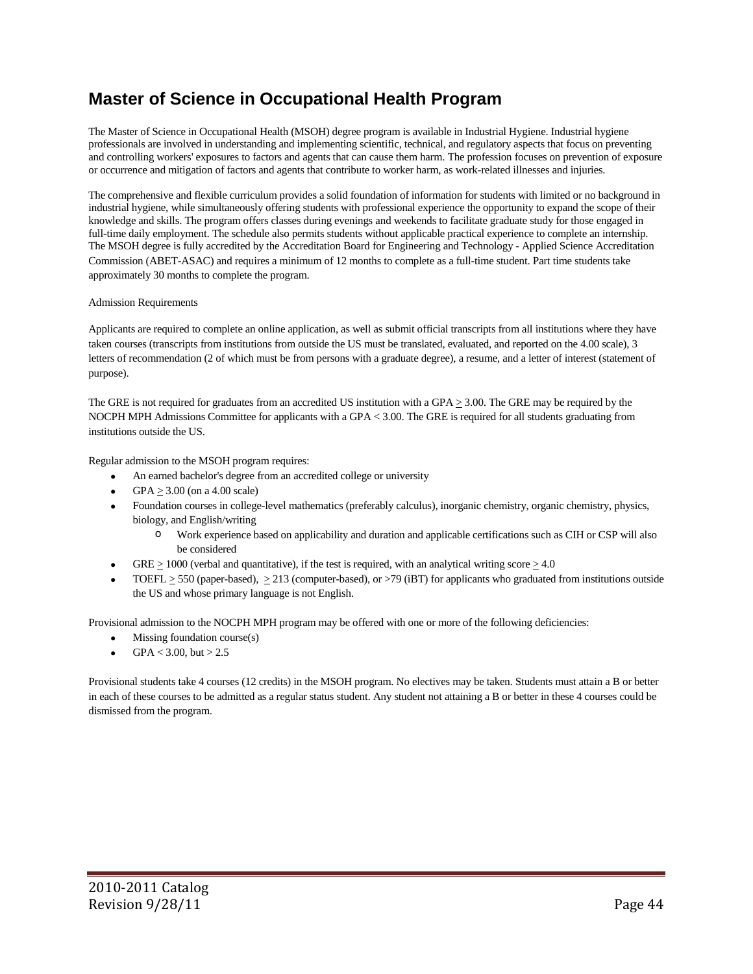# **Master of Science in Occupational Health Program**

The Master of Science in Occupational Health (MSOH) degree program is available in Industrial Hygiene. Industrial hygiene professionals are involved in understanding and implementing scientific, technical, and regulatory aspects that focus on preventing and controlling workers' exposures to factors and agents that can cause them harm. The profession focuses on prevention of exposure or occurrence and mitigation of factors and agents that contribute to worker harm, as work-related illnesses and injuries.

The comprehensive and flexible curriculum provides a solid foundation of information for students with limited or no background in industrial hygiene, while simultaneously offering students with professional experience the opportunity to expand the scope of their knowledge and skills. The program offers classes during evenings and weekends to facilitate graduate study for those engaged in full-time daily employment. The schedule also permits students without applicable practical experience to complete an internship. The MSOH degree is fully accredited by the Accreditation Board for Engineering and Technology - Applied Science Accreditation Commission (ABET-ASAC) and requires a minimum of 12 months to complete as a full-time student. Part time students take approximately 30 months to complete the program.

### Admission Requirements

Applicants are required to complete an online application, as well as submit official transcripts from all institutions where they have taken courses (transcripts from institutions from outside the US must be translated, evaluated, and reported on the 4.00 scale), 3 letters of recommendation (2 of which must be from persons with a graduate degree), a resume, and a letter of interest (statement of purpose).

The GRE is not required for graduates from an accredited US institution with a GPA > 3.00. The GRE may be required by the NOCPH MPH Admissions Committee for applicants with a GPA < 3.00. The GRE is required for all students graduating from institutions outside the US.

Regular admission to the MSOH program requires:

- An earned bachelor's degree from an accredited college or university
- GPA  $>$  3.00 (on a 4.00 scale)
- Foundation courses in college-level mathematics (preferably calculus), inorganic chemistry, organic chemistry, physics, biology, and English/writing
	- o Work experience based on applicability and duration and applicable certifications such as CIH or CSP will also be considered
- $GRE > 1000$  (verbal and quantitative), if the test is required, with an analytical writing score  $> 4.0$
- TOEFL  $\geq$  550 (paper-based),  $\geq$  213 (computer-based), or >79 (iBT) for applicants who graduated from institutions outside the US and whose primary language is not English.

Provisional admission to the NOCPH MPH program may be offered with one or more of the following deficiencies:

- Missing foundation course $(s)$
- $GPA < 3.00$ , but  $> 2.5$

Provisional students take 4 courses (12 credits) in the MSOH program. No electives may be taken. Students must attain a B or better in each of these courses to be admitted as a regular status student. Any student not attaining a B or better in these 4 courses could be dismissed from the program.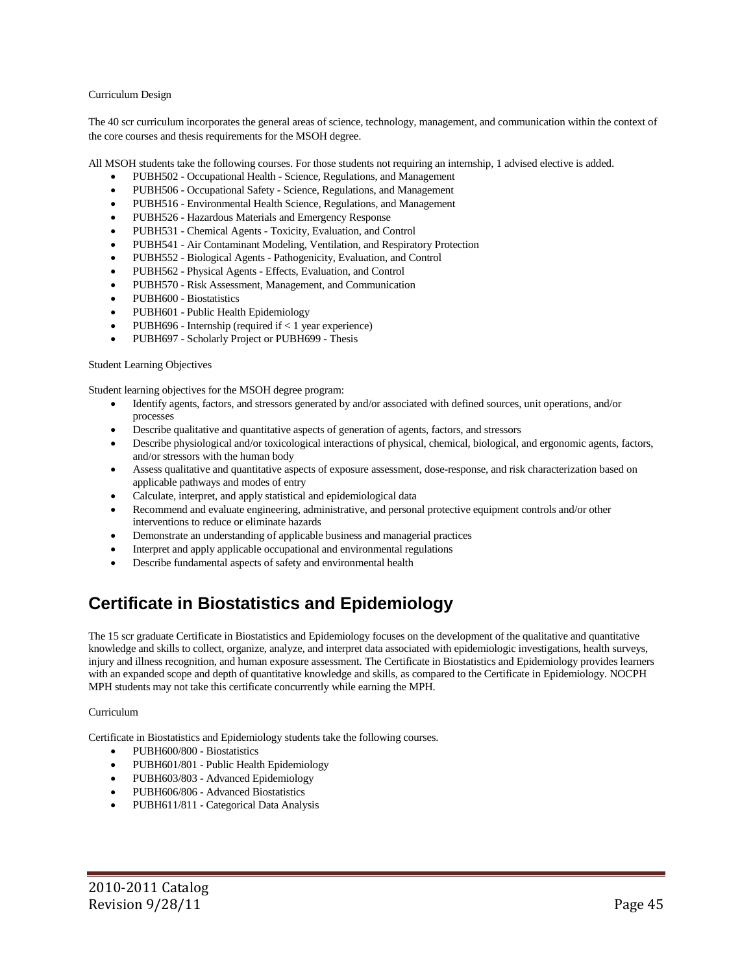### Curriculum Design

The 40 scr curriculum incorporates the general areas of science, technology, management, and communication within the context of the core courses and thesis requirements for the MSOH degree.

All MSOH students take the following courses. For those students not requiring an internship, 1 advised elective is added.

- PUBH502 Occupational Health Science, Regulations, and Management
- PUBH506 Occupational Safety Science, Regulations, and Management
- PUBH516 Environmental Health Science, Regulations, and Management
- PUBH526 Hazardous Materials and Emergency Response
- PUBH531 Chemical Agents Toxicity, Evaluation, and Control
- PUBH541 Air Contaminant Modeling, Ventilation, and Respiratory Protection
- PUBH552 Biological Agents Pathogenicity, Evaluation, and Control
- PUBH562 Physical Agents Effects, Evaluation, and Control
- PUBH570 Risk Assessment, Management, and Communication
- PUBH600 Biostatistics
- PUBH601 Public Health Epidemiology
- PUBH696 Internship (required if  $< 1$  year experience)
- PUBH697 Scholarly Project or PUBH699 Thesis

#### Student Learning Objectives

Student learning objectives for the MSOH degree program:

- Identify agents, factors, and stressors generated by and/or associated with defined sources, unit operations, and/or processes
- Describe qualitative and quantitative aspects of generation of agents, factors, and stressors
- Describe physiological and/or toxicological interactions of physical, chemical, biological, and ergonomic agents, factors, and/or stressors with the human body
- Assess qualitative and quantitative aspects of exposure assessment, dose-response, and risk characterization based on applicable pathways and modes of entry
- Calculate, interpret, and apply statistical and epidemiological data
- Recommend and evaluate engineering, administrative, and personal protective equipment controls and/or other interventions to reduce or eliminate hazards
- Demonstrate an understanding of applicable business and managerial practices
- Interpret and apply applicable occupational and environmental regulations
- Describe fundamental aspects of safety and environmental health

# **Certificate in Biostatistics and Epidemiology**

The 15 scr graduate Certificate in Biostatistics and Epidemiology focuses on the development of the qualitative and quantitative knowledge and skills to collect, organize, analyze, and interpret data associated with epidemiologic investigations, health surveys, injury and illness recognition, and human exposure assessment. The Certificate in Biostatistics and Epidemiology provides learners with an expanded scope and depth of quantitative knowledge and skills, as compared to the Certificate in Epidemiology. NOCPH MPH students may not take this certificate concurrently while earning the MPH.

#### Curriculum

Certificate in Biostatistics and Epidemiology students take the following courses.

- PUBH600/800 Biostatistics
- PUBH601/801 Public Health Epidemiology
- PUBH603/803 Advanced Epidemiology
- PUBH606/806 Advanced Biostatistics
- PUBH611/811 Categorical Data Analysis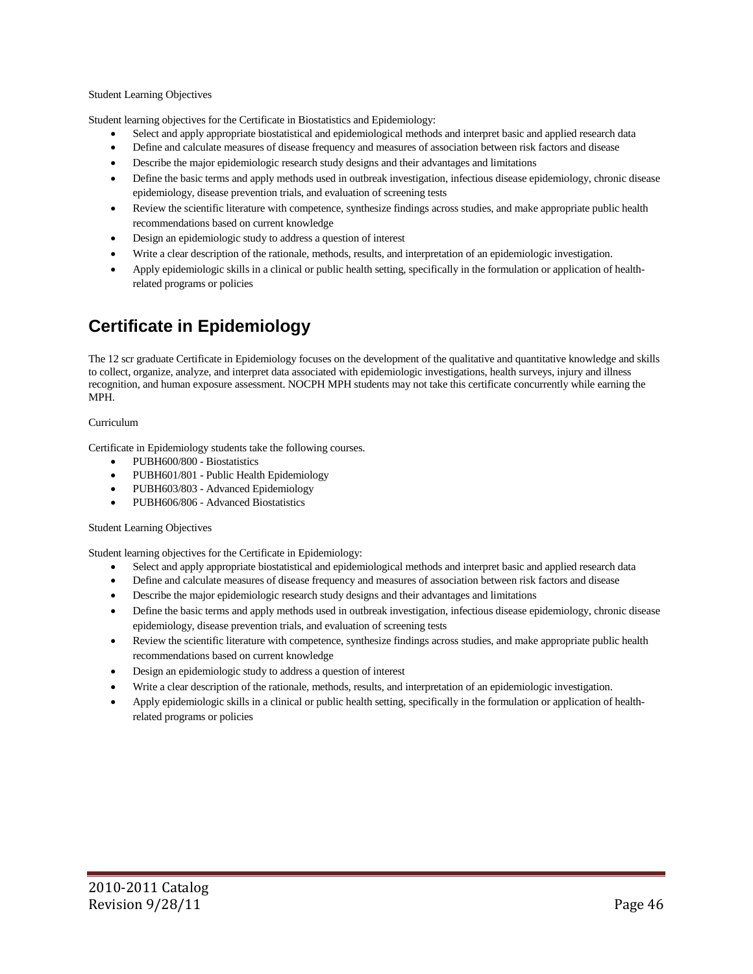#### Student Learning Objectives

Student learning objectives for the Certificate in Biostatistics and Epidemiology:

- Select and apply appropriate biostatistical and epidemiological methods and interpret basic and applied research data
- Define and calculate measures of disease frequency and measures of association between risk factors and disease
- Describe the major epidemiologic research study designs and their advantages and limitations
- Define the basic terms and apply methods used in outbreak investigation, infectious disease epidemiology, chronic disease epidemiology, disease prevention trials, and evaluation of screening tests
- Review the scientific literature with competence, synthesize findings across studies, and make appropriate public health recommendations based on current knowledge
- Design an epidemiologic study to address a question of interest
- Write a clear description of the rationale, methods, results, and interpretation of an epidemiologic investigation.
- Apply epidemiologic skills in a clinical or public health setting, specifically in the formulation or application of healthrelated programs or policies

# **Certificate in Epidemiology**

The 12 scr graduate Certificate in Epidemiology focuses on the development of the qualitative and quantitative knowledge and skills to collect, organize, analyze, and interpret data associated with epidemiologic investigations, health surveys, injury and illness recognition, and human exposure assessment. NOCPH MPH students may not take this certificate concurrently while earning the MPH.

### Curriculum

Certificate in Epidemiology students take the following courses.

- PUBH600/800 Biostatistics
- PUBH601/801 Public Health Epidemiology
- PUBH603/803 Advanced Epidemiology
- PUBH606/806 Advanced Biostatistics

### Student Learning Objectives

Student learning objectives for the Certificate in Epidemiology:

- Select and apply appropriate biostatistical and epidemiological methods and interpret basic and applied research data
- Define and calculate measures of disease frequency and measures of association between risk factors and disease
- Describe the major epidemiologic research study designs and their advantages and limitations
- Define the basic terms and apply methods used in outbreak investigation, infectious disease epidemiology, chronic disease epidemiology, disease prevention trials, and evaluation of screening tests
- Review the scientific literature with competence, synthesize findings across studies, and make appropriate public health recommendations based on current knowledge
- Design an epidemiologic study to address a question of interest
- Write a clear description of the rationale, methods, results, and interpretation of an epidemiologic investigation.
- Apply epidemiologic skills in a clinical or public health setting, specifically in the formulation or application of healthrelated programs or policies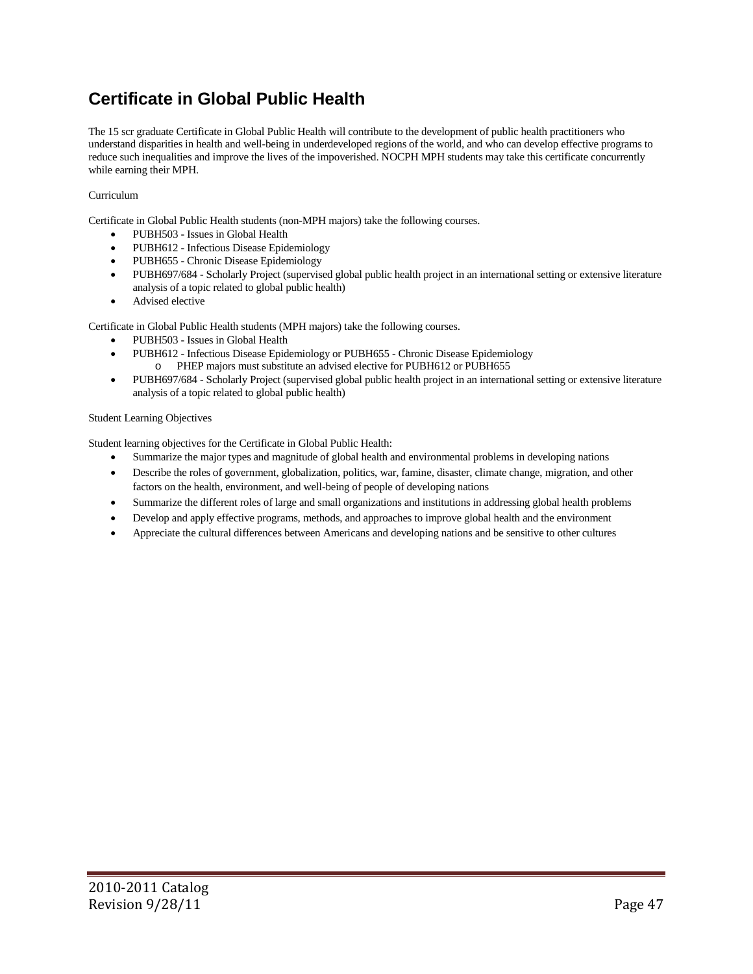# **Certificate in Global Public Health**

The 15 scr graduate Certificate in Global Public Health will contribute to the development of public health practitioners who understand disparities in health and well-being in underdeveloped regions of the world, and who can develop effective programs to reduce such inequalities and improve the lives of the impoverished. NOCPH MPH students may take this certificate concurrently while earning their MPH.

### Curriculum

Certificate in Global Public Health students (non-MPH majors) take the following courses.

- PUBH503 Issues in Global Health
- PUBH612 Infectious Disease Epidemiology
- PUBH655 Chronic Disease Epidemiology
- PUBH697/684 Scholarly Project (supervised global public health project in an international setting or extensive literature analysis of a topic related to global public health)
- Advised elective

Certificate in Global Public Health students (MPH majors) take the following courses.

- PUBH503 Issues in Global Health
	- PUBH612 Infectious Disease Epidemiology or PUBH655 Chronic Disease Epidemiology o PHEP majors must substitute an advised elective for PUBH612 or PUBH655
- PUBH697/684 Scholarly Project (supervised global public health project in an international setting or extensive literature analysis of a topic related to global public health)

### Student Learning Objectives

Student learning objectives for the Certificate in Global Public Health:

- Summarize the major types and magnitude of global health and environmental problems in developing nations
- Describe the roles of government, globalization, politics, war, famine, disaster, climate change, migration, and other factors on the health, environment, and well-being of people of developing nations
- Summarize the different roles of large and small organizations and institutions in addressing global health problems
- Develop and apply effective programs, methods, and approaches to improve global health and the environment
- Appreciate the cultural differences between Americans and developing nations and be sensitive to other cultures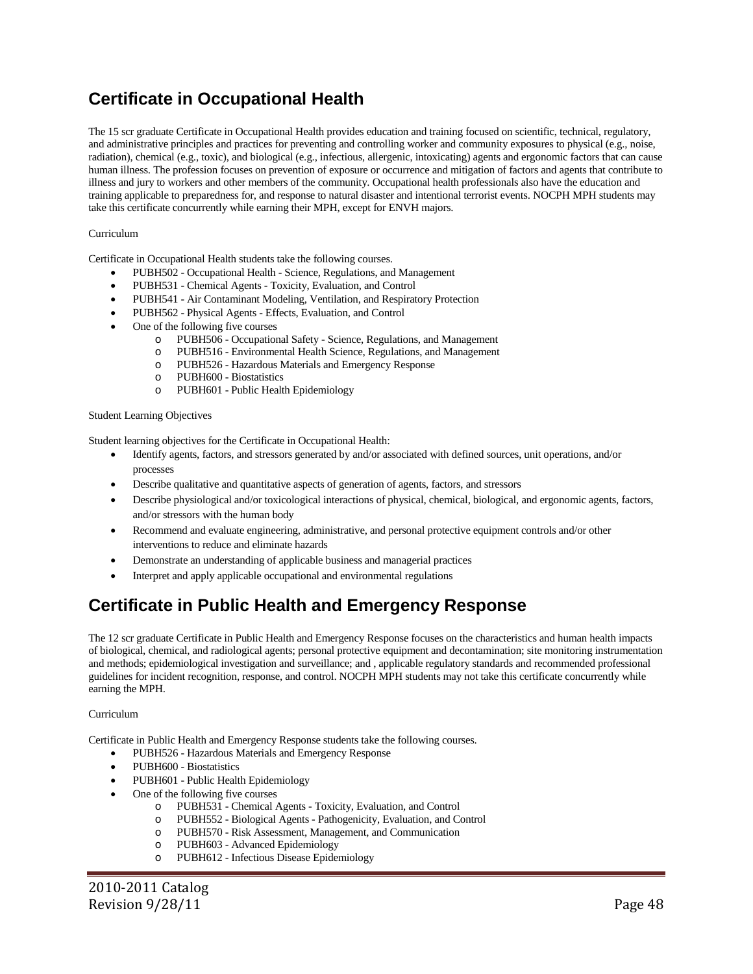# **Certificate in Occupational Health**

The 15 scr graduate Certificate in Occupational Health provides education and training focused on scientific, technical, regulatory, and administrative principles and practices for preventing and controlling worker and community exposures to physical (e.g., noise, radiation), chemical (e.g., toxic), and biological (e.g., infectious, allergenic, intoxicating) agents and ergonomic factors that can cause human illness. The profession focuses on prevention of exposure or occurrence and mitigation of factors and agents that contribute to illness and jury to workers and other members of the community. Occupational health professionals also have the education and training applicable to preparedness for, and response to natural disaster and intentional terrorist events. NOCPH MPH students may take this certificate concurrently while earning their MPH, except for ENVH majors.

### Curriculum

Certificate in Occupational Health students take the following courses.

- PUBH502 Occupational Health Science, Regulations, and Management
- PUBH531 Chemical Agents Toxicity, Evaluation, and Control
- PUBH541 Air Contaminant Modeling, Ventilation, and Respiratory Protection
- PUBH562 Physical Agents Effects, Evaluation, and Control
- One of the following five courses
	- o PUBH506 Occupational Safety Science, Regulations, and Management
	- o PUBH516 Environmental Health Science, Regulations, and Management
	- o PUBH526 Hazardous Materials and Emergency Response<br>
	O PUBH600 Biostatistics
	- o PUBH600 Biostatistics
	- PUBH601 Public Health Epidemiology

#### Student Learning Objectives

Student learning objectives for the Certificate in Occupational Health:

- Identify agents, factors, and stressors generated by and/or associated with defined sources, unit operations, and/or processes
- Describe qualitative and quantitative aspects of generation of agents, factors, and stressors
- Describe physiological and/or toxicological interactions of physical, chemical, biological, and ergonomic agents, factors, and/or stressors with the human body
- Recommend and evaluate engineering, administrative, and personal protective equipment controls and/or other interventions to reduce and eliminate hazards
- Demonstrate an understanding of applicable business and managerial practices
- Interpret and apply applicable occupational and environmental regulations

# **Certificate in Public Health and Emergency Response**

The 12 scr graduate Certificate in Public Health and Emergency Response focuses on the characteristics and human health impacts of biological, chemical, and radiological agents; personal protective equipment and decontamination; site monitoring instrumentation and methods; epidemiological investigation and surveillance; and , applicable regulatory standards and recommended professional guidelines for incident recognition, response, and control. NOCPH MPH students may not take this certificate concurrently while earning the MPH.

#### Curriculum

Certificate in Public Health and Emergency Response students take the following courses.

- PUBH526 Hazardous Materials and Emergency Response
- PUBH600 Biostatistics
- PUBH601 Public Health Epidemiology
- One of the following five courses
	-
	- o PUBH531 Chemical Agents Toxicity, Evaluation, and Control o PUBH552 - Biological Agents - Pathogenicity, Evaluation, and Control
	- o PUBH570 Risk Assessment, Management, and Communication<br>
	PUBH603 Advanced Enidemiology
	- o PUBH603 Advanced Epidemiology<br>
	O PUBH612 Infectious Disease Epidem
	- PUBH612 Infectious Disease Epidemiology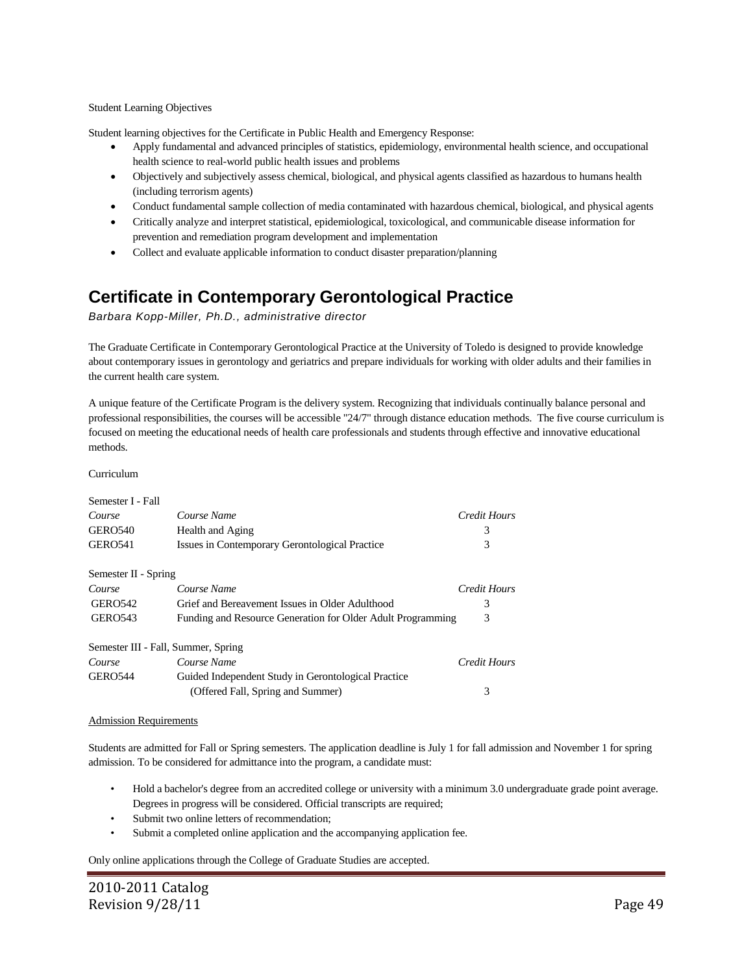Student Learning Objectives

Student learning objectives for the Certificate in Public Health and Emergency Response:

- Apply fundamental and advanced principles of statistics, epidemiology, environmental health science, and occupational health science to real-world public health issues and problems
- Objectively and subjectively assess chemical, biological, and physical agents classified as hazardous to humans health (including terrorism agents)
- Conduct fundamental sample collection of media contaminated with hazardous chemical, biological, and physical agents
- Critically analyze and interpret statistical, epidemiological, toxicological, and communicable disease information for prevention and remediation program development and implementation
- Collect and evaluate applicable information to conduct disaster preparation/planning

# **Certificate in Contemporary Gerontological Practice**

*Barbara Kopp-Miller, Ph.D., administrative director*

The Graduate Certificate in Contemporary Gerontological Practice at the University of Toledo is designed to provide knowledge about contemporary issues in gerontology and geriatrics and prepare individuals for working with older adults and their families in the current health care system.

A unique feature of the Certificate Program is the delivery system. Recognizing that individuals continually balance personal and professional responsibilities, the courses will be accessible "24/7" through distance education methods. The five course curriculum is focused on meeting the educational needs of health care professionals and students through effective and innovative educational methods.

Curriculum

| Semester I - Fall                   |                                                             |              |
|-------------------------------------|-------------------------------------------------------------|--------------|
| Course                              | Course Name                                                 | Credit Hours |
| GERO <sub>540</sub>                 | Health and Aging                                            | 3            |
| <b>GERO541</b>                      | Issues in Contemporary Gerontological Practice              | 3            |
| Semester II - Spring                |                                                             |              |
| Course                              | Course Name                                                 | Credit Hours |
| GERO <sub>542</sub>                 | Grief and Bereavement Issues in Older Adulthood             | 3            |
| <b>GERO543</b>                      | Funding and Resource Generation for Older Adult Programming | 3            |
| Semester III - Fall, Summer, Spring |                                                             |              |
| Course                              | Course Name                                                 | Credit Hours |
| <b>GERO544</b>                      | Guided Independent Study in Gerontological Practice         |              |
|                                     | (Offered Fall, Spring and Summer)                           | 3            |

#### Admission Requirements

Students are admitted for Fall or Spring semesters. The application deadline is July 1 for fall admission and November 1 for spring admission. To be considered for admittance into the program, a candidate must:

- Hold a bachelor's degree from an accredited college or university with a minimum 3.0 undergraduate grade point average. Degrees in progress will be considered. Official transcripts are required;
- Submit two online letters of recommendation;
- Submit a completed online application and the accompanying application fee.

Only online applications through the College of Graduate Studies are accepted.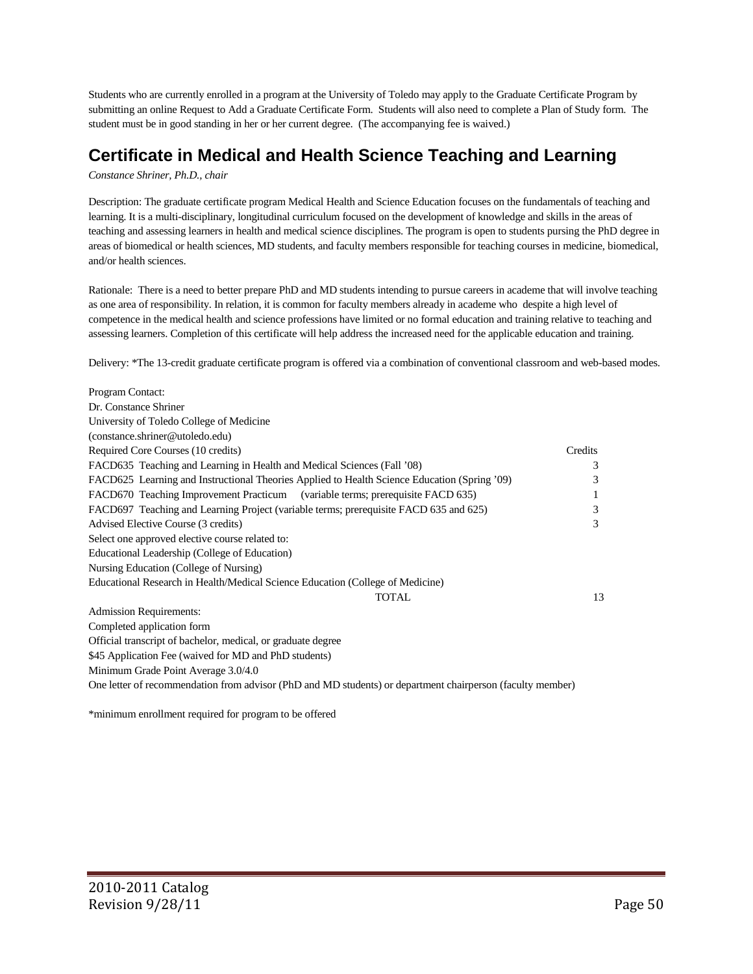Students who are currently enrolled in a program at the University of Toledo may apply to the Graduate Certificate Program by submitting an online Request to Add a Graduate Certificate Form. Students will also need to complete a Plan of Study form. The student must be in good standing in her or her current degree. (The accompanying fee is waived.)

# **Certificate in Medical and Health Science Teaching and Learning**

*Constance Shriner, Ph.D., chair*

Description: The graduate certificate program Medical Health and Science Education focuses on the fundamentals of teaching and learning. It is a multi-disciplinary, longitudinal curriculum focused on the development of knowledge and skills in the areas of teaching and assessing learners in health and medical science disciplines. The program is open to students pursing the PhD degree in areas of biomedical or health sciences, MD students, and faculty members responsible for teaching courses in medicine, biomedical, and/or health sciences.

Rationale: There is a need to better prepare PhD and MD students intending to pursue careers in academe that will involve teaching as one area of responsibility. In relation, it is common for faculty members already in academe who despite a high level of competence in the medical health and science professions have limited or no formal education and training relative to teaching and assessing learners. Completion of this certificate will help address the increased need for the applicable education and training.

Delivery: \*The 13-credit graduate certificate program is offered via a combination of conventional classroom and web-based modes.

| Program Contact:                                                                                           |         |
|------------------------------------------------------------------------------------------------------------|---------|
| Dr. Constance Shriner                                                                                      |         |
| University of Toledo College of Medicine                                                                   |         |
| (constance.shriner@utoledo.edu)                                                                            |         |
| Required Core Courses (10 credits)                                                                         | Credits |
| FACD635 Teaching and Learning in Health and Medical Sciences (Fall '08)                                    | 3       |
| FACD625 Learning and Instructional Theories Applied to Health Science Education (Spring '09)               | 3       |
| FACD670 Teaching Improvement Practicum (variable terms; prerequisite FACD 635)                             |         |
| FACD697 Teaching and Learning Project (variable terms; prerequisite FACD 635 and 625)                      | 3       |
| Advised Elective Course (3 credits)                                                                        | 3       |
| Select one approved elective course related to:                                                            |         |
| Educational Leadership (College of Education)                                                              |         |
| Nursing Education (College of Nursing)                                                                     |         |
| Educational Research in Health/Medical Science Education (College of Medicine)                             |         |
| TOTAL                                                                                                      | 13      |
| <b>Admission Requirements:</b>                                                                             |         |
| Completed application form                                                                                 |         |
| Official transcript of bachelor, medical, or graduate degree                                               |         |
| \$45 Application Fee (waived for MD and PhD students)                                                      |         |
| Minimum Grade Point Average 3.0/4.0                                                                        |         |
| One letter of recommendation from advisor (PhD and MD students) or department chairperson (faculty member) |         |

\*minimum enrollment required for program to be offered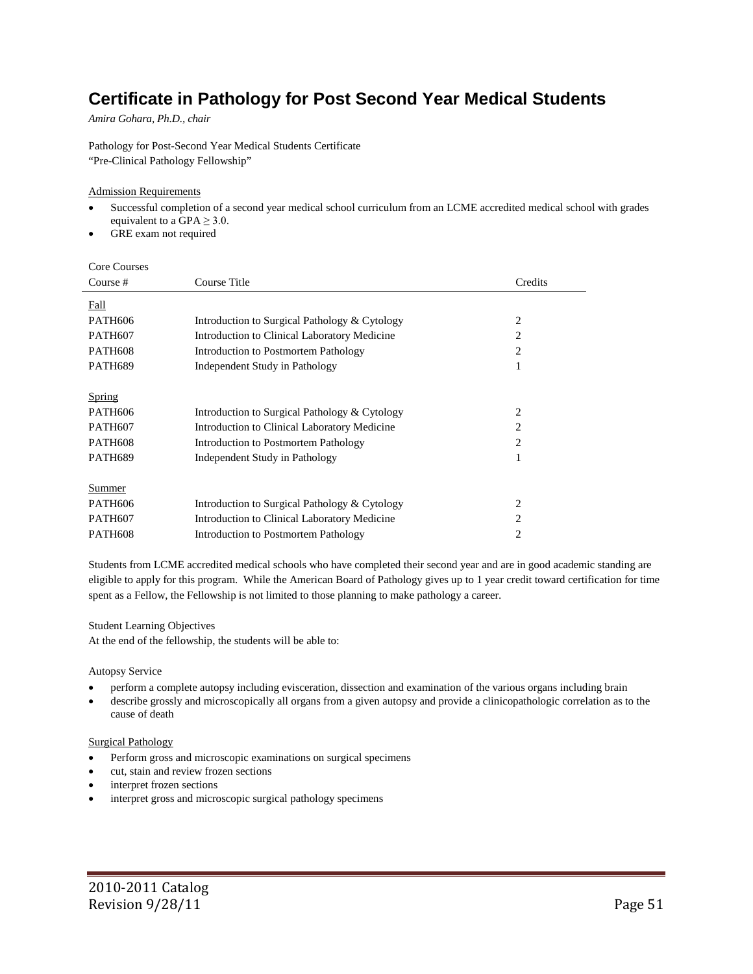# **Certificate in Pathology for Post Second Year Medical Students**

*Amira Gohara, Ph.D., chair*

Pathology for Post-Second Year Medical Students Certificate "Pre-Clinical Pathology Fellowship"

#### Admission Requirements

- Successful completion of a second year medical school curriculum from an LCME accredited medical school with grades equivalent to a GPA  $\geq$  3.0.
- GRE exam not required

| <b>Core Courses</b> |                                               |                |
|---------------------|-----------------------------------------------|----------------|
| Course #            | Course Title                                  | Credits        |
| Fall                |                                               |                |
| <b>PATH606</b>      | Introduction to Surgical Pathology & Cytology | 2              |
| <b>PATH607</b>      | Introduction to Clinical Laboratory Medicine  | 2              |
| <b>PATH608</b>      | Introduction to Postmortem Pathology          | $\overline{2}$ |
| <b>PATH689</b>      | Independent Study in Pathology                | 1              |
|                     |                                               |                |
| Spring              |                                               |                |
| <b>PATH606</b>      | Introduction to Surgical Pathology & Cytology | 2              |
| <b>PATH607</b>      | Introduction to Clinical Laboratory Medicine  | 2              |
| <b>PATH608</b>      | Introduction to Postmortem Pathology          | $\overline{2}$ |
| <b>PATH689</b>      | Independent Study in Pathology                | 1              |
|                     |                                               |                |
| Summer              |                                               |                |
| PATH606             | Introduction to Surgical Pathology & Cytology | 2              |
| <b>PATH607</b>      | Introduction to Clinical Laboratory Medicine  | 2              |
| <b>PATH608</b>      | Introduction to Postmortem Pathology          | 2              |
|                     |                                               |                |

Students from LCME accredited medical schools who have completed their second year and are in good academic standing are eligible to apply for this program. While the American Board of Pathology gives up to 1 year credit toward certification for time spent as a Fellow, the Fellowship is not limited to those planning to make pathology a career.

### Student Learning Objectives

At the end of the fellowship, the students will be able to:

#### Autopsy Service

- perform a complete autopsy including evisceration, dissection and examination of the various organs including brain
- describe grossly and microscopically all organs from a given autopsy and provide a clinicopathologic correlation as to the cause of death

#### Surgical Pathology

- Perform gross and microscopic examinations on surgical specimens
- cut, stain and review frozen sections
- interpret frozen sections
- interpret gross and microscopic surgical pathology specimens